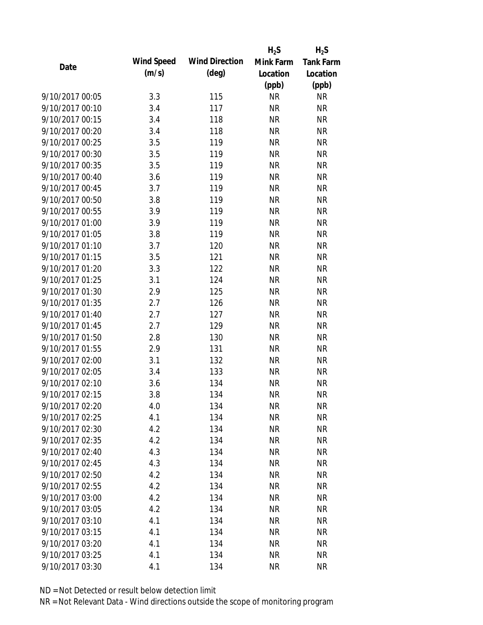|                 |            |                       | $H_2S$    | $H_2S$           |
|-----------------|------------|-----------------------|-----------|------------------|
| Date            | Wind Speed | <b>Wind Direction</b> | Mink Farm | <b>Tank Farm</b> |
|                 | (m/s)      | $(\text{deg})$        | Location  | Location         |
|                 |            |                       | (ppb)     | (ppb)            |
| 9/10/2017 00:05 | 3.3        | 115                   | <b>NR</b> | <b>NR</b>        |
| 9/10/2017 00:10 | 3.4        | 117                   | <b>NR</b> | <b>NR</b>        |
| 9/10/2017 00:15 | 3.4        | 118                   | <b>NR</b> | <b>NR</b>        |
| 9/10/2017 00:20 | 3.4        | 118                   | <b>NR</b> | <b>NR</b>        |
| 9/10/2017 00:25 | 3.5        | 119                   | <b>NR</b> | <b>NR</b>        |
| 9/10/2017 00:30 | 3.5        | 119                   | <b>NR</b> | <b>NR</b>        |
| 9/10/2017 00:35 | 3.5        | 119                   | <b>NR</b> | <b>NR</b>        |
| 9/10/2017 00:40 | 3.6        | 119                   | <b>NR</b> | <b>NR</b>        |
| 9/10/2017 00:45 | 3.7        | 119                   | <b>NR</b> | <b>NR</b>        |
| 9/10/2017 00:50 | 3.8        | 119                   | <b>NR</b> | <b>NR</b>        |
| 9/10/2017 00:55 | 3.9        | 119                   | <b>NR</b> | <b>NR</b>        |
| 9/10/2017 01:00 | 3.9        | 119                   | <b>NR</b> | <b>NR</b>        |
| 9/10/2017 01:05 | 3.8        | 119                   | <b>NR</b> | <b>NR</b>        |
| 9/10/2017 01:10 | 3.7        | 120                   | <b>NR</b> | <b>NR</b>        |
| 9/10/2017 01:15 | 3.5        | 121                   | <b>NR</b> | <b>NR</b>        |
| 9/10/2017 01:20 | 3.3        | 122                   | <b>NR</b> | <b>NR</b>        |
| 9/10/2017 01:25 | 3.1        | 124                   | <b>NR</b> | <b>NR</b>        |
| 9/10/2017 01:30 | 2.9        | 125                   | <b>NR</b> | <b>NR</b>        |
| 9/10/2017 01:35 | 2.7        | 126                   | <b>NR</b> | <b>NR</b>        |
| 9/10/2017 01:40 | 2.7        | 127                   | <b>NR</b> | <b>NR</b>        |
| 9/10/2017 01:45 | 2.7        | 129                   | <b>NR</b> | <b>NR</b>        |
| 9/10/2017 01:50 | 2.8        | 130                   | <b>NR</b> | <b>NR</b>        |
| 9/10/2017 01:55 | 2.9        | 131                   | <b>NR</b> | <b>NR</b>        |
| 9/10/2017 02:00 | 3.1        | 132                   | <b>NR</b> | <b>NR</b>        |
| 9/10/2017 02:05 | 3.4        | 133                   | <b>NR</b> | <b>NR</b>        |
| 9/10/2017 02:10 | 3.6        | 134                   | <b>NR</b> | <b>NR</b>        |
| 9/10/2017 02:15 | 3.8        | 134                   | <b>NR</b> | <b>NR</b>        |
| 9/10/2017 02:20 | 4.0        | 134                   | <b>NR</b> | <b>NR</b>        |
| 9/10/2017 02:25 | 4.1        | 134                   | <b>NR</b> | <b>NR</b>        |
| 9/10/2017 02:30 | 4.2        | 134                   | <b>NR</b> | <b>NR</b>        |
| 9/10/2017 02:35 | 4.2        | 134                   | <b>NR</b> | <b>NR</b>        |
| 9/10/2017 02:40 | 4.3        | 134                   | <b>NR</b> | <b>NR</b>        |
| 9/10/2017 02:45 | 4.3        | 134                   | <b>NR</b> | <b>NR</b>        |
| 9/10/2017 02:50 | 4.2        | 134                   | <b>NR</b> | <b>NR</b>        |
| 9/10/2017 02:55 | 4.2        | 134                   | <b>NR</b> | <b>NR</b>        |
| 9/10/2017 03:00 | 4.2        | 134                   | <b>NR</b> | <b>NR</b>        |
| 9/10/2017 03:05 | 4.2        | 134                   | <b>NR</b> | <b>NR</b>        |
| 9/10/2017 03:10 | 4.1        | 134                   | <b>NR</b> | <b>NR</b>        |
| 9/10/2017 03:15 | 4.1        | 134                   | <b>NR</b> | <b>NR</b>        |
| 9/10/2017 03:20 | 4.1        | 134                   | <b>NR</b> | <b>NR</b>        |
| 9/10/2017 03:25 | 4.1        | 134                   | <b>NR</b> | <b>NR</b>        |
| 9/10/2017 03:30 | 4.1        | 134                   | <b>NR</b> | <b>NR</b>        |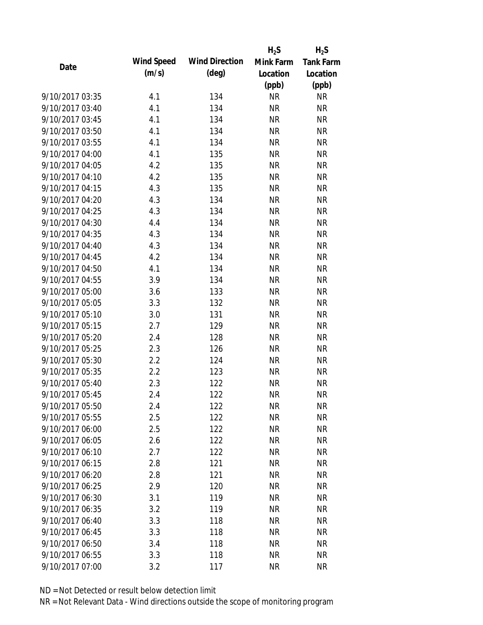|                 |            |                       | $H_2S$    | $H_2S$           |
|-----------------|------------|-----------------------|-----------|------------------|
| Date            | Wind Speed | <b>Wind Direction</b> | Mink Farm | <b>Tank Farm</b> |
|                 | (m/s)      | $(\text{deg})$        | Location  | Location         |
|                 |            |                       | (ppb)     | (ppb)            |
| 9/10/2017 03:35 | 4.1        | 134                   | <b>NR</b> | <b>NR</b>        |
| 9/10/2017 03:40 | 4.1        | 134                   | <b>NR</b> | <b>NR</b>        |
| 9/10/2017 03:45 | 4.1        | 134                   | <b>NR</b> | <b>NR</b>        |
| 9/10/2017 03:50 | 4.1        | 134                   | <b>NR</b> | <b>NR</b>        |
| 9/10/2017 03:55 | 4.1        | 134                   | <b>NR</b> | <b>NR</b>        |
| 9/10/2017 04:00 | 4.1        | 135                   | <b>NR</b> | <b>NR</b>        |
| 9/10/2017 04:05 | 4.2        | 135                   | <b>NR</b> | <b>NR</b>        |
| 9/10/2017 04:10 | 4.2        | 135                   | <b>NR</b> | <b>NR</b>        |
| 9/10/2017 04:15 | 4.3        | 135                   | <b>NR</b> | <b>NR</b>        |
| 9/10/2017 04:20 | 4.3        | 134                   | <b>NR</b> | <b>NR</b>        |
| 9/10/2017 04:25 | 4.3        | 134                   | <b>NR</b> | <b>NR</b>        |
| 9/10/2017 04:30 | 4.4        | 134                   | <b>NR</b> | <b>NR</b>        |
| 9/10/2017 04:35 | 4.3        | 134                   | <b>NR</b> | <b>NR</b>        |
| 9/10/2017 04:40 | 4.3        | 134                   | <b>NR</b> | <b>NR</b>        |
| 9/10/2017 04:45 | 4.2        | 134                   | <b>NR</b> | <b>NR</b>        |
| 9/10/2017 04:50 | 4.1        | 134                   | <b>NR</b> | <b>NR</b>        |
| 9/10/2017 04:55 | 3.9        | 134                   | <b>NR</b> | <b>NR</b>        |
| 9/10/2017 05:00 | 3.6        | 133                   | <b>NR</b> | <b>NR</b>        |
| 9/10/2017 05:05 | 3.3        | 132                   | <b>NR</b> | <b>NR</b>        |
| 9/10/2017 05:10 | 3.0        | 131                   | <b>NR</b> | <b>NR</b>        |
| 9/10/2017 05:15 | 2.7        | 129                   | <b>NR</b> | <b>NR</b>        |
| 9/10/2017 05:20 | 2.4        | 128                   | <b>NR</b> | <b>NR</b>        |
| 9/10/2017 05:25 | 2.3        | 126                   | <b>NR</b> | <b>NR</b>        |
| 9/10/2017 05:30 | 2.2        | 124                   | <b>NR</b> | <b>NR</b>        |
| 9/10/2017 05:35 | 2.2        | 123                   | <b>NR</b> | <b>NR</b>        |
| 9/10/2017 05:40 | 2.3        | 122                   | <b>NR</b> | <b>NR</b>        |
| 9/10/2017 05:45 | 2.4        | 122                   | <b>NR</b> | <b>NR</b>        |
| 9/10/2017 05:50 | 2.4        | 122                   | <b>NR</b> | <b>NR</b>        |
| 9/10/2017 05:55 | 2.5        | 122                   | <b>NR</b> | <b>NR</b>        |
| 9/10/2017 06:00 | 2.5        | 122                   | <b>NR</b> | <b>NR</b>        |
| 9/10/2017 06:05 | 2.6        | 122                   | <b>NR</b> | <b>NR</b>        |
| 9/10/2017 06:10 | 2.7        | 122                   | <b>NR</b> | <b>NR</b>        |
| 9/10/2017 06:15 | 2.8        | 121                   | <b>NR</b> | <b>NR</b>        |
| 9/10/2017 06:20 | 2.8        | 121                   | <b>NR</b> | <b>NR</b>        |
| 9/10/2017 06:25 | 2.9        | 120                   | <b>NR</b> | <b>NR</b>        |
| 9/10/2017 06:30 | 3.1        | 119                   | <b>NR</b> | <b>NR</b>        |
| 9/10/2017 06:35 | 3.2        | 119                   | <b>NR</b> | <b>NR</b>        |
| 9/10/2017 06:40 | 3.3        | 118                   | <b>NR</b> | <b>NR</b>        |
| 9/10/2017 06:45 | 3.3        | 118                   | <b>NR</b> | <b>NR</b>        |
| 9/10/2017 06:50 | 3.4        | 118                   | NR        | <b>NR</b>        |
| 9/10/2017 06:55 | 3.3        | 118                   | <b>NR</b> | <b>NR</b>        |
| 9/10/2017 07:00 | 3.2        | 117                   | <b>NR</b> | <b>NR</b>        |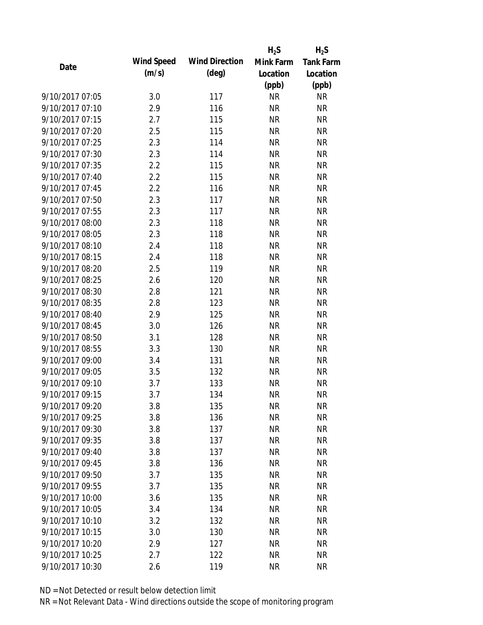|                 |            |                       | $H_2S$    | $H_2S$           |
|-----------------|------------|-----------------------|-----------|------------------|
| Date            | Wind Speed | <b>Wind Direction</b> | Mink Farm | <b>Tank Farm</b> |
|                 | (m/s)      | $(\text{deg})$        | Location  | Location         |
|                 |            |                       | (ppb)     | (ppb)            |
| 9/10/2017 07:05 | 3.0        | 117                   | <b>NR</b> | <b>NR</b>        |
| 9/10/2017 07:10 | 2.9        | 116                   | <b>NR</b> | <b>NR</b>        |
| 9/10/2017 07:15 | 2.7        | 115                   | <b>NR</b> | <b>NR</b>        |
| 9/10/2017 07:20 | 2.5        | 115                   | <b>NR</b> | <b>NR</b>        |
| 9/10/2017 07:25 | 2.3        | 114                   | <b>NR</b> | <b>NR</b>        |
| 9/10/2017 07:30 | 2.3        | 114                   | <b>NR</b> | <b>NR</b>        |
| 9/10/2017 07:35 | 2.2        | 115                   | <b>NR</b> | <b>NR</b>        |
| 9/10/2017 07:40 | 2.2        | 115                   | <b>NR</b> | <b>NR</b>        |
| 9/10/2017 07:45 | 2.2        | 116                   | <b>NR</b> | <b>NR</b>        |
| 9/10/2017 07:50 | 2.3        | 117                   | <b>NR</b> | <b>NR</b>        |
| 9/10/2017 07:55 | 2.3        | 117                   | <b>NR</b> | <b>NR</b>        |
| 9/10/2017 08:00 | 2.3        | 118                   | <b>NR</b> | <b>NR</b>        |
| 9/10/2017 08:05 | 2.3        | 118                   | <b>NR</b> | <b>NR</b>        |
| 9/10/2017 08:10 | 2.4        | 118                   | <b>NR</b> | <b>NR</b>        |
| 9/10/2017 08:15 | 2.4        | 118                   | <b>NR</b> | <b>NR</b>        |
| 9/10/2017 08:20 | 2.5        | 119                   | <b>NR</b> | <b>NR</b>        |
| 9/10/2017 08:25 | 2.6        | 120                   | <b>NR</b> | <b>NR</b>        |
| 9/10/2017 08:30 | 2.8        | 121                   | <b>NR</b> | <b>NR</b>        |
| 9/10/2017 08:35 | 2.8        | 123                   | <b>NR</b> | <b>NR</b>        |
| 9/10/2017 08:40 | 2.9        | 125                   | <b>NR</b> | <b>NR</b>        |
| 9/10/2017 08:45 | 3.0        | 126                   | <b>NR</b> | <b>NR</b>        |
| 9/10/2017 08:50 | 3.1        | 128                   | <b>NR</b> | <b>NR</b>        |
| 9/10/2017 08:55 | 3.3        | 130                   | <b>NR</b> | <b>NR</b>        |
| 9/10/2017 09:00 | 3.4        | 131                   | <b>NR</b> | <b>NR</b>        |
| 9/10/2017 09:05 | 3.5        | 132                   | <b>NR</b> | <b>NR</b>        |
| 9/10/2017 09:10 | 3.7        | 133                   | <b>NR</b> | <b>NR</b>        |
| 9/10/2017 09:15 | 3.7        | 134                   | <b>NR</b> | <b>NR</b>        |
| 9/10/2017 09:20 | 3.8        | 135                   | ΝR        | <b>NR</b>        |
| 9/10/2017 09:25 | 3.8        | 136                   | <b>NR</b> | <b>NR</b>        |
| 9/10/2017 09:30 | 3.8        | 137                   | <b>NR</b> | <b>NR</b>        |
| 9/10/2017 09:35 | 3.8        | 137                   | <b>NR</b> | <b>NR</b>        |
| 9/10/2017 09:40 | 3.8        | 137                   | <b>NR</b> | <b>NR</b>        |
| 9/10/2017 09:45 | 3.8        | 136                   | <b>NR</b> | <b>NR</b>        |
| 9/10/2017 09:50 | 3.7        | 135                   | <b>NR</b> | <b>NR</b>        |
| 9/10/2017 09:55 | 3.7        | 135                   | <b>NR</b> | <b>NR</b>        |
| 9/10/2017 10:00 | 3.6        | 135                   | <b>NR</b> | <b>NR</b>        |
| 9/10/2017 10:05 | 3.4        | 134                   | <b>NR</b> | <b>NR</b>        |
| 9/10/2017 10:10 | 3.2        | 132                   | <b>NR</b> | <b>NR</b>        |
| 9/10/2017 10:15 | 3.0        | 130                   | <b>NR</b> | <b>NR</b>        |
| 9/10/2017 10:20 | 2.9        | 127                   | <b>NR</b> | <b>NR</b>        |
| 9/10/2017 10:25 | 2.7        | 122                   | <b>NR</b> | <b>NR</b>        |
| 9/10/2017 10:30 | 2.6        | 119                   | <b>NR</b> | <b>NR</b>        |
|                 |            |                       |           |                  |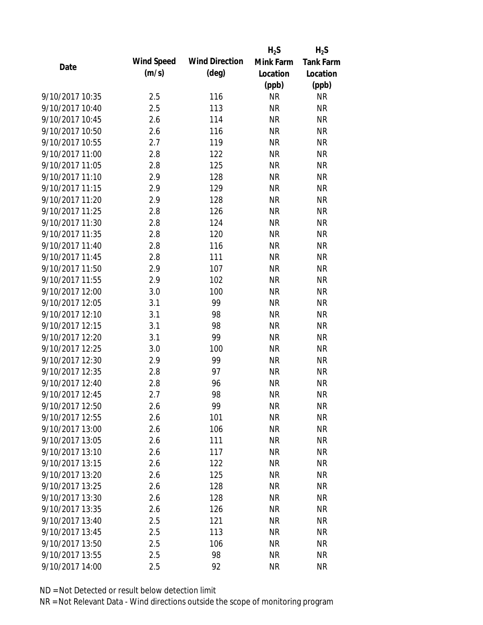|                 |            |                       | $H_2S$    | $H_2S$           |
|-----------------|------------|-----------------------|-----------|------------------|
| Date            | Wind Speed | <b>Wind Direction</b> | Mink Farm | <b>Tank Farm</b> |
|                 | (m/s)      | $(\text{deg})$        | Location  | Location         |
|                 |            |                       | (ppb)     | (ppb)            |
| 9/10/2017 10:35 | 2.5        | 116                   | <b>NR</b> | <b>NR</b>        |
| 9/10/2017 10:40 | 2.5        | 113                   | <b>NR</b> | <b>NR</b>        |
| 9/10/2017 10:45 | 2.6        | 114                   | <b>NR</b> | <b>NR</b>        |
| 9/10/2017 10:50 | 2.6        | 116                   | <b>NR</b> | <b>NR</b>        |
| 9/10/2017 10:55 | 2.7        | 119                   | <b>NR</b> | <b>NR</b>        |
| 9/10/2017 11:00 | 2.8        | 122                   | <b>NR</b> | <b>NR</b>        |
| 9/10/2017 11:05 | 2.8        | 125                   | <b>NR</b> | <b>NR</b>        |
| 9/10/2017 11:10 | 2.9        | 128                   | <b>NR</b> | <b>NR</b>        |
| 9/10/2017 11:15 | 2.9        | 129                   | <b>NR</b> | <b>NR</b>        |
| 9/10/2017 11:20 | 2.9        | 128                   | <b>NR</b> | <b>NR</b>        |
| 9/10/2017 11:25 | 2.8        | 126                   | <b>NR</b> | <b>NR</b>        |
| 9/10/2017 11:30 | 2.8        | 124                   | <b>NR</b> | <b>NR</b>        |
| 9/10/2017 11:35 | 2.8        | 120                   | <b>NR</b> | <b>NR</b>        |
| 9/10/2017 11:40 | 2.8        | 116                   | <b>NR</b> | <b>NR</b>        |
| 9/10/2017 11:45 | 2.8        | 111                   | <b>NR</b> | <b>NR</b>        |
| 9/10/2017 11:50 | 2.9        | 107                   | <b>NR</b> | <b>NR</b>        |
| 9/10/2017 11:55 | 2.9        | 102                   | <b>NR</b> | <b>NR</b>        |
| 9/10/2017 12:00 | 3.0        | 100                   | <b>NR</b> | <b>NR</b>        |
| 9/10/2017 12:05 | 3.1        | 99                    | <b>NR</b> | <b>NR</b>        |
| 9/10/2017 12:10 | 3.1        | 98                    | <b>NR</b> | <b>NR</b>        |
| 9/10/2017 12:15 | 3.1        | 98                    | <b>NR</b> | <b>NR</b>        |
| 9/10/2017 12:20 | 3.1        | 99                    | <b>NR</b> | <b>NR</b>        |
| 9/10/2017 12:25 | 3.0        | 100                   | <b>NR</b> | <b>NR</b>        |
| 9/10/2017 12:30 | 2.9        | 99                    | <b>NR</b> | <b>NR</b>        |
| 9/10/2017 12:35 | 2.8        | 97                    | <b>NR</b> | <b>NR</b>        |
| 9/10/2017 12:40 | 2.8        | 96                    | <b>NR</b> | <b>NR</b>        |
| 9/10/2017 12:45 | 2.7        | 98                    | <b>NR</b> | <b>NR</b>        |
| 9/10/2017 12:50 | 2.6        | 99                    | <b>NR</b> | <b>NR</b>        |
| 9/10/2017 12:55 | 2.6        | 101                   | <b>NR</b> | <b>NR</b>        |
| 9/10/2017 13:00 | 2.6        | 106                   | <b>NR</b> | <b>NR</b>        |
| 9/10/2017 13:05 | 2.6        | 111                   | <b>NR</b> | <b>NR</b>        |
| 9/10/2017 13:10 | 2.6        | 117                   | <b>NR</b> | <b>NR</b>        |
| 9/10/2017 13:15 | 2.6        | 122                   | <b>NR</b> | <b>NR</b>        |
| 9/10/2017 13:20 | 2.6        | 125                   | <b>NR</b> | <b>NR</b>        |
| 9/10/2017 13:25 | 2.6        | 128                   | <b>NR</b> | <b>NR</b>        |
| 9/10/2017 13:30 | 2.6        | 128                   | <b>NR</b> | <b>NR</b>        |
| 9/10/2017 13:35 | 2.6        | 126                   | <b>NR</b> | <b>NR</b>        |
| 9/10/2017 13:40 | 2.5        | 121                   | <b>NR</b> | <b>NR</b>        |
| 9/10/2017 13:45 | 2.5        | 113                   | <b>NR</b> | <b>NR</b>        |
| 9/10/2017 13:50 | 2.5        | 106                   | NR        | <b>NR</b>        |
| 9/10/2017 13:55 | 2.5        | 98                    | <b>NR</b> | <b>NR</b>        |
| 9/10/2017 14:00 | 2.5        | 92                    | <b>NR</b> | <b>NR</b>        |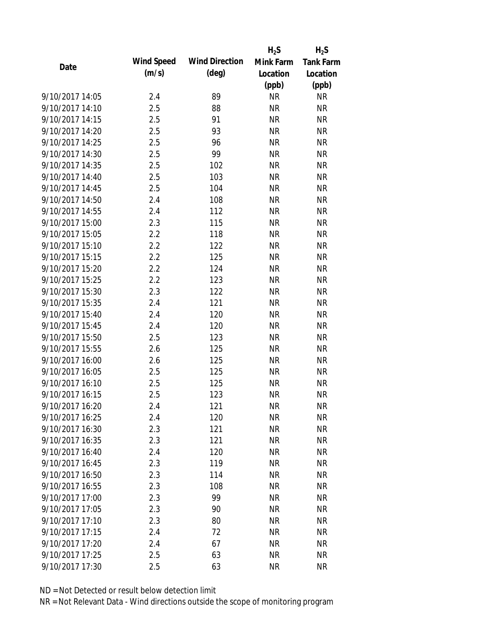|                 |            |                       | $H_2S$    | $H_2S$           |
|-----------------|------------|-----------------------|-----------|------------------|
| Date            | Wind Speed | <b>Wind Direction</b> | Mink Farm | <b>Tank Farm</b> |
|                 | (m/s)      | $(\text{deg})$        | Location  | Location         |
|                 |            |                       | (ppb)     | (ppb)            |
| 9/10/2017 14:05 | 2.4        | 89                    | <b>NR</b> | <b>NR</b>        |
| 9/10/2017 14:10 | 2.5        | 88                    | <b>NR</b> | <b>NR</b>        |
| 9/10/2017 14:15 | 2.5        | 91                    | <b>NR</b> | <b>NR</b>        |
| 9/10/2017 14:20 | 2.5        | 93                    | <b>NR</b> | <b>NR</b>        |
| 9/10/2017 14:25 | 2.5        | 96                    | <b>NR</b> | <b>NR</b>        |
| 9/10/2017 14:30 | 2.5        | 99                    | <b>NR</b> | <b>NR</b>        |
| 9/10/2017 14:35 | 2.5        | 102                   | <b>NR</b> | <b>NR</b>        |
| 9/10/2017 14:40 | 2.5        | 103                   | <b>NR</b> | <b>NR</b>        |
| 9/10/2017 14:45 | 2.5        | 104                   | <b>NR</b> | <b>NR</b>        |
| 9/10/2017 14:50 | 2.4        | 108                   | <b>NR</b> | <b>NR</b>        |
| 9/10/2017 14:55 | 2.4        | 112                   | <b>NR</b> | <b>NR</b>        |
| 9/10/2017 15:00 | 2.3        | 115                   | <b>NR</b> | <b>NR</b>        |
| 9/10/2017 15:05 | 2.2        | 118                   | <b>NR</b> | <b>NR</b>        |
| 9/10/2017 15:10 | 2.2        | 122                   | <b>NR</b> | <b>NR</b>        |
| 9/10/2017 15:15 | 2.2        | 125                   | <b>NR</b> | <b>NR</b>        |
| 9/10/2017 15:20 | 2.2        | 124                   | <b>NR</b> | <b>NR</b>        |
| 9/10/2017 15:25 | 2.2        | 123                   | <b>NR</b> | <b>NR</b>        |
| 9/10/2017 15:30 | 2.3        | 122                   | <b>NR</b> | <b>NR</b>        |
| 9/10/2017 15:35 | 2.4        | 121                   | <b>NR</b> | <b>NR</b>        |
| 9/10/2017 15:40 | 2.4        | 120                   | <b>NR</b> | <b>NR</b>        |
| 9/10/2017 15:45 | 2.4        | 120                   | <b>NR</b> | <b>NR</b>        |
| 9/10/2017 15:50 | 2.5        | 123                   | <b>NR</b> | <b>NR</b>        |
| 9/10/2017 15:55 | 2.6        | 125                   | <b>NR</b> | <b>NR</b>        |
| 9/10/2017 16:00 | 2.6        | 125                   | <b>NR</b> | <b>NR</b>        |
| 9/10/2017 16:05 | 2.5        | 125                   | <b>NR</b> | <b>NR</b>        |
| 9/10/2017 16:10 | 2.5        | 125                   | <b>NR</b> | <b>NR</b>        |
| 9/10/2017 16:15 | 2.5        | 123                   | <b>NR</b> | <b>NR</b>        |
| 9/10/2017 16:20 | 2.4        | 121                   | <b>NR</b> | <b>NR</b>        |
| 9/10/2017 16:25 | 2.4        | 120                   | <b>NR</b> | <b>NR</b>        |
| 9/10/2017 16:30 | 2.3        | 121                   | <b>NR</b> | <b>NR</b>        |
| 9/10/2017 16:35 | 2.3        | 121                   | <b>NR</b> | <b>NR</b>        |
| 9/10/2017 16:40 | 2.4        | 120                   | <b>NR</b> | <b>NR</b>        |
| 9/10/2017 16:45 | 2.3        | 119                   | <b>NR</b> | <b>NR</b>        |
| 9/10/2017 16:50 | 2.3        | 114                   | <b>NR</b> | <b>NR</b>        |
| 9/10/2017 16:55 | 2.3        | 108                   | <b>NR</b> | <b>NR</b>        |
| 9/10/2017 17:00 | 2.3        | 99                    | <b>NR</b> | <b>NR</b>        |
| 9/10/2017 17:05 | 2.3        | 90                    | <b>NR</b> | <b>NR</b>        |
| 9/10/2017 17:10 | 2.3        | 80                    | <b>NR</b> | <b>NR</b>        |
| 9/10/2017 17:15 |            | 72                    | <b>NR</b> | <b>NR</b>        |
| 9/10/2017 17:20 | 2.4        |                       |           | <b>NR</b>        |
|                 | 2.4        | 67                    | NR        |                  |
| 9/10/2017 17:25 | 2.5        | 63                    | <b>NR</b> | <b>NR</b>        |
| 9/10/2017 17:30 | 2.5        | 63                    | <b>NR</b> | <b>NR</b>        |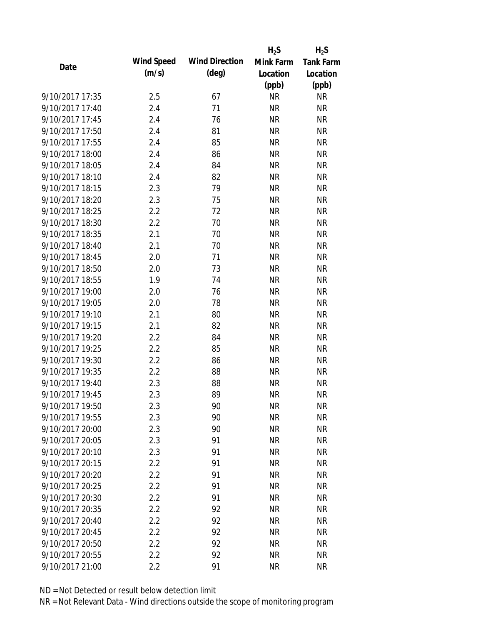|                 |            |                       | $H_2S$    | $H_2S$           |
|-----------------|------------|-----------------------|-----------|------------------|
| Date            | Wind Speed | <b>Wind Direction</b> | Mink Farm | <b>Tank Farm</b> |
|                 | (m/s)      | $(\text{deg})$        | Location  | Location         |
|                 |            |                       | (ppb)     | (ppb)            |
| 9/10/2017 17:35 | 2.5        | 67                    | <b>NR</b> | <b>NR</b>        |
| 9/10/2017 17:40 | 2.4        | 71                    | <b>NR</b> | <b>NR</b>        |
| 9/10/2017 17:45 | 2.4        | 76                    | <b>NR</b> | <b>NR</b>        |
| 9/10/2017 17:50 | 2.4        | 81                    | <b>NR</b> | <b>NR</b>        |
| 9/10/2017 17:55 | 2.4        | 85                    | <b>NR</b> | <b>NR</b>        |
| 9/10/2017 18:00 | 2.4        | 86                    | <b>NR</b> | <b>NR</b>        |
| 9/10/2017 18:05 | 2.4        | 84                    | <b>NR</b> | <b>NR</b>        |
| 9/10/2017 18:10 | 2.4        | 82                    | <b>NR</b> | <b>NR</b>        |
| 9/10/2017 18:15 | 2.3        | 79                    | <b>NR</b> | <b>NR</b>        |
| 9/10/2017 18:20 | 2.3        | 75                    | <b>NR</b> | <b>NR</b>        |
| 9/10/2017 18:25 | 2.2        | 72                    | <b>NR</b> | <b>NR</b>        |
| 9/10/2017 18:30 | 2.2        | 70                    | <b>NR</b> | <b>NR</b>        |
| 9/10/2017 18:35 | 2.1        | 70                    | <b>NR</b> | <b>NR</b>        |
| 9/10/2017 18:40 | 2.1        | 70                    | <b>NR</b> | <b>NR</b>        |
| 9/10/2017 18:45 | 2.0        | 71                    | <b>NR</b> | <b>NR</b>        |
| 9/10/2017 18:50 | 2.0        | 73                    | <b>NR</b> | <b>NR</b>        |
| 9/10/2017 18:55 | 1.9        | 74                    | <b>NR</b> | <b>NR</b>        |
| 9/10/2017 19:00 | 2.0        | 76                    | <b>NR</b> | <b>NR</b>        |
| 9/10/2017 19:05 | 2.0        | 78                    | <b>NR</b> | <b>NR</b>        |
| 9/10/2017 19:10 | 2.1        | 80                    | <b>NR</b> | <b>NR</b>        |
| 9/10/2017 19:15 | 2.1        | 82                    | <b>NR</b> | <b>NR</b>        |
| 9/10/2017 19:20 | 2.2        | 84                    | <b>NR</b> | <b>NR</b>        |
| 9/10/2017 19:25 | 2.2        | 85                    | <b>NR</b> | <b>NR</b>        |
| 9/10/2017 19:30 | 2.2        | 86                    | <b>NR</b> | <b>NR</b>        |
| 9/10/2017 19:35 | 2.2        | 88                    | <b>NR</b> | <b>NR</b>        |
| 9/10/2017 19:40 | 2.3        | 88                    | <b>NR</b> | <b>NR</b>        |
| 9/10/2017 19:45 | 2.3        | 89                    | <b>NR</b> | <b>NR</b>        |
| 9/10/2017 19:50 | 2.3        | 90                    | <b>NR</b> | <b>NR</b>        |
| 9/10/2017 19:55 | 2.3        | 90                    | <b>NR</b> | <b>NR</b>        |
| 9/10/2017 20:00 | 2.3        | 90                    | <b>NR</b> | <b>NR</b>        |
| 9/10/2017 20:05 | 2.3        | 91                    | <b>NR</b> | <b>NR</b>        |
| 9/10/2017 20:10 | 2.3        | 91                    | <b>NR</b> | <b>NR</b>        |
| 9/10/2017 20:15 | 2.2        | 91                    | <b>NR</b> | <b>NR</b>        |
| 9/10/2017 20:20 | 2.2        | 91                    | <b>NR</b> | <b>NR</b>        |
| 9/10/2017 20:25 | 2.2        | 91                    | <b>NR</b> | <b>NR</b>        |
| 9/10/2017 20:30 | 2.2        | 91                    | <b>NR</b> | <b>NR</b>        |
| 9/10/2017 20:35 | 2.2        | 92                    | <b>NR</b> | <b>NR</b>        |
| 9/10/2017 20:40 | 2.2        | 92                    | <b>NR</b> | <b>NR</b>        |
| 9/10/2017 20:45 | 2.2        | 92                    | <b>NR</b> | <b>NR</b>        |
| 9/10/2017 20:50 | 2.2        | 92                    | NR        | <b>NR</b>        |
| 9/10/2017 20:55 | $2.2\,$    | 92                    | <b>NR</b> | <b>NR</b>        |
| 9/10/2017 21:00 | 2.2        | 91                    | <b>NR</b> | <b>NR</b>        |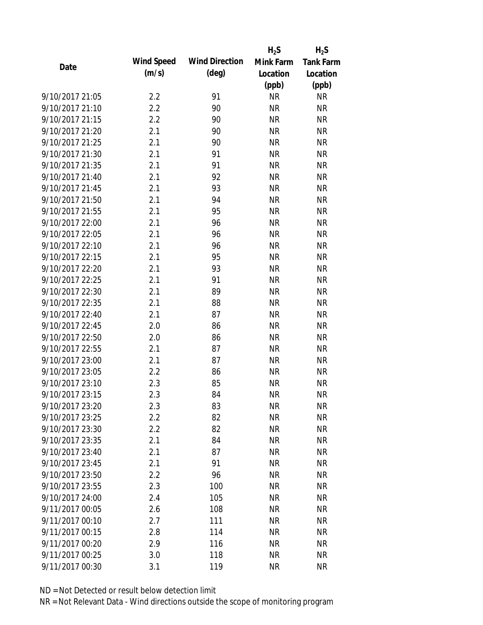|                 |            |                       | $H_2S$    | $H_2S$           |
|-----------------|------------|-----------------------|-----------|------------------|
| Date            | Wind Speed | <b>Wind Direction</b> | Mink Farm | <b>Tank Farm</b> |
|                 | (m/s)      | $(\text{deg})$        | Location  | Location         |
|                 |            |                       | (ppb)     | (ppb)            |
| 9/10/2017 21:05 | 2.2        | 91                    | <b>NR</b> | <b>NR</b>        |
| 9/10/2017 21:10 | 2.2        | 90                    | <b>NR</b> | <b>NR</b>        |
| 9/10/2017 21:15 | 2.2        | 90                    | <b>NR</b> | <b>NR</b>        |
| 9/10/2017 21:20 | 2.1        | 90                    | <b>NR</b> | <b>NR</b>        |
| 9/10/2017 21:25 | 2.1        | 90                    | <b>NR</b> | <b>NR</b>        |
| 9/10/2017 21:30 | 2.1        | 91                    | <b>NR</b> | <b>NR</b>        |
| 9/10/2017 21:35 | 2.1        | 91                    | <b>NR</b> | <b>NR</b>        |
| 9/10/2017 21:40 | 2.1        | 92                    | <b>NR</b> | <b>NR</b>        |
| 9/10/2017 21:45 | 2.1        | 93                    | <b>NR</b> | <b>NR</b>        |
| 9/10/2017 21:50 | 2.1        | 94                    | <b>NR</b> | <b>NR</b>        |
| 9/10/2017 21:55 | 2.1        | 95                    | <b>NR</b> | <b>NR</b>        |
| 9/10/2017 22:00 | 2.1        | 96                    | <b>NR</b> | <b>NR</b>        |
| 9/10/2017 22:05 | 2.1        | 96                    | <b>NR</b> | <b>NR</b>        |
| 9/10/2017 22:10 | 2.1        | 96                    | <b>NR</b> | <b>NR</b>        |
| 9/10/2017 22:15 | 2.1        | 95                    | <b>NR</b> | <b>NR</b>        |
| 9/10/2017 22:20 | 2.1        | 93                    | <b>NR</b> | <b>NR</b>        |
| 9/10/2017 22:25 | 2.1        | 91                    | <b>NR</b> | <b>NR</b>        |
| 9/10/2017 22:30 | 2.1        | 89                    | <b>NR</b> | <b>NR</b>        |
| 9/10/2017 22:35 | 2.1        | 88                    | <b>NR</b> | <b>NR</b>        |
| 9/10/2017 22:40 | 2.1        | 87                    | <b>NR</b> | <b>NR</b>        |
| 9/10/2017 22:45 | 2.0        | 86                    | <b>NR</b> | <b>NR</b>        |
| 9/10/2017 22:50 | 2.0        | 86                    | <b>NR</b> | <b>NR</b>        |
| 9/10/2017 22:55 | 2.1        | 87                    | <b>NR</b> | <b>NR</b>        |
| 9/10/2017 23:00 | 2.1        | 87                    | <b>NR</b> | <b>NR</b>        |
| 9/10/2017 23:05 | 2.2        | 86                    | <b>NR</b> | <b>NR</b>        |
| 9/10/2017 23:10 | 2.3        | 85                    | <b>NR</b> | <b>NR</b>        |
| 9/10/2017 23:15 | 2.3        | 84                    | <b>NR</b> | <b>NR</b>        |
| 9/10/2017 23:20 | 2.3        | 83                    | ΝR        | <b>NR</b>        |
| 9/10/2017 23:25 | 2.2        | 82                    | <b>NR</b> | <b>NR</b>        |
| 9/10/2017 23:30 | 2.2        | 82                    | <b>NR</b> | <b>NR</b>        |
| 9/10/2017 23:35 | 2.1        | 84                    | <b>NR</b> | <b>NR</b>        |
| 9/10/2017 23:40 | 2.1        | 87                    | <b>NR</b> | <b>NR</b>        |
| 9/10/2017 23:45 | 2.1        | 91                    | <b>NR</b> | <b>NR</b>        |
| 9/10/2017 23:50 | 2.2        | 96                    | <b>NR</b> | <b>NR</b>        |
| 9/10/2017 23:55 | 2.3        | 100                   | <b>NR</b> | <b>NR</b>        |
| 9/10/2017 24:00 | 2.4        | 105                   | <b>NR</b> | <b>NR</b>        |
| 9/11/2017 00:05 | 2.6        | 108                   | <b>NR</b> | <b>NR</b>        |
| 9/11/2017 00:10 | 2.7        | 111                   | <b>NR</b> | <b>NR</b>        |
| 9/11/2017 00:15 | 2.8        | 114                   | <b>NR</b> | <b>NR</b>        |
| 9/11/2017 00:20 | 2.9        | 116                   | NR        | <b>NR</b>        |
| 9/11/2017 00:25 | 3.0        | 118                   | <b>NR</b> | <b>NR</b>        |
| 9/11/2017 00:30 | 3.1        | 119                   | <b>NR</b> | <b>NR</b>        |
|                 |            |                       |           |                  |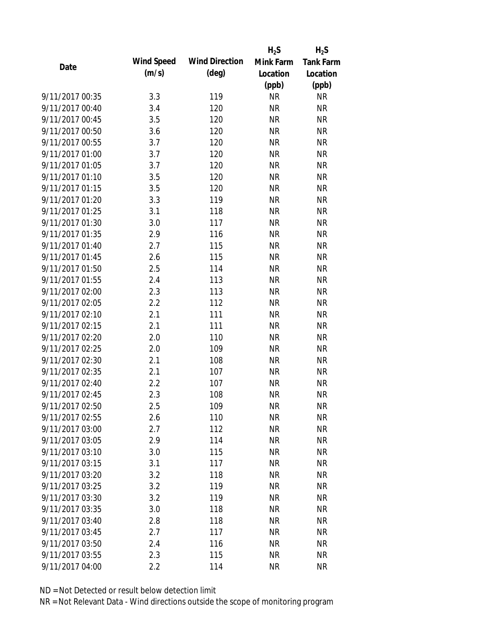|                 |            |                       | $H_2S$    | $H_2S$           |
|-----------------|------------|-----------------------|-----------|------------------|
| Date            | Wind Speed | <b>Wind Direction</b> | Mink Farm | <b>Tank Farm</b> |
|                 | (m/s)      | $(\text{deg})$        | Location  | Location         |
|                 |            |                       | (ppb)     | (ppb)            |
| 9/11/2017 00:35 | 3.3        | 119                   | <b>NR</b> | <b>NR</b>        |
| 9/11/2017 00:40 | 3.4        | 120                   | <b>NR</b> | <b>NR</b>        |
| 9/11/2017 00:45 | 3.5        | 120                   | <b>NR</b> | <b>NR</b>        |
| 9/11/2017 00:50 | 3.6        | 120                   | <b>NR</b> | <b>NR</b>        |
| 9/11/2017 00:55 | 3.7        | 120                   | <b>NR</b> | <b>NR</b>        |
| 9/11/2017 01:00 | 3.7        | 120                   | <b>NR</b> | <b>NR</b>        |
| 9/11/2017 01:05 | 3.7        | 120                   | <b>NR</b> | <b>NR</b>        |
| 9/11/2017 01:10 | 3.5        | 120                   | <b>NR</b> | <b>NR</b>        |
| 9/11/2017 01:15 | 3.5        | 120                   | <b>NR</b> | <b>NR</b>        |
| 9/11/2017 01:20 | 3.3        | 119                   | <b>NR</b> | <b>NR</b>        |
| 9/11/2017 01:25 | 3.1        | 118                   | <b>NR</b> | <b>NR</b>        |
| 9/11/2017 01:30 | 3.0        | 117                   | <b>NR</b> | <b>NR</b>        |
| 9/11/2017 01:35 | 2.9        | 116                   | <b>NR</b> | <b>NR</b>        |
| 9/11/2017 01:40 | 2.7        | 115                   | <b>NR</b> | <b>NR</b>        |
| 9/11/2017 01:45 | 2.6        | 115                   | <b>NR</b> | <b>NR</b>        |
| 9/11/2017 01:50 | 2.5        | 114                   | <b>NR</b> | <b>NR</b>        |
| 9/11/2017 01:55 | 2.4        | 113                   | <b>NR</b> | <b>NR</b>        |
| 9/11/2017 02:00 | 2.3        | 113                   | <b>NR</b> | <b>NR</b>        |
| 9/11/2017 02:05 | 2.2        | 112                   | <b>NR</b> | <b>NR</b>        |
| 9/11/2017 02:10 | 2.1        | 111                   | <b>NR</b> | <b>NR</b>        |
| 9/11/2017 02:15 | 2.1        | 111                   | <b>NR</b> | <b>NR</b>        |
| 9/11/2017 02:20 | 2.0        | 110                   | <b>NR</b> | <b>NR</b>        |
| 9/11/2017 02:25 | 2.0        | 109                   | <b>NR</b> | <b>NR</b>        |
| 9/11/2017 02:30 | 2.1        | 108                   | <b>NR</b> | <b>NR</b>        |
| 9/11/2017 02:35 | 2.1        | 107                   | <b>NR</b> | <b>NR</b>        |
| 9/11/2017 02:40 | 2.2        | 107                   | <b>NR</b> | <b>NR</b>        |
| 9/11/2017 02:45 | 2.3        | 108                   | <b>NR</b> | <b>NR</b>        |
| 9/11/2017 02:50 | 2.5        | 109                   | <b>NR</b> | <b>NR</b>        |
| 9/11/2017 02:55 | 2.6        | 110                   | <b>NR</b> | <b>NR</b>        |
| 9/11/2017 03:00 | 2.7        | 112                   | <b>NR</b> | <b>NR</b>        |
| 9/11/2017 03:05 | 2.9        | 114                   | <b>NR</b> | <b>NR</b>        |
| 9/11/2017 03:10 | 3.0        | 115                   | <b>NR</b> | <b>NR</b>        |
| 9/11/2017 03:15 | 3.1        | 117                   | <b>NR</b> | <b>NR</b>        |
| 9/11/2017 03:20 | 3.2        | 118                   | <b>NR</b> | <b>NR</b>        |
| 9/11/2017 03:25 | 3.2        | 119                   | <b>NR</b> | <b>NR</b>        |
| 9/11/2017 03:30 | 3.2        | 119                   | <b>NR</b> | <b>NR</b>        |
| 9/11/2017 03:35 | 3.0        | 118                   | <b>NR</b> | <b>NR</b>        |
| 9/11/2017 03:40 | 2.8        | 118                   | <b>NR</b> | <b>NR</b>        |
| 9/11/2017 03:45 | 2.7        | 117                   | <b>NR</b> | <b>NR</b>        |
| 9/11/2017 03:50 | 2.4        | 116                   | NR        | <b>NR</b>        |
| 9/11/2017 03:55 | 2.3        | 115                   | <b>NR</b> | <b>NR</b>        |
| 9/11/2017 04:00 | 2.2        | 114                   | <b>NR</b> | <b>NR</b>        |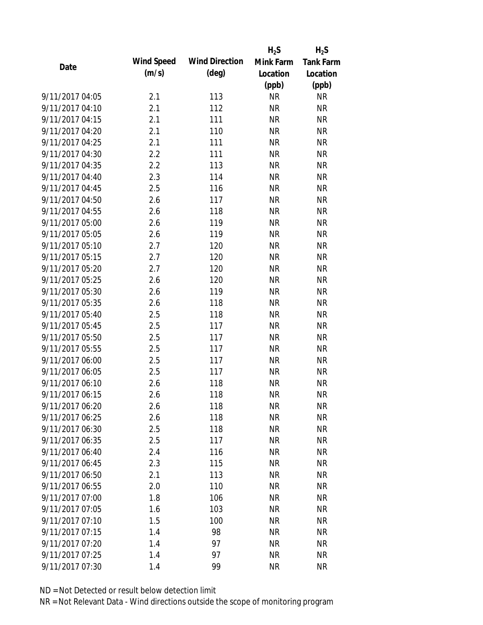|                 |            |                       | $H_2S$    | $H_2S$           |
|-----------------|------------|-----------------------|-----------|------------------|
| Date            | Wind Speed | <b>Wind Direction</b> | Mink Farm | <b>Tank Farm</b> |
|                 | (m/s)      | $(\text{deg})$        | Location  | Location         |
|                 |            |                       | (ppb)     | (ppb)            |
| 9/11/2017 04:05 | 2.1        | 113                   | <b>NR</b> | <b>NR</b>        |
| 9/11/2017 04:10 | 2.1        | 112                   | <b>NR</b> | <b>NR</b>        |
| 9/11/2017 04:15 | 2.1        | 111                   | <b>NR</b> | <b>NR</b>        |
| 9/11/2017 04:20 | 2.1        | 110                   | <b>NR</b> | <b>NR</b>        |
| 9/11/2017 04:25 | 2.1        | 111                   | <b>NR</b> | <b>NR</b>        |
| 9/11/2017 04:30 | 2.2        | 111                   | <b>NR</b> | <b>NR</b>        |
| 9/11/2017 04:35 | 2.2        | 113                   | <b>NR</b> | <b>NR</b>        |
| 9/11/2017 04:40 | 2.3        | 114                   | <b>NR</b> | <b>NR</b>        |
| 9/11/2017 04:45 | 2.5        | 116                   | <b>NR</b> | <b>NR</b>        |
| 9/11/2017 04:50 | 2.6        | 117                   | <b>NR</b> | <b>NR</b>        |
| 9/11/2017 04:55 | 2.6        | 118                   | <b>NR</b> | <b>NR</b>        |
| 9/11/2017 05:00 | 2.6        | 119                   | <b>NR</b> | <b>NR</b>        |
| 9/11/2017 05:05 | 2.6        | 119                   | <b>NR</b> | <b>NR</b>        |
| 9/11/2017 05:10 | 2.7        | 120                   | <b>NR</b> | <b>NR</b>        |
| 9/11/2017 05:15 | 2.7        | 120                   | <b>NR</b> | <b>NR</b>        |
| 9/11/2017 05:20 | 2.7        | 120                   | <b>NR</b> | <b>NR</b>        |
| 9/11/2017 05:25 | 2.6        | 120                   | <b>NR</b> | <b>NR</b>        |
| 9/11/2017 05:30 | 2.6        | 119                   | <b>NR</b> | <b>NR</b>        |
| 9/11/2017 05:35 | 2.6        | 118                   | <b>NR</b> | <b>NR</b>        |
| 9/11/2017 05:40 | 2.5        | 118                   | <b>NR</b> | <b>NR</b>        |
| 9/11/2017 05:45 | 2.5        | 117                   | <b>NR</b> | <b>NR</b>        |
| 9/11/2017 05:50 | 2.5        | 117                   | <b>NR</b> | <b>NR</b>        |
| 9/11/2017 05:55 | 2.5        | 117                   | <b>NR</b> | <b>NR</b>        |
| 9/11/2017 06:00 | 2.5        | 117                   | <b>NR</b> | <b>NR</b>        |
| 9/11/2017 06:05 | 2.5        | 117                   | <b>NR</b> | <b>NR</b>        |
| 9/11/2017 06:10 | 2.6        | 118                   | <b>NR</b> | <b>NR</b>        |
| 9/11/2017 06:15 | 2.6        | 118                   | <b>NR</b> | <b>NR</b>        |
| 9/11/2017 06:20 | 2.6        | 118                   | ΝR        | <b>NR</b>        |
| 9/11/2017 06:25 | 2.6        | 118                   | <b>NR</b> | <b>NR</b>        |
| 9/11/2017 06:30 | 2.5        | 118                   | <b>NR</b> | <b>NR</b>        |
| 9/11/2017 06:35 | 2.5        | 117                   | <b>NR</b> | <b>NR</b>        |
| 9/11/2017 06:40 | 2.4        | 116                   | <b>NR</b> | <b>NR</b>        |
| 9/11/2017 06:45 | 2.3        | 115                   | <b>NR</b> | <b>NR</b>        |
| 9/11/2017 06:50 | 2.1        | 113                   | <b>NR</b> | <b>NR</b>        |
| 9/11/2017 06:55 | 2.0        | 110                   | <b>NR</b> | <b>NR</b>        |
| 9/11/2017 07:00 | 1.8        | 106                   | <b>NR</b> | <b>NR</b>        |
| 9/11/2017 07:05 | 1.6        | 103                   | <b>NR</b> | <b>NR</b>        |
| 9/11/2017 07:10 | 1.5        | 100                   | <b>NR</b> | <b>NR</b>        |
| 9/11/2017 07:15 | 1.4        | 98                    | <b>NR</b> | <b>NR</b>        |
| 9/11/2017 07:20 | 1.4        | 97                    | ΝR        | <b>NR</b>        |
| 9/11/2017 07:25 | 1.4        | 97                    | <b>NR</b> | <b>NR</b>        |
| 9/11/2017 07:30 | 1.4        | 99                    | <b>NR</b> | <b>NR</b>        |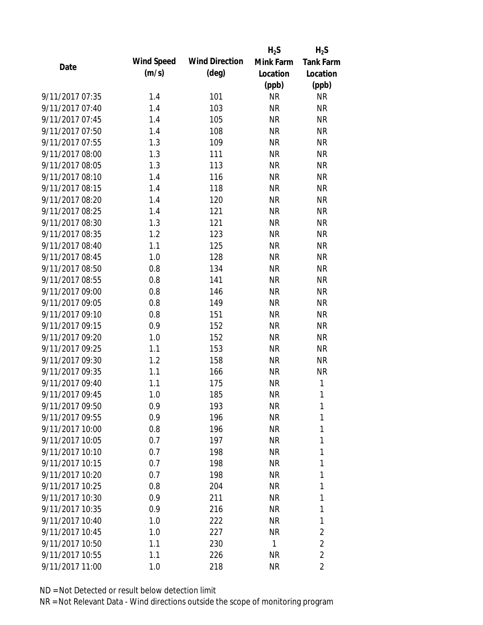|                 |            |                       | $H_2S$    | $H_2S$           |
|-----------------|------------|-----------------------|-----------|------------------|
| Date            | Wind Speed | <b>Wind Direction</b> | Mink Farm | <b>Tank Farm</b> |
|                 | (m/s)      | $(\text{deg})$        | Location  | Location         |
|                 |            |                       | (ppb)     | (ppb)            |
| 9/11/2017 07:35 | 1.4        | 101                   | <b>NR</b> | <b>NR</b>        |
| 9/11/2017 07:40 | 1.4        | 103                   | <b>NR</b> | <b>NR</b>        |
| 9/11/2017 07:45 | 1.4        | 105                   | <b>NR</b> | <b>NR</b>        |
| 9/11/2017 07:50 | 1.4        | 108                   | <b>NR</b> | <b>NR</b>        |
| 9/11/2017 07:55 | 1.3        | 109                   | <b>NR</b> | <b>NR</b>        |
| 9/11/2017 08:00 | 1.3        | 111                   | <b>NR</b> | <b>NR</b>        |
| 9/11/2017 08:05 | 1.3        | 113                   | <b>NR</b> | <b>NR</b>        |
| 9/11/2017 08:10 | 1.4        | 116                   | <b>NR</b> | <b>NR</b>        |
| 9/11/2017 08:15 | 1.4        | 118                   | <b>NR</b> | <b>NR</b>        |
| 9/11/2017 08:20 | 1.4        | 120                   | <b>NR</b> | <b>NR</b>        |
| 9/11/2017 08:25 | 1.4        | 121                   | <b>NR</b> | <b>NR</b>        |
| 9/11/2017 08:30 | 1.3        | 121                   | <b>NR</b> | <b>NR</b>        |
| 9/11/2017 08:35 | 1.2        | 123                   | <b>NR</b> | <b>NR</b>        |
| 9/11/2017 08:40 | 1.1        | 125                   | <b>NR</b> | <b>NR</b>        |
| 9/11/2017 08:45 | 1.0        | 128                   | <b>NR</b> | <b>NR</b>        |
| 9/11/2017 08:50 | 0.8        | 134                   | <b>NR</b> | <b>NR</b>        |
| 9/11/2017 08:55 | 0.8        | 141                   | <b>NR</b> | <b>NR</b>        |
| 9/11/2017 09:00 | 0.8        | 146                   | <b>NR</b> | <b>NR</b>        |
| 9/11/2017 09:05 | 0.8        | 149                   | <b>NR</b> | <b>NR</b>        |
| 9/11/2017 09:10 | 0.8        | 151                   | <b>NR</b> | <b>NR</b>        |
| 9/11/2017 09:15 | 0.9        | 152                   | <b>NR</b> | <b>NR</b>        |
| 9/11/2017 09:20 | 1.0        | 152                   | <b>NR</b> | <b>NR</b>        |
| 9/11/2017 09:25 | 1.1        | 153                   | <b>NR</b> | <b>NR</b>        |
| 9/11/2017 09:30 | 1.2        | 158                   | <b>NR</b> | <b>NR</b>        |
| 9/11/2017 09:35 | 1.1        | 166                   | <b>NR</b> | <b>NR</b>        |
| 9/11/2017 09:40 | 1.1        | 175                   | <b>NR</b> | $\mathbf{1}$     |
| 9/11/2017 09:45 | 1.0        | 185                   | <b>NR</b> | 1                |
| 9/11/2017 09:50 | 0.9        | 193                   | <b>NR</b> | 1                |
| 9/11/2017 09:55 | 0.9        | 196                   | <b>NR</b> | 1                |
| 9/11/2017 10:00 | 0.8        | 196                   | <b>NR</b> | 1                |
| 9/11/2017 10:05 | 0.7        | 197                   | <b>NR</b> | 1                |
| 9/11/2017 10:10 | 0.7        | 198                   | <b>NR</b> | 1                |
| 9/11/2017 10:15 | 0.7        | 198                   | <b>NR</b> | 1                |
| 9/11/2017 10:20 | 0.7        | 198                   | <b>NR</b> | 1                |
| 9/11/2017 10:25 | 0.8        | 204                   | <b>NR</b> | 1                |
| 9/11/2017 10:30 | 0.9        | 211                   | <b>NR</b> | 1                |
| 9/11/2017 10:35 | 0.9        | 216                   | <b>NR</b> | 1                |
| 9/11/2017 10:40 | 1.0        | 222                   | <b>NR</b> | 1                |
| 9/11/2017 10:45 | 1.0        | 227                   | <b>NR</b> | $\overline{2}$   |
| 9/11/2017 10:50 | 1.1        | 230                   | 1         | $\overline{2}$   |
| 9/11/2017 10:55 | 1.1        | 226                   | <b>NR</b> | $\overline{2}$   |
| 9/11/2017 11:00 | 1.0        | 218                   | <b>NR</b> | $\overline{2}$   |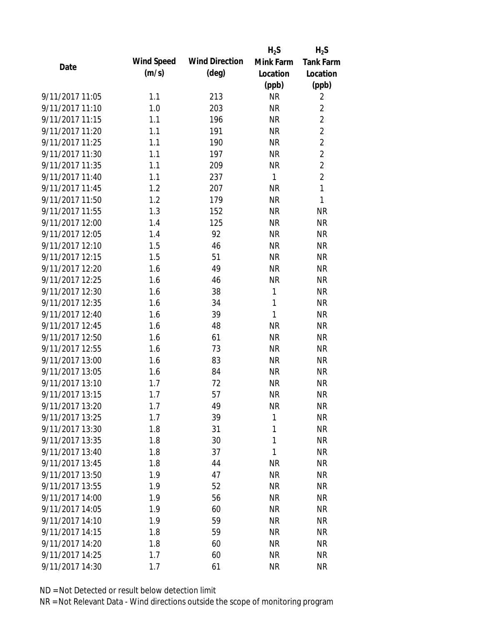|                 |            |                       | $H_2S$       | $H_2S$           |
|-----------------|------------|-----------------------|--------------|------------------|
| Date            | Wind Speed | <b>Wind Direction</b> | Mink Farm    | <b>Tank Farm</b> |
|                 | (m/s)      | $(\text{deg})$        | Location     | Location         |
|                 |            |                       | (ppb)        | (ppb)            |
| 9/11/2017 11:05 | 1.1        | 213                   | <b>NR</b>    | $\overline{2}$   |
| 9/11/2017 11:10 | 1.0        | 203                   | <b>NR</b>    | $\overline{2}$   |
| 9/11/2017 11:15 | 1.1        | 196                   | <b>NR</b>    | $\overline{2}$   |
| 9/11/2017 11:20 | 1.1        | 191                   | <b>NR</b>    | $\overline{2}$   |
| 9/11/2017 11:25 | 1.1        | 190                   | <b>NR</b>    | $\overline{2}$   |
| 9/11/2017 11:30 | 1.1        | 197                   | <b>NR</b>    | $\overline{2}$   |
| 9/11/2017 11:35 | 1.1        | 209                   | <b>NR</b>    | $\overline{2}$   |
| 9/11/2017 11:40 | 1.1        | 237                   | $\mathbf{1}$ | $\overline{2}$   |
| 9/11/2017 11:45 | 1.2        | 207                   | <b>NR</b>    | $\mathbf{1}$     |
| 9/11/2017 11:50 | 1.2        | 179                   | <b>NR</b>    | $\mathbf{1}$     |
| 9/11/2017 11:55 | 1.3        | 152                   | <b>NR</b>    | <b>NR</b>        |
| 9/11/2017 12:00 | 1.4        | 125                   | <b>NR</b>    | <b>NR</b>        |
| 9/11/2017 12:05 | 1.4        | 92                    | <b>NR</b>    | <b>NR</b>        |
| 9/11/2017 12:10 | 1.5        | 46                    | <b>NR</b>    | <b>NR</b>        |
| 9/11/2017 12:15 | 1.5        | 51                    | <b>NR</b>    | <b>NR</b>        |
| 9/11/2017 12:20 | 1.6        | 49                    | <b>NR</b>    | <b>NR</b>        |
| 9/11/2017 12:25 | 1.6        | 46                    | <b>NR</b>    | <b>NR</b>        |
| 9/11/2017 12:30 | 1.6        | 38                    | $\mathbf{1}$ | <b>NR</b>        |
| 9/11/2017 12:35 | 1.6        | 34                    | $\mathbf{1}$ | <b>NR</b>        |
| 9/11/2017 12:40 | 1.6        | 39                    | 1            | <b>NR</b>        |
| 9/11/2017 12:45 | 1.6        | 48                    | <b>NR</b>    | <b>NR</b>        |
| 9/11/2017 12:50 | 1.6        | 61                    | <b>NR</b>    | <b>NR</b>        |
| 9/11/2017 12:55 | 1.6        | 73                    | <b>NR</b>    | <b>NR</b>        |
| 9/11/2017 13:00 | 1.6        | 83                    | <b>NR</b>    | <b>NR</b>        |
| 9/11/2017 13:05 | 1.6        | 84                    | <b>NR</b>    | <b>NR</b>        |
| 9/11/2017 13:10 | 1.7        | 72                    | <b>NR</b>    | <b>NR</b>        |
| 9/11/2017 13:15 | 1.7        | 57                    | <b>NR</b>    | <b>NR</b>        |
| 9/11/2017 13:20 | 1.7        | 49                    | <b>NR</b>    | <b>NR</b>        |
| 9/11/2017 13:25 | 1.7        | 39                    | 1            | <b>NR</b>        |
| 9/11/2017 13:30 | 1.8        | 31                    | 1            | <b>NR</b>        |
| 9/11/2017 13:35 | 1.8        | 30                    | 1            | <b>NR</b>        |
| 9/11/2017 13:40 | 1.8        | 37                    | 1            | <b>NR</b>        |
| 9/11/2017 13:45 | 1.8        | 44                    | <b>NR</b>    | <b>NR</b>        |
| 9/11/2017 13:50 | 1.9        | 47                    | <b>NR</b>    | <b>NR</b>        |
| 9/11/2017 13:55 | 1.9        | 52                    | <b>NR</b>    | <b>NR</b>        |
| 9/11/2017 14:00 | 1.9        | 56                    | <b>NR</b>    | <b>NR</b>        |
| 9/11/2017 14:05 | 1.9        | 60                    | <b>NR</b>    | <b>NR</b>        |
| 9/11/2017 14:10 | 1.9        | 59                    | <b>NR</b>    | <b>NR</b>        |
| 9/11/2017 14:15 | 1.8        | 59                    | <b>NR</b>    | <b>NR</b>        |
| 9/11/2017 14:20 | 1.8        | 60                    | <b>NR</b>    | <b>NR</b>        |
| 9/11/2017 14:25 | 1.7        | 60                    | <b>NR</b>    | <b>NR</b>        |
| 9/11/2017 14:30 | 1.7        | 61                    | <b>NR</b>    | <b>NR</b>        |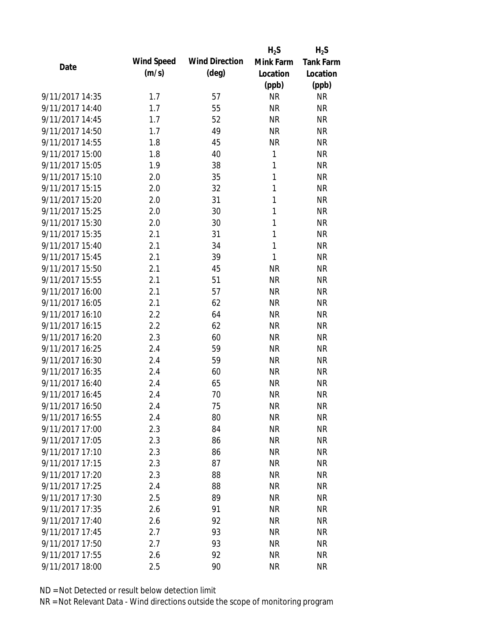|                 |            |                       | $H_2S$    | $H_2S$    |
|-----------------|------------|-----------------------|-----------|-----------|
| Date            | Wind Speed | <b>Wind Direction</b> | Mink Farm | Tank Farm |
|                 | (m/s)      | $(\text{deg})$        | Location  | Location  |
|                 |            |                       | (ppb)     | (ppb)     |
| 9/11/2017 14:35 | 1.7        | 57                    | <b>NR</b> | <b>NR</b> |
| 9/11/2017 14:40 | 1.7        | 55                    | <b>NR</b> | <b>NR</b> |
| 9/11/2017 14:45 | 1.7        | 52                    | <b>NR</b> | <b>NR</b> |
| 9/11/2017 14:50 | 1.7        | 49                    | <b>NR</b> | <b>NR</b> |
| 9/11/2017 14:55 | 1.8        | 45                    | <b>NR</b> | <b>NR</b> |
| 9/11/2017 15:00 | 1.8        | 40                    | 1         | <b>NR</b> |
| 9/11/2017 15:05 | 1.9        | 38                    | 1         | <b>NR</b> |
| 9/11/2017 15:10 | 2.0        | 35                    | 1         | <b>NR</b> |
| 9/11/2017 15:15 | 2.0        | 32                    | 1         | <b>NR</b> |
| 9/11/2017 15:20 | 2.0        | 31                    | 1         | <b>NR</b> |
| 9/11/2017 15:25 | 2.0        | 30                    | 1         | <b>NR</b> |
| 9/11/2017 15:30 | 2.0        | 30                    | 1         | <b>NR</b> |
| 9/11/2017 15:35 | 2.1        | 31                    | 1         | <b>NR</b> |
| 9/11/2017 15:40 | 2.1        | 34                    | 1         | <b>NR</b> |
| 9/11/2017 15:45 | 2.1        | 39                    | 1         | <b>NR</b> |
| 9/11/2017 15:50 | 2.1        | 45                    | <b>NR</b> | <b>NR</b> |
| 9/11/2017 15:55 | 2.1        | 51                    | <b>NR</b> | <b>NR</b> |
| 9/11/2017 16:00 | 2.1        | 57                    | <b>NR</b> | <b>NR</b> |
| 9/11/2017 16:05 | 2.1        | 62                    | <b>NR</b> | <b>NR</b> |
| 9/11/2017 16:10 | 2.2        | 64                    | <b>NR</b> | <b>NR</b> |
| 9/11/2017 16:15 | 2.2        | 62                    | <b>NR</b> | <b>NR</b> |
| 9/11/2017 16:20 | 2.3        | 60                    | <b>NR</b> | <b>NR</b> |
| 9/11/2017 16:25 | 2.4        | 59                    | <b>NR</b> | <b>NR</b> |
| 9/11/2017 16:30 | 2.4        | 59                    | <b>NR</b> | <b>NR</b> |
| 9/11/2017 16:35 | 2.4        | 60                    | <b>NR</b> | <b>NR</b> |
| 9/11/2017 16:40 | 2.4        | 65                    | <b>NR</b> | <b>NR</b> |
| 9/11/2017 16:45 | 2.4        | 70                    | <b>NR</b> | <b>NR</b> |
| 9/11/2017 16:50 | 2.4        | 75                    | <b>NR</b> | <b>NR</b> |
| 9/11/2017 16:55 | 2.4        | 80                    | <b>NR</b> | <b>NR</b> |
| 9/11/2017 17:00 | 2.3        | 84                    | <b>NR</b> | <b>NR</b> |
| 9/11/2017 17:05 | 2.3        | 86                    | <b>NR</b> | <b>NR</b> |
| 9/11/2017 17:10 | 2.3        | 86                    | <b>NR</b> | <b>NR</b> |
| 9/11/2017 17:15 | 2.3        | 87                    | <b>NR</b> | <b>NR</b> |
| 9/11/2017 17:20 | 2.3        | 88                    | <b>NR</b> | <b>NR</b> |
| 9/11/2017 17:25 | 2.4        | 88                    | <b>NR</b> | <b>NR</b> |
| 9/11/2017 17:30 | 2.5        | 89                    | <b>NR</b> | <b>NR</b> |
| 9/11/2017 17:35 | 2.6        | 91                    | <b>NR</b> | <b>NR</b> |
| 9/11/2017 17:40 | 2.6        | 92                    | <b>NR</b> | <b>NR</b> |
| 9/11/2017 17:45 | 2.7        | 93                    | <b>NR</b> | <b>NR</b> |
| 9/11/2017 17:50 | 2.7        | 93                    | NR        | <b>NR</b> |
| 9/11/2017 17:55 | 2.6        | 92                    | <b>NR</b> | <b>NR</b> |
| 9/11/2017 18:00 | 2.5        | 90                    | <b>NR</b> | <b>NR</b> |
|                 |            |                       |           |           |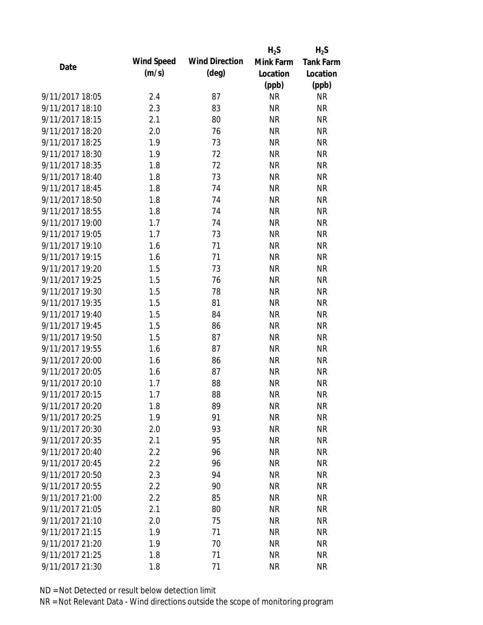|                 |            |                       | $H_2S$    | $H_2S$           |
|-----------------|------------|-----------------------|-----------|------------------|
| Date            | Wind Speed | <b>Wind Direction</b> | Mink Farm | <b>Tank Farm</b> |
|                 | (m/s)      | $(\text{deg})$        | Location  | Location         |
|                 |            |                       | (ppb)     | (ppb)            |
| 9/11/2017 18:05 | 2.4        | 87                    | <b>NR</b> | <b>NR</b>        |
| 9/11/2017 18:10 | 2.3        | 83                    | <b>NR</b> | <b>NR</b>        |
| 9/11/2017 18:15 | 2.1        | 80                    | <b>NR</b> | <b>NR</b>        |
| 9/11/2017 18:20 | 2.0        | 76                    | <b>NR</b> | <b>NR</b>        |
| 9/11/2017 18:25 | 1.9        | 73                    | <b>NR</b> | <b>NR</b>        |
| 9/11/2017 18:30 | 1.9        | 72                    | <b>NR</b> | <b>NR</b>        |
| 9/11/2017 18:35 | 1.8        | 72                    | <b>NR</b> | <b>NR</b>        |
| 9/11/2017 18:40 | 1.8        | 73                    | <b>NR</b> | <b>NR</b>        |
| 9/11/2017 18:45 | 1.8        | 74                    | <b>NR</b> | <b>NR</b>        |
| 9/11/2017 18:50 | 1.8        | 74                    | <b>NR</b> | <b>NR</b>        |
| 9/11/2017 18:55 | 1.8        | 74                    | <b>NR</b> | <b>NR</b>        |
| 9/11/2017 19:00 | 1.7        | 74                    | <b>NR</b> | <b>NR</b>        |
| 9/11/2017 19:05 | 1.7        | 73                    | <b>NR</b> | <b>NR</b>        |
| 9/11/2017 19:10 | 1.6        | 71                    | <b>NR</b> | <b>NR</b>        |
| 9/11/2017 19:15 | 1.6        | 71                    | <b>NR</b> | <b>NR</b>        |
| 9/11/2017 19:20 | 1.5        | 73                    | <b>NR</b> | <b>NR</b>        |
| 9/11/2017 19:25 | 1.5        | 76                    | <b>NR</b> | <b>NR</b>        |
| 9/11/2017 19:30 | 1.5        | 78                    | <b>NR</b> | <b>NR</b>        |
| 9/11/2017 19:35 | 1.5        | 81                    | <b>NR</b> | <b>NR</b>        |
| 9/11/2017 19:40 | 1.5        | 84                    | <b>NR</b> | <b>NR</b>        |
| 9/11/2017 19:45 | 1.5        | 86                    | <b>NR</b> | <b>NR</b>        |
| 9/11/2017 19:50 | 1.5        | 87                    | <b>NR</b> | <b>NR</b>        |
| 9/11/2017 19:55 | 1.6        | 87                    | <b>NR</b> | <b>NR</b>        |
| 9/11/2017 20:00 | 1.6        | 86                    | <b>NR</b> | <b>NR</b>        |
| 9/11/2017 20:05 | 1.6        | 87                    | <b>NR</b> | <b>NR</b>        |
| 9/11/2017 20:10 | 1.7        | 88                    | <b>NR</b> | <b>NR</b>        |
| 9/11/2017 20:15 | 1.7        | 88                    | <b>NR</b> | <b>NR</b>        |
| 9/11/2017 20:20 | 1.8        | 89                    | NR        | <b>NR</b>        |
| 9/11/2017 20:25 | 1.9        | 91                    | <b>NR</b> | <b>NR</b>        |
| 9/11/2017 20:30 | 2.0        | 93                    | <b>NR</b> | <b>NR</b>        |
| 9/11/2017 20:35 | 2.1        | 95                    | <b>NR</b> | <b>NR</b>        |
| 9/11/2017 20:40 | 2.2        | 96                    | <b>NR</b> | <b>NR</b>        |
| 9/11/2017 20:45 | 2.2        | 96                    | <b>NR</b> | <b>NR</b>        |
| 9/11/2017 20:50 | 2.3        | 94                    | <b>NR</b> | <b>NR</b>        |
| 9/11/2017 20:55 | 2.2        | 90                    | <b>NR</b> | <b>NR</b>        |
| 9/11/2017 21:00 | 2.2        | 85                    | <b>NR</b> | <b>NR</b>        |
| 9/11/2017 21:05 | 2.1        | 80                    | <b>NR</b> | <b>NR</b>        |
| 9/11/2017 21:10 | 2.0        | 75                    | <b>NR</b> | <b>NR</b>        |
| 9/11/2017 21:15 | 1.9        | 71                    | <b>NR</b> | <b>NR</b>        |
| 9/11/2017 21:20 | 1.9        | 70                    | NR        | <b>NR</b>        |
| 9/11/2017 21:25 | 1.8        | 71                    | <b>NR</b> | <b>NR</b>        |
| 9/11/2017 21:30 | 1.8        | 71                    | <b>NR</b> | <b>NR</b>        |
|                 |            |                       |           |                  |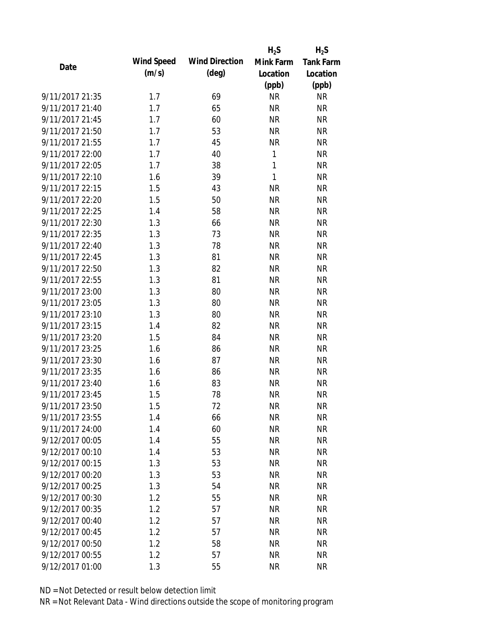|                 |            |                       | $H_2S$    | $H_2S$           |
|-----------------|------------|-----------------------|-----------|------------------|
| Date            | Wind Speed | <b>Wind Direction</b> | Mink Farm | <b>Tank Farm</b> |
|                 | (m/s)      | $(\text{deg})$        | Location  | Location         |
|                 |            |                       | (ppb)     | (ppb)            |
| 9/11/2017 21:35 | 1.7        | 69                    | <b>NR</b> | <b>NR</b>        |
| 9/11/2017 21:40 | 1.7        | 65                    | <b>NR</b> | <b>NR</b>        |
| 9/11/2017 21:45 | 1.7        | 60                    | <b>NR</b> | <b>NR</b>        |
| 9/11/2017 21:50 | 1.7        | 53                    | <b>NR</b> | <b>NR</b>        |
| 9/11/2017 21:55 | 1.7        | 45                    | <b>NR</b> | <b>NR</b>        |
| 9/11/2017 22:00 | 1.7        | 40                    | 1         | <b>NR</b>        |
| 9/11/2017 22:05 | 1.7        | 38                    | 1         | <b>NR</b>        |
| 9/11/2017 22:10 | 1.6        | 39                    | 1         | <b>NR</b>        |
| 9/11/2017 22:15 | 1.5        | 43                    | <b>NR</b> | <b>NR</b>        |
| 9/11/2017 22:20 | 1.5        | 50                    | <b>NR</b> | <b>NR</b>        |
| 9/11/2017 22:25 | 1.4        | 58                    | <b>NR</b> | <b>NR</b>        |
| 9/11/2017 22:30 | 1.3        | 66                    | <b>NR</b> | <b>NR</b>        |
| 9/11/2017 22:35 | 1.3        | 73                    | <b>NR</b> | <b>NR</b>        |
| 9/11/2017 22:40 | 1.3        | 78                    | <b>NR</b> | <b>NR</b>        |
| 9/11/2017 22:45 | 1.3        | 81                    | <b>NR</b> | <b>NR</b>        |
| 9/11/2017 22:50 | 1.3        | 82                    | <b>NR</b> | <b>NR</b>        |
| 9/11/2017 22:55 | 1.3        | 81                    | <b>NR</b> | <b>NR</b>        |
| 9/11/2017 23:00 | 1.3        | 80                    | <b>NR</b> | <b>NR</b>        |
| 9/11/2017 23:05 | 1.3        | 80                    | <b>NR</b> | <b>NR</b>        |
| 9/11/2017 23:10 | 1.3        | 80                    | <b>NR</b> | <b>NR</b>        |
| 9/11/2017 23:15 | 1.4        | 82                    | <b>NR</b> | <b>NR</b>        |
| 9/11/2017 23:20 | 1.5        | 84                    | <b>NR</b> | <b>NR</b>        |
| 9/11/2017 23:25 | 1.6        | 86                    | <b>NR</b> | <b>NR</b>        |
| 9/11/2017 23:30 | 1.6        | 87                    | <b>NR</b> | <b>NR</b>        |
| 9/11/2017 23:35 | 1.6        | 86                    | <b>NR</b> | <b>NR</b>        |
| 9/11/2017 23:40 | 1.6        | 83                    | <b>NR</b> | <b>NR</b>        |
| 9/11/2017 23:45 | 1.5        | 78                    | <b>NR</b> | <b>NR</b>        |
| 9/11/2017 23:50 | 1.5        | 72                    | <b>NR</b> | <b>NR</b>        |
| 9/11/2017 23:55 | 1.4        | 66                    | <b>NR</b> | <b>NR</b>        |
| 9/11/2017 24:00 | 1.4        | 60                    | <b>NR</b> | <b>NR</b>        |
| 9/12/2017 00:05 | 1.4        | 55                    | <b>NR</b> | <b>NR</b>        |
| 9/12/2017 00:10 | 1.4        | 53                    | <b>NR</b> | <b>NR</b>        |
| 9/12/2017 00:15 | 1.3        | 53                    | <b>NR</b> | <b>NR</b>        |
| 9/12/2017 00:20 | 1.3        | 53                    | <b>NR</b> | <b>NR</b>        |
| 9/12/2017 00:25 | 1.3        | 54                    | <b>NR</b> | <b>NR</b>        |
| 9/12/2017 00:30 | 1.2        | 55                    | <b>NR</b> | <b>NR</b>        |
| 9/12/2017 00:35 | 1.2        | 57                    | <b>NR</b> | <b>NR</b>        |
| 9/12/2017 00:40 | 1.2        | 57                    | <b>NR</b> | <b>NR</b>        |
| 9/12/2017 00:45 | 1.2        | 57                    | <b>NR</b> | <b>NR</b>        |
| 9/12/2017 00:50 | 1.2        | 58                    | <b>NR</b> | <b>NR</b>        |
| 9/12/2017 00:55 | 1.2        | 57                    | <b>NR</b> | <b>NR</b>        |
| 9/12/2017 01:00 | 1.3        | 55                    | <b>NR</b> | <b>NR</b>        |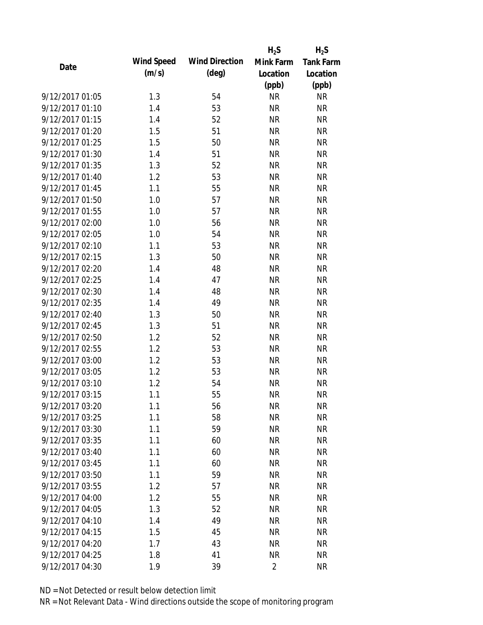|                 |            |                       | $H_2S$         | $H_2S$           |
|-----------------|------------|-----------------------|----------------|------------------|
| Date            | Wind Speed | <b>Wind Direction</b> | Mink Farm      | <b>Tank Farm</b> |
|                 | (m/s)      | $(\text{deg})$        | Location       | Location         |
|                 |            |                       | (ppb)          | (ppb)            |
| 9/12/2017 01:05 | 1.3        | 54                    | <b>NR</b>      | <b>NR</b>        |
| 9/12/2017 01:10 | 1.4        | 53                    | <b>NR</b>      | <b>NR</b>        |
| 9/12/2017 01:15 | 1.4        | 52                    | <b>NR</b>      | <b>NR</b>        |
| 9/12/2017 01:20 | 1.5        | 51                    | <b>NR</b>      | <b>NR</b>        |
| 9/12/2017 01:25 | 1.5        | 50                    | <b>NR</b>      | <b>NR</b>        |
| 9/12/2017 01:30 | 1.4        | 51                    | <b>NR</b>      | <b>NR</b>        |
| 9/12/2017 01:35 | 1.3        | 52                    | <b>NR</b>      | <b>NR</b>        |
| 9/12/2017 01:40 | 1.2        | 53                    | <b>NR</b>      | <b>NR</b>        |
| 9/12/2017 01:45 | 1.1        | 55                    | <b>NR</b>      | <b>NR</b>        |
| 9/12/2017 01:50 | 1.0        | 57                    | <b>NR</b>      | <b>NR</b>        |
| 9/12/2017 01:55 | 1.0        | 57                    | <b>NR</b>      | <b>NR</b>        |
| 9/12/2017 02:00 | 1.0        | 56                    | <b>NR</b>      | <b>NR</b>        |
| 9/12/2017 02:05 | 1.0        | 54                    | <b>NR</b>      | <b>NR</b>        |
| 9/12/2017 02:10 | 1.1        | 53                    | <b>NR</b>      | <b>NR</b>        |
| 9/12/2017 02:15 | 1.3        | 50                    | <b>NR</b>      | <b>NR</b>        |
| 9/12/2017 02:20 | 1.4        | 48                    | <b>NR</b>      | <b>NR</b>        |
| 9/12/2017 02:25 | 1.4        | 47                    | <b>NR</b>      | <b>NR</b>        |
| 9/12/2017 02:30 | 1.4        | 48                    | <b>NR</b>      | <b>NR</b>        |
| 9/12/2017 02:35 | 1.4        | 49                    | <b>NR</b>      | <b>NR</b>        |
| 9/12/2017 02:40 | 1.3        | 50                    | <b>NR</b>      | <b>NR</b>        |
| 9/12/2017 02:45 | 1.3        | 51                    | <b>NR</b>      | <b>NR</b>        |
| 9/12/2017 02:50 | 1.2        | 52                    | <b>NR</b>      | <b>NR</b>        |
| 9/12/2017 02:55 | 1.2        | 53                    | <b>NR</b>      | <b>NR</b>        |
| 9/12/2017 03:00 | 1.2        | 53                    | <b>NR</b>      | <b>NR</b>        |
| 9/12/2017 03:05 | 1.2        | 53                    | <b>NR</b>      | <b>NR</b>        |
| 9/12/2017 03:10 | 1.2        | 54                    | <b>NR</b>      | <b>NR</b>        |
| 9/12/2017 03:15 | 1.1        | 55                    | <b>NR</b>      | <b>NR</b>        |
| 9/12/2017 03:20 | 1.1        | 56                    | <b>NR</b>      | <b>NR</b>        |
| 9/12/2017 03:25 | 1.1        | 58                    | <b>NR</b>      | <b>NR</b>        |
| 9/12/2017 03:30 | 1.1        | 59                    | <b>NR</b>      | <b>NR</b>        |
| 9/12/2017 03:35 | 1.1        | 60                    | <b>NR</b>      | <b>NR</b>        |
| 9/12/2017 03:40 | 1.1        | 60                    | <b>NR</b>      | <b>NR</b>        |
| 9/12/2017 03:45 | 1.1        | 60                    | <b>NR</b>      | <b>NR</b>        |
| 9/12/2017 03:50 | 1.1        | 59                    | <b>NR</b>      | <b>NR</b>        |
| 9/12/2017 03:55 | 1.2        | 57                    | <b>NR</b>      | <b>NR</b>        |
| 9/12/2017 04:00 | 1.2        | 55                    | <b>NR</b>      | <b>NR</b>        |
| 9/12/2017 04:05 | 1.3        | 52                    | <b>NR</b>      | <b>NR</b>        |
| 9/12/2017 04:10 | 1.4        | 49                    | <b>NR</b>      | <b>NR</b>        |
| 9/12/2017 04:15 | 1.5        | 45                    | <b>NR</b>      | <b>NR</b>        |
| 9/12/2017 04:20 | 1.7        | 43                    | <b>NR</b>      | <b>NR</b>        |
| 9/12/2017 04:25 | 1.8        | 41                    | <b>NR</b>      | <b>NR</b>        |
| 9/12/2017 04:30 | 1.9        | 39                    | $\overline{2}$ | <b>NR</b>        |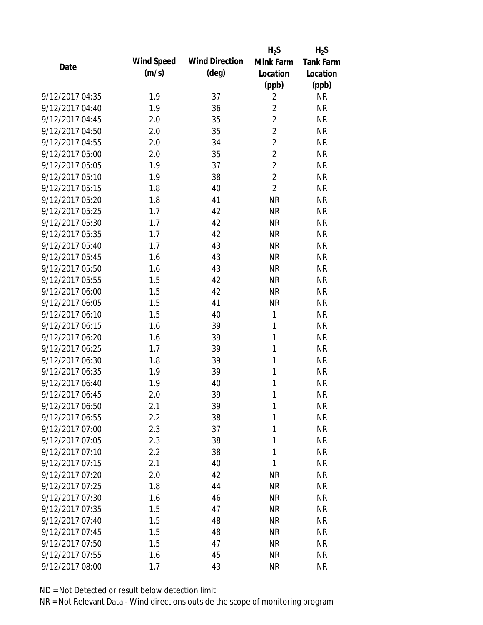|                 |            |                       | $H_2S$         | $H_2S$           |
|-----------------|------------|-----------------------|----------------|------------------|
| Date            | Wind Speed | <b>Wind Direction</b> | Mink Farm      | <b>Tank Farm</b> |
|                 | (m/s)      | $(\text{deg})$        | Location       | Location         |
|                 |            |                       | (ppb)          | (ppb)            |
| 9/12/2017 04:35 | 1.9        | 37                    | $\overline{2}$ | <b>NR</b>        |
| 9/12/2017 04:40 | 1.9        | 36                    | $\overline{2}$ | <b>NR</b>        |
| 9/12/2017 04:45 | 2.0        | 35                    | $\overline{2}$ | <b>NR</b>        |
| 9/12/2017 04:50 | 2.0        | 35                    | $\overline{2}$ | <b>NR</b>        |
| 9/12/2017 04:55 | 2.0        | 34                    | $\overline{2}$ | <b>NR</b>        |
| 9/12/2017 05:00 | 2.0        | 35                    | $\overline{2}$ | <b>NR</b>        |
| 9/12/2017 05:05 | 1.9        | 37                    | $\overline{2}$ | <b>NR</b>        |
| 9/12/2017 05:10 | 1.9        | 38                    | $\overline{2}$ | <b>NR</b>        |
| 9/12/2017 05:15 | 1.8        | 40                    | $\overline{2}$ | <b>NR</b>        |
| 9/12/2017 05:20 | 1.8        | 41                    | <b>NR</b>      | <b>NR</b>        |
| 9/12/2017 05:25 | 1.7        | 42                    | <b>NR</b>      | <b>NR</b>        |
| 9/12/2017 05:30 | 1.7        | 42                    | <b>NR</b>      | <b>NR</b>        |
| 9/12/2017 05:35 | 1.7        | 42                    | <b>NR</b>      | <b>NR</b>        |
| 9/12/2017 05:40 | 1.7        | 43                    | <b>NR</b>      | <b>NR</b>        |
| 9/12/2017 05:45 | 1.6        | 43                    | <b>NR</b>      | <b>NR</b>        |
| 9/12/2017 05:50 | 1.6        | 43                    | <b>NR</b>      | <b>NR</b>        |
| 9/12/2017 05:55 | 1.5        | 42                    | <b>NR</b>      | <b>NR</b>        |
| 9/12/2017 06:00 | 1.5        | 42                    | <b>NR</b>      | <b>NR</b>        |
| 9/12/2017 06:05 | 1.5        | 41                    | <b>NR</b>      | <b>NR</b>        |
| 9/12/2017 06:10 | 1.5        | 40                    | 1              | <b>NR</b>        |
| 9/12/2017 06:15 | 1.6        | 39                    | 1              | <b>NR</b>        |
| 9/12/2017 06:20 | 1.6        | 39                    | $\mathbf{1}$   | <b>NR</b>        |
| 9/12/2017 06:25 | 1.7        | 39                    | 1              | <b>NR</b>        |
| 9/12/2017 06:30 | 1.8        | 39                    | 1              | <b>NR</b>        |
| 9/12/2017 06:35 | 1.9        | 39                    | 1              | <b>NR</b>        |
| 9/12/2017 06:40 | 1.9        | 40                    | 1              | <b>NR</b>        |
| 9/12/2017 06:45 | 2.0        | 39                    | 1              | <b>NR</b>        |
| 9/12/2017 06:50 | 2.1        | 39                    | 1              | <b>NR</b>        |
| 9/12/2017 06:55 | 2.2        | 38                    | 1              | <b>NR</b>        |
| 9/12/2017 07:00 | 2.3        | 37                    | 1              | <b>NR</b>        |
| 9/12/2017 07:05 | 2.3        | 38                    | 1              | <b>NR</b>        |
| 9/12/2017 07:10 | 2.2        | 38                    | 1              | <b>NR</b>        |
| 9/12/2017 07:15 | 2.1        | 40                    | 1              | <b>NR</b>        |
| 9/12/2017 07:20 | 2.0        | 42                    | <b>NR</b>      | <b>NR</b>        |
| 9/12/2017 07:25 | 1.8        | 44                    | <b>NR</b>      | <b>NR</b>        |
| 9/12/2017 07:30 | 1.6        | 46                    | <b>NR</b>      | <b>NR</b>        |
| 9/12/2017 07:35 | 1.5        | 47                    | <b>NR</b>      | <b>NR</b>        |
| 9/12/2017 07:40 | 1.5        | 48                    | <b>NR</b>      | <b>NR</b>        |
| 9/12/2017 07:45 | 1.5        | 48                    | <b>NR</b>      | <b>NR</b>        |
| 9/12/2017 07:50 | 1.5        | 47                    | <b>NR</b>      | <b>NR</b>        |
| 9/12/2017 07:55 | 1.6        | 45                    | <b>NR</b>      | <b>NR</b>        |
| 9/12/2017 08:00 | 1.7        | 43                    | <b>NR</b>      | <b>NR</b>        |
|                 |            |                       |                |                  |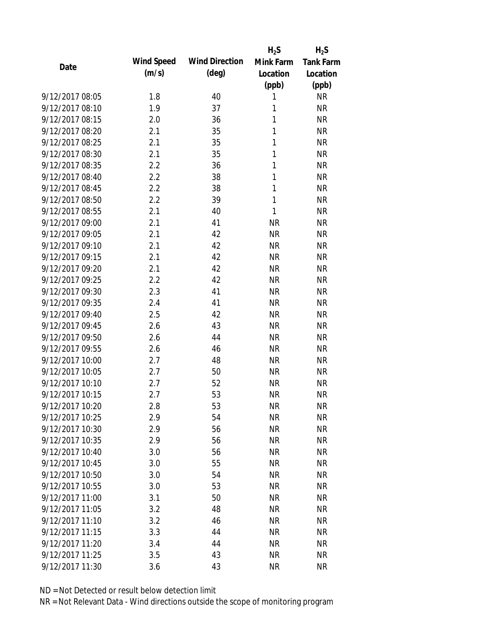|                 |            |                       | $H_2S$       | $H_2S$           |
|-----------------|------------|-----------------------|--------------|------------------|
|                 | Wind Speed | <b>Wind Direction</b> | Mink Farm    | <b>Tank Farm</b> |
| Date            | (m/s)      | $(\text{deg})$        | Location     | Location         |
|                 |            |                       | (ppb)        | (ppb)            |
| 9/12/2017 08:05 | 1.8        | 40                    | 1            | <b>NR</b>        |
| 9/12/2017 08:10 | 1.9        | 37                    | 1            | <b>NR</b>        |
| 9/12/2017 08:15 | 2.0        | 36                    | $\mathbf{1}$ | <b>NR</b>        |
| 9/12/2017 08:20 | 2.1        | 35                    | 1            | <b>NR</b>        |
| 9/12/2017 08:25 | 2.1        | 35                    | 1            | <b>NR</b>        |
| 9/12/2017 08:30 | 2.1        | 35                    | 1            | <b>NR</b>        |
| 9/12/2017 08:35 | 2.2        | 36                    | 1            | <b>NR</b>        |
| 9/12/2017 08:40 | 2.2        | 38                    | $\mathbf{1}$ | <b>NR</b>        |
| 9/12/2017 08:45 | 2.2        | 38                    | 1            | <b>NR</b>        |
| 9/12/2017 08:50 | 2.2        | 39                    | 1            | <b>NR</b>        |
| 9/12/2017 08:55 | 2.1        | 40                    | 1            | <b>NR</b>        |
| 9/12/2017 09:00 | 2.1        | 41                    | <b>NR</b>    | <b>NR</b>        |
| 9/12/2017 09:05 | 2.1        | 42                    | <b>NR</b>    | <b>NR</b>        |
| 9/12/2017 09:10 | 2.1        | 42                    | <b>NR</b>    | <b>NR</b>        |
| 9/12/2017 09:15 | 2.1        | 42                    | <b>NR</b>    | <b>NR</b>        |
| 9/12/2017 09:20 | 2.1        | 42                    | <b>NR</b>    | <b>NR</b>        |
| 9/12/2017 09:25 | 2.2        | 42                    | <b>NR</b>    | <b>NR</b>        |
| 9/12/2017 09:30 | 2.3        | 41                    | <b>NR</b>    | <b>NR</b>        |
| 9/12/2017 09:35 | 2.4        | 41                    | <b>NR</b>    | <b>NR</b>        |
| 9/12/2017 09:40 | 2.5        | 42                    | <b>NR</b>    | <b>NR</b>        |
| 9/12/2017 09:45 | 2.6        | 43                    | <b>NR</b>    | <b>NR</b>        |
| 9/12/2017 09:50 | 2.6        | 44                    | <b>NR</b>    | <b>NR</b>        |
| 9/12/2017 09:55 | 2.6        | 46                    | <b>NR</b>    | <b>NR</b>        |
| 9/12/2017 10:00 | 2.7        | 48                    | <b>NR</b>    | <b>NR</b>        |
| 9/12/2017 10:05 | 2.7        | 50                    | <b>NR</b>    | <b>NR</b>        |
| 9/12/2017 10:10 | 2.7        | 52                    | <b>NR</b>    | <b>NR</b>        |
| 9/12/2017 10:15 | 2.7        | 53                    | <b>NR</b>    | <b>NR</b>        |
| 9/12/2017 10:20 | 2.8        | 53                    | <b>NR</b>    | <b>NR</b>        |
| 9/12/2017 10:25 | 2.9        | 54                    | <b>NR</b>    | <b>NR</b>        |
| 9/12/2017 10:30 | 2.9        | 56                    | <b>NR</b>    | <b>NR</b>        |
| 9/12/2017 10:35 | 2.9        | 56                    | <b>NR</b>    | <b>NR</b>        |
| 9/12/2017 10:40 | 3.0        | 56                    | <b>NR</b>    | <b>NR</b>        |
| 9/12/2017 10:45 | 3.0        | 55                    | <b>NR</b>    | <b>NR</b>        |
| 9/12/2017 10:50 | 3.0        | 54                    | <b>NR</b>    | <b>NR</b>        |
| 9/12/2017 10:55 | 3.0        | 53                    | <b>NR</b>    | <b>NR</b>        |
| 9/12/2017 11:00 | 3.1        | 50                    | <b>NR</b>    | <b>NR</b>        |
| 9/12/2017 11:05 | 3.2        | 48                    | <b>NR</b>    | <b>NR</b>        |
| 9/12/2017 11:10 | 3.2        | 46                    | <b>NR</b>    | <b>NR</b>        |
| 9/12/2017 11:15 | 3.3        | 44                    | <b>NR</b>    | <b>NR</b>        |
| 9/12/2017 11:20 | 3.4        | 44                    | <b>NR</b>    | <b>NR</b>        |
| 9/12/2017 11:25 | 3.5        | 43                    | <b>NR</b>    | <b>NR</b>        |
| 9/12/2017 11:30 | 3.6        | 43                    | <b>NR</b>    | <b>NR</b>        |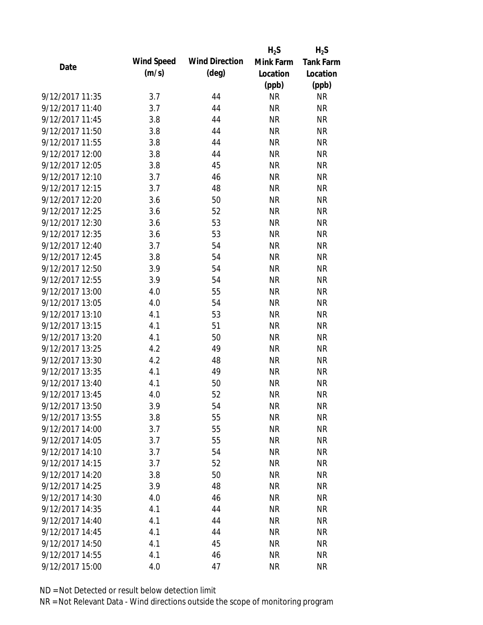|                 |            |                       | $H_2S$    | $H_2S$           |
|-----------------|------------|-----------------------|-----------|------------------|
| Date            | Wind Speed | <b>Wind Direction</b> | Mink Farm | <b>Tank Farm</b> |
|                 | (m/s)      | $(\text{deg})$        | Location  | Location         |
|                 |            |                       | (ppb)     | (ppb)            |
| 9/12/2017 11:35 | 3.7        | 44                    | <b>NR</b> | <b>NR</b>        |
| 9/12/2017 11:40 | 3.7        | 44                    | <b>NR</b> | <b>NR</b>        |
| 9/12/2017 11:45 | 3.8        | 44                    | <b>NR</b> | <b>NR</b>        |
| 9/12/2017 11:50 | 3.8        | 44                    | <b>NR</b> | <b>NR</b>        |
| 9/12/2017 11:55 | 3.8        | 44                    | <b>NR</b> | <b>NR</b>        |
| 9/12/2017 12:00 | 3.8        | 44                    | <b>NR</b> | <b>NR</b>        |
| 9/12/2017 12:05 | 3.8        | 45                    | <b>NR</b> | <b>NR</b>        |
| 9/12/2017 12:10 | 3.7        | 46                    | <b>NR</b> | <b>NR</b>        |
| 9/12/2017 12:15 | 3.7        | 48                    | <b>NR</b> | <b>NR</b>        |
| 9/12/2017 12:20 | 3.6        | 50                    | <b>NR</b> | <b>NR</b>        |
| 9/12/2017 12:25 | 3.6        | 52                    | <b>NR</b> | <b>NR</b>        |
| 9/12/2017 12:30 | 3.6        | 53                    | <b>NR</b> | <b>NR</b>        |
| 9/12/2017 12:35 | 3.6        | 53                    | <b>NR</b> | <b>NR</b>        |
| 9/12/2017 12:40 | 3.7        | 54                    | <b>NR</b> | <b>NR</b>        |
| 9/12/2017 12:45 | 3.8        | 54                    | <b>NR</b> | <b>NR</b>        |
| 9/12/2017 12:50 | 3.9        | 54                    | <b>NR</b> | <b>NR</b>        |
| 9/12/2017 12:55 | 3.9        | 54                    | <b>NR</b> | <b>NR</b>        |
| 9/12/2017 13:00 | 4.0        | 55                    | <b>NR</b> | <b>NR</b>        |
| 9/12/2017 13:05 | 4.0        | 54                    | <b>NR</b> | <b>NR</b>        |
| 9/12/2017 13:10 | 4.1        | 53                    | <b>NR</b> | <b>NR</b>        |
| 9/12/2017 13:15 | 4.1        | 51                    | <b>NR</b> | <b>NR</b>        |
| 9/12/2017 13:20 | 4.1        | 50                    | <b>NR</b> | <b>NR</b>        |
| 9/12/2017 13:25 | 4.2        | 49                    | <b>NR</b> | <b>NR</b>        |
| 9/12/2017 13:30 | 4.2        | 48                    | <b>NR</b> | <b>NR</b>        |
| 9/12/2017 13:35 | 4.1        | 49                    | <b>NR</b> | <b>NR</b>        |
| 9/12/2017 13:40 | 4.1        | 50                    | <b>NR</b> | <b>NR</b>        |
| 9/12/2017 13:45 | 4.0        | 52                    | <b>NR</b> | <b>NR</b>        |
| 9/12/2017 13:50 | 3.9        | 54                    | <b>NR</b> | <b>NR</b>        |
| 9/12/2017 13:55 | 3.8        | 55                    | <b>NR</b> | <b>NR</b>        |
| 9/12/2017 14:00 | 3.7        | 55                    | <b>NR</b> | <b>NR</b>        |
| 9/12/2017 14:05 | 3.7        | 55                    | <b>NR</b> | <b>NR</b>        |
| 9/12/2017 14:10 | 3.7        | 54                    | <b>NR</b> | <b>NR</b>        |
| 9/12/2017 14:15 | 3.7        | 52                    | <b>NR</b> | <b>NR</b>        |
| 9/12/2017 14:20 | 3.8        | 50                    | <b>NR</b> | <b>NR</b>        |
| 9/12/2017 14:25 | 3.9        | 48                    | <b>NR</b> | <b>NR</b>        |
| 9/12/2017 14:30 | 4.0        | 46                    | <b>NR</b> | <b>NR</b>        |
| 9/12/2017 14:35 | 4.1        | 44                    | <b>NR</b> | <b>NR</b>        |
| 9/12/2017 14:40 | 4.1        | 44                    | <b>NR</b> | <b>NR</b>        |
| 9/12/2017 14:45 | 4.1        | 44                    | <b>NR</b> | <b>NR</b>        |
| 9/12/2017 14:50 | 4.1        | 45                    | <b>NR</b> | <b>NR</b>        |
| 9/12/2017 14:55 | 4.1        | 46                    | <b>NR</b> | <b>NR</b>        |
| 9/12/2017 15:00 | 4.0        | 47                    | <b>NR</b> | <b>NR</b>        |
|                 |            |                       |           |                  |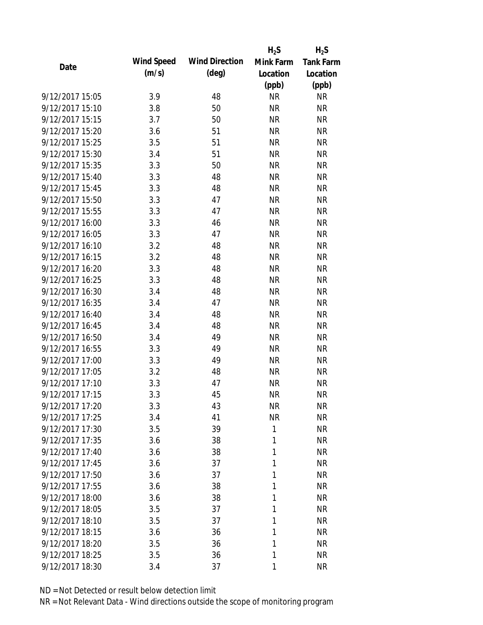|                 |            |                       | $H_2S$    | $H_2S$           |
|-----------------|------------|-----------------------|-----------|------------------|
| Date            | Wind Speed | <b>Wind Direction</b> | Mink Farm | <b>Tank Farm</b> |
|                 | (m/s)      | $(\text{deg})$        | Location  | Location         |
|                 |            |                       | (ppb)     | (ppb)            |
| 9/12/2017 15:05 | 3.9        | 48                    | <b>NR</b> | <b>NR</b>        |
| 9/12/2017 15:10 | 3.8        | 50                    | <b>NR</b> | <b>NR</b>        |
| 9/12/2017 15:15 | 3.7        | 50                    | <b>NR</b> | <b>NR</b>        |
| 9/12/2017 15:20 | 3.6        | 51                    | <b>NR</b> | <b>NR</b>        |
| 9/12/2017 15:25 | 3.5        | 51                    | <b>NR</b> | <b>NR</b>        |
| 9/12/2017 15:30 | 3.4        | 51                    | <b>NR</b> | <b>NR</b>        |
| 9/12/2017 15:35 | 3.3        | 50                    | <b>NR</b> | <b>NR</b>        |
| 9/12/2017 15:40 | 3.3        | 48                    | <b>NR</b> | <b>NR</b>        |
| 9/12/2017 15:45 | 3.3        | 48                    | <b>NR</b> | <b>NR</b>        |
| 9/12/2017 15:50 | 3.3        | 47                    | <b>NR</b> | <b>NR</b>        |
| 9/12/2017 15:55 | 3.3        | 47                    | <b>NR</b> | <b>NR</b>        |
| 9/12/2017 16:00 | 3.3        | 46                    | <b>NR</b> | <b>NR</b>        |
| 9/12/2017 16:05 | 3.3        | 47                    | <b>NR</b> | <b>NR</b>        |
| 9/12/2017 16:10 | 3.2        | 48                    | <b>NR</b> | <b>NR</b>        |
| 9/12/2017 16:15 | 3.2        | 48                    | <b>NR</b> | <b>NR</b>        |
| 9/12/2017 16:20 | 3.3        | 48                    | <b>NR</b> | <b>NR</b>        |
| 9/12/2017 16:25 | 3.3        | 48                    | <b>NR</b> | <b>NR</b>        |
| 9/12/2017 16:30 | 3.4        | 48                    | <b>NR</b> | <b>NR</b>        |
| 9/12/2017 16:35 | 3.4        | 47                    | <b>NR</b> | <b>NR</b>        |
| 9/12/2017 16:40 | 3.4        | 48                    | <b>NR</b> | <b>NR</b>        |
| 9/12/2017 16:45 | 3.4        | 48                    | <b>NR</b> | <b>NR</b>        |
| 9/12/2017 16:50 | 3.4        | 49                    | <b>NR</b> | <b>NR</b>        |
| 9/12/2017 16:55 | 3.3        | 49                    | <b>NR</b> | <b>NR</b>        |
| 9/12/2017 17:00 | 3.3        | 49                    | <b>NR</b> | <b>NR</b>        |
| 9/12/2017 17:05 | 3.2        | 48                    | <b>NR</b> | <b>NR</b>        |
| 9/12/2017 17:10 | 3.3        | 47                    | <b>NR</b> | <b>NR</b>        |
| 9/12/2017 17:15 | 3.3        | 45                    | <b>NR</b> | <b>NR</b>        |
| 9/12/2017 17:20 | 3.3        | 43                    | <b>NR</b> | <b>NR</b>        |
| 9/12/2017 17:25 | 3.4        | 41                    | <b>NR</b> | <b>NR</b>        |
| 9/12/2017 17:30 | 3.5        | 39                    | 1         | <b>NR</b>        |
| 9/12/2017 17:35 | 3.6        | 38                    | 1         | <b>NR</b>        |
| 9/12/2017 17:40 | 3.6        | 38                    | 1         | <b>NR</b>        |
| 9/12/2017 17:45 | 3.6        | 37                    | 1         | <b>NR</b>        |
| 9/12/2017 17:50 | 3.6        | 37                    | 1         | <b>NR</b>        |
| 9/12/2017 17:55 | 3.6        | 38                    | 1         | <b>NR</b>        |
| 9/12/2017 18:00 | 3.6        | 38                    | 1         | <b>NR</b>        |
| 9/12/2017 18:05 | 3.5        | 37                    | 1         | <b>NR</b>        |
| 9/12/2017 18:10 | 3.5        | 37                    | 1         | <b>NR</b>        |
| 9/12/2017 18:15 | 3.6        | 36                    | 1         | <b>NR</b>        |
| 9/12/2017 18:20 | 3.5        | 36                    | 1         | <b>NR</b>        |
| 9/12/2017 18:25 | 3.5        | 36                    | 1         | <b>NR</b>        |
| 9/12/2017 18:30 | 3.4        | 37                    | 1         | <b>NR</b>        |
|                 |            |                       |           |                  |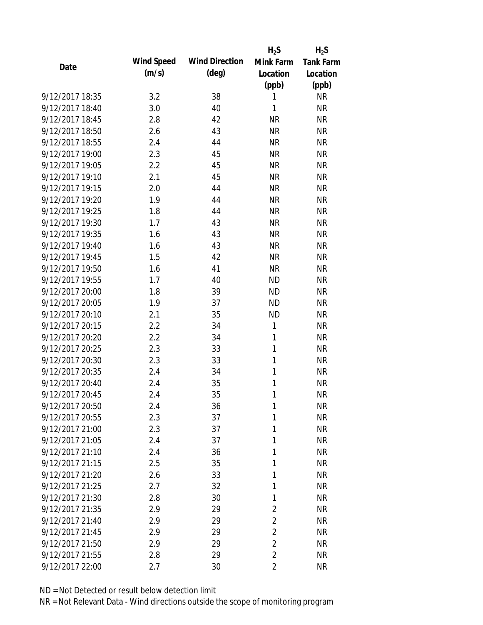|                 |            |                       | $H_2S$         | $H_2S$           |
|-----------------|------------|-----------------------|----------------|------------------|
| Date            | Wind Speed | <b>Wind Direction</b> | Mink Farm      | <b>Tank Farm</b> |
|                 | (m/s)      | $(\text{deg})$        | Location       | Location         |
|                 |            |                       | (ppb)          | (ppb)            |
| 9/12/2017 18:35 | 3.2        | 38                    | 1              | <b>NR</b>        |
| 9/12/2017 18:40 | 3.0        | 40                    | 1              | <b>NR</b>        |
| 9/12/2017 18:45 | 2.8        | 42                    | <b>NR</b>      | <b>NR</b>        |
| 9/12/2017 18:50 | 2.6        | 43                    | <b>NR</b>      | <b>NR</b>        |
| 9/12/2017 18:55 | 2.4        | 44                    | <b>NR</b>      | <b>NR</b>        |
| 9/12/2017 19:00 | 2.3        | 45                    | <b>NR</b>      | <b>NR</b>        |
| 9/12/2017 19:05 | 2.2        | 45                    | <b>NR</b>      | <b>NR</b>        |
| 9/12/2017 19:10 | 2.1        | 45                    | <b>NR</b>      | <b>NR</b>        |
| 9/12/2017 19:15 | 2.0        | 44                    | <b>NR</b>      | <b>NR</b>        |
| 9/12/2017 19:20 | 1.9        | 44                    | <b>NR</b>      | <b>NR</b>        |
| 9/12/2017 19:25 | 1.8        | 44                    | <b>NR</b>      | <b>NR</b>        |
| 9/12/2017 19:30 | 1.7        | 43                    | <b>NR</b>      | <b>NR</b>        |
| 9/12/2017 19:35 | 1.6        | 43                    | <b>NR</b>      | <b>NR</b>        |
| 9/12/2017 19:40 | 1.6        | 43                    | <b>NR</b>      | <b>NR</b>        |
| 9/12/2017 19:45 | 1.5        | 42                    | <b>NR</b>      | <b>NR</b>        |
| 9/12/2017 19:50 | 1.6        | 41                    | <b>NR</b>      | <b>NR</b>        |
| 9/12/2017 19:55 | 1.7        | 40                    | <b>ND</b>      | <b>NR</b>        |
| 9/12/2017 20:00 | 1.8        | 39                    | <b>ND</b>      | <b>NR</b>        |
| 9/12/2017 20:05 | 1.9        | 37                    | <b>ND</b>      | <b>NR</b>        |
| 9/12/2017 20:10 | 2.1        | 35                    | <b>ND</b>      | <b>NR</b>        |
| 9/12/2017 20:15 | 2.2        | 34                    | 1              | <b>NR</b>        |
| 9/12/2017 20:20 | 2.2        | 34                    | 1              | <b>NR</b>        |
| 9/12/2017 20:25 | 2.3        | 33                    | 1              | <b>NR</b>        |
| 9/12/2017 20:30 | 2.3        | 33                    | $\mathbf{1}$   | <b>NR</b>        |
| 9/12/2017 20:35 | 2.4        | 34                    | 1              | <b>NR</b>        |
| 9/12/2017 20:40 | 2.4        | 35                    | 1              | <b>NR</b>        |
| 9/12/2017 20:45 | 2.4        | 35                    | 1              | <b>NR</b>        |
| 9/12/2017 20:50 | 2.4        | 36                    | 1              | <b>NR</b>        |
| 9/12/2017 20:55 | 2.3        | 37                    | 1              | <b>NR</b>        |
| 9/12/2017 21:00 | 2.3        | 37                    | 1              | <b>NR</b>        |
| 9/12/2017 21:05 | 2.4        | 37                    | 1              | <b>NR</b>        |
| 9/12/2017 21:10 | 2.4        | 36                    | 1              | <b>NR</b>        |
| 9/12/2017 21:15 | 2.5        | 35                    | 1              | <b>NR</b>        |
| 9/12/2017 21:20 | 2.6        | 33                    | 1              | <b>NR</b>        |
| 9/12/2017 21:25 | 2.7        | 32                    | 1              | <b>NR</b>        |
| 9/12/2017 21:30 | 2.8        | 30                    | 1              | <b>NR</b>        |
| 9/12/2017 21:35 | 2.9        | 29                    | $\overline{2}$ | <b>NR</b>        |
| 9/12/2017 21:40 | 2.9        | 29                    | $\overline{2}$ | <b>NR</b>        |
| 9/12/2017 21:45 | 2.9        | 29                    | $\overline{2}$ | <b>NR</b>        |
| 9/12/2017 21:50 | 2.9        | 29                    | $\overline{2}$ | <b>NR</b>        |
| 9/12/2017 21:55 | 2.8        | 29                    | $\overline{2}$ | <b>NR</b>        |
| 9/12/2017 22:00 | 2.7        | 30                    | $\overline{2}$ | <b>NR</b>        |
|                 |            |                       |                |                  |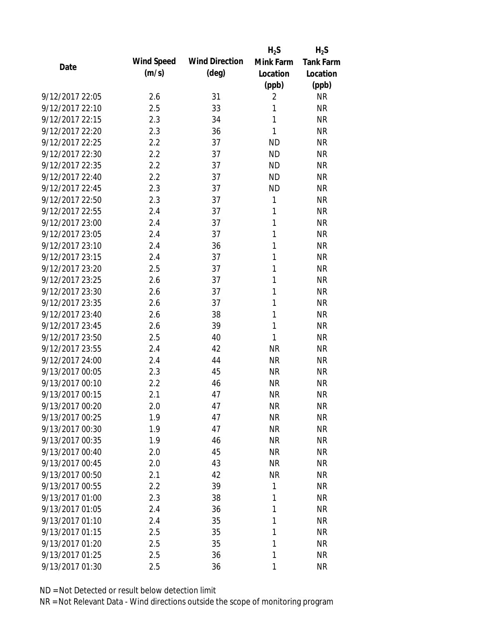|                 |            |                       | $H_2S$       | $H_2S$           |
|-----------------|------------|-----------------------|--------------|------------------|
| Date            | Wind Speed | <b>Wind Direction</b> | Mink Farm    | <b>Tank Farm</b> |
|                 | (m/s)      | $(\text{deg})$        | Location     | Location         |
|                 |            |                       | (ppb)        | (ppb)            |
| 9/12/2017 22:05 | 2.6        | 31                    | 2            | <b>NR</b>        |
| 9/12/2017 22:10 | 2.5        | 33                    | 1            | <b>NR</b>        |
| 9/12/2017 22:15 | 2.3        | 34                    | $\mathbf{1}$ | <b>NR</b>        |
| 9/12/2017 22:20 | 2.3        | 36                    | $\mathbf{1}$ | <b>NR</b>        |
| 9/12/2017 22:25 | 2.2        | 37                    | <b>ND</b>    | <b>NR</b>        |
| 9/12/2017 22:30 | 2.2        | 37                    | <b>ND</b>    | <b>NR</b>        |
| 9/12/2017 22:35 | 2.2        | 37                    | <b>ND</b>    | <b>NR</b>        |
| 9/12/2017 22:40 | 2.2        | 37                    | <b>ND</b>    | <b>NR</b>        |
| 9/12/2017 22:45 | 2.3        | 37                    | <b>ND</b>    | <b>NR</b>        |
| 9/12/2017 22:50 | 2.3        | 37                    | 1            | <b>NR</b>        |
| 9/12/2017 22:55 | 2.4        | 37                    | 1            | <b>NR</b>        |
| 9/12/2017 23:00 | 2.4        | 37                    | 1            | <b>NR</b>        |
| 9/12/2017 23:05 | 2.4        | 37                    | 1            | <b>NR</b>        |
| 9/12/2017 23:10 | 2.4        | 36                    | 1            | <b>NR</b>        |
| 9/12/2017 23:15 | 2.4        | 37                    | 1            | <b>NR</b>        |
| 9/12/2017 23:20 | 2.5        | 37                    | 1            | <b>NR</b>        |
| 9/12/2017 23:25 | 2.6        | 37                    | 1            | <b>NR</b>        |
| 9/12/2017 23:30 | 2.6        | 37                    | 1            | <b>NR</b>        |
| 9/12/2017 23:35 | 2.6        | 37                    | 1            | <b>NR</b>        |
| 9/12/2017 23:40 | 2.6        | 38                    | 1            | <b>NR</b>        |
| 9/12/2017 23:45 | 2.6        | 39                    | 1            | <b>NR</b>        |
| 9/12/2017 23:50 | 2.5        | 40                    | $\mathbf{1}$ | <b>NR</b>        |
| 9/12/2017 23:55 | 2.4        | 42                    | <b>NR</b>    | <b>NR</b>        |
| 9/12/2017 24:00 | 2.4        | 44                    | <b>NR</b>    | <b>NR</b>        |
| 9/13/2017 00:05 | 2.3        | 45                    | <b>NR</b>    | <b>NR</b>        |
| 9/13/2017 00:10 | 2.2        | 46                    | <b>NR</b>    | <b>NR</b>        |
| 9/13/2017 00:15 | 2.1        | 47                    | <b>NR</b>    | <b>NR</b>        |
| 9/13/2017 00:20 | 2.0        | 47                    | <b>NR</b>    | <b>NR</b>        |
| 9/13/2017 00:25 | 1.9        | 47                    | <b>NR</b>    | <b>NR</b>        |
| 9/13/2017 00:30 | 1.9        | 47                    | <b>NR</b>    | <b>NR</b>        |
| 9/13/2017 00:35 | 1.9        | 46                    | <b>NR</b>    | <b>NR</b>        |
| 9/13/2017 00:40 | 2.0        | 45                    | <b>NR</b>    | <b>NR</b>        |
| 9/13/2017 00:45 | 2.0        | 43                    | <b>NR</b>    | <b>NR</b>        |
| 9/13/2017 00:50 | 2.1        | 42                    | <b>NR</b>    | <b>NR</b>        |
| 9/13/2017 00:55 | 2.2        | 39                    | 1            | <b>NR</b>        |
| 9/13/2017 01:00 | 2.3        | 38                    | 1            | <b>NR</b>        |
| 9/13/2017 01:05 | 2.4        | 36                    | 1            | <b>NR</b>        |
| 9/13/2017 01:10 | 2.4        | 35                    | 1            | <b>NR</b>        |
| 9/13/2017 01:15 | 2.5        | 35                    | 1            | <b>NR</b>        |
| 9/13/2017 01:20 | 2.5        | 35                    | 1            | <b>NR</b>        |
| 9/13/2017 01:25 | 2.5        | 36                    | 1            | <b>NR</b>        |
| 9/13/2017 01:30 | 2.5        | 36                    | 1            | <b>NR</b>        |
|                 |            |                       |              |                  |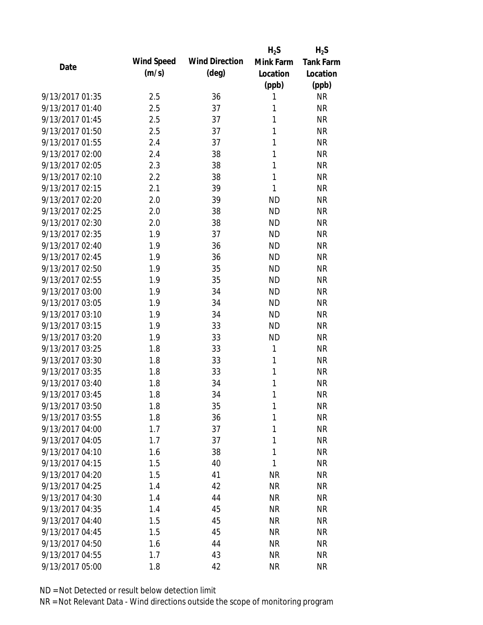|                 |            |                       | $H_2S$       | $H_2S$           |
|-----------------|------------|-----------------------|--------------|------------------|
| Date            | Wind Speed | <b>Wind Direction</b> | Mink Farm    | <b>Tank Farm</b> |
|                 | (m/s)      | $(\text{deg})$        | Location     | Location         |
|                 |            |                       | (ppb)        | (ppb)            |
| 9/13/2017 01:35 | 2.5        | 36                    | 1            | <b>NR</b>        |
| 9/13/2017 01:40 | 2.5        | 37                    | 1            | <b>NR</b>        |
| 9/13/2017 01:45 | 2.5        | 37                    | 1            | <b>NR</b>        |
| 9/13/2017 01:50 | 2.5        | 37                    | 1            | <b>NR</b>        |
| 9/13/2017 01:55 | 2.4        | 37                    | 1            | <b>NR</b>        |
| 9/13/2017 02:00 | 2.4        | 38                    | 1            | <b>NR</b>        |
| 9/13/2017 02:05 | 2.3        | 38                    | 1            | <b>NR</b>        |
| 9/13/2017 02:10 | 2.2        | 38                    | $\mathbf{1}$ | <b>NR</b>        |
| 9/13/2017 02:15 | 2.1        | 39                    | 1            | <b>NR</b>        |
| 9/13/2017 02:20 | 2.0        | 39                    | <b>ND</b>    | <b>NR</b>        |
| 9/13/2017 02:25 | 2.0        | 38                    | <b>ND</b>    | <b>NR</b>        |
| 9/13/2017 02:30 | 2.0        | 38                    | <b>ND</b>    | <b>NR</b>        |
| 9/13/2017 02:35 | 1.9        | 37                    | <b>ND</b>    | <b>NR</b>        |
| 9/13/2017 02:40 | 1.9        | 36                    | <b>ND</b>    | <b>NR</b>        |
| 9/13/2017 02:45 | 1.9        | 36                    | <b>ND</b>    | <b>NR</b>        |
| 9/13/2017 02:50 | 1.9        | 35                    | <b>ND</b>    | <b>NR</b>        |
| 9/13/2017 02:55 | 1.9        | 35                    | <b>ND</b>    | <b>NR</b>        |
| 9/13/2017 03:00 | 1.9        | 34                    | <b>ND</b>    | <b>NR</b>        |
| 9/13/2017 03:05 | 1.9        | 34                    | <b>ND</b>    | <b>NR</b>        |
| 9/13/2017 03:10 | 1.9        | 34                    | <b>ND</b>    | <b>NR</b>        |
| 9/13/2017 03:15 | 1.9        | 33                    | <b>ND</b>    | <b>NR</b>        |
| 9/13/2017 03:20 | 1.9        | 33                    | <b>ND</b>    | <b>NR</b>        |
| 9/13/2017 03:25 | 1.8        | 33                    | $\mathbf{1}$ | <b>NR</b>        |
| 9/13/2017 03:30 | 1.8        | 33                    | 1            | <b>NR</b>        |
| 9/13/2017 03:35 | 1.8        | 33                    | 1            | <b>NR</b>        |
| 9/13/2017 03:40 | 1.8        | 34                    | 1            | <b>NR</b>        |
| 9/13/2017 03:45 | 1.8        | 34                    | 1            | <b>NR</b>        |
| 9/13/2017 03:50 | 1.8        | 35                    | 1            | <b>NR</b>        |
| 9/13/2017 03:55 | 1.8        | 36                    | 1            | <b>NR</b>        |
| 9/13/2017 04:00 | 1.7        | 37                    | 1            | <b>NR</b>        |
| 9/13/2017 04:05 | 1.7        | 37                    | 1            | <b>NR</b>        |
| 9/13/2017 04:10 | 1.6        | 38                    | 1            | <b>NR</b>        |
| 9/13/2017 04:15 | 1.5        | 40                    | 1            | <b>NR</b>        |
| 9/13/2017 04:20 | 1.5        | 41                    | <b>NR</b>    | <b>NR</b>        |
| 9/13/2017 04:25 | 1.4        | 42                    | <b>NR</b>    | <b>NR</b>        |
| 9/13/2017 04:30 | 1.4        | 44                    | <b>NR</b>    | <b>NR</b>        |
| 9/13/2017 04:35 | 1.4        | 45                    | <b>NR</b>    | <b>NR</b>        |
| 9/13/2017 04:40 | 1.5        | 45                    | <b>NR</b>    | <b>NR</b>        |
| 9/13/2017 04:45 | 1.5        | 45                    | <b>NR</b>    | <b>NR</b>        |
| 9/13/2017 04:50 | 1.6        | 44                    | <b>NR</b>    | <b>NR</b>        |
| 9/13/2017 04:55 | 1.7        | 43                    | <b>NR</b>    | <b>NR</b>        |
| 9/13/2017 05:00 | 1.8        | 42                    | <b>NR</b>    | <b>NR</b>        |
|                 |            |                       |              |                  |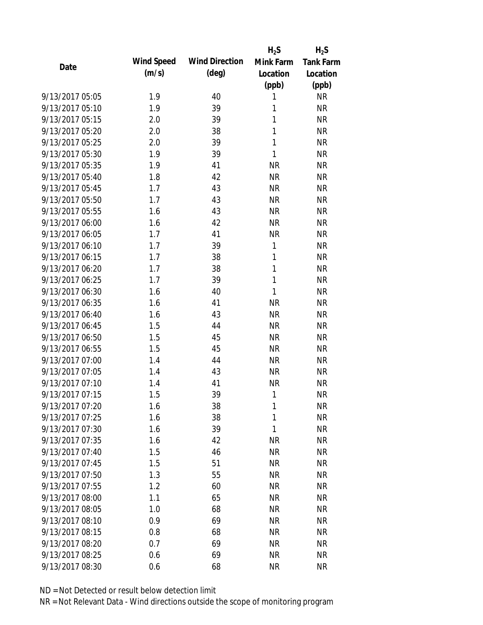|                 |            |                       | $H_2S$       | $H_2S$           |
|-----------------|------------|-----------------------|--------------|------------------|
| Date            | Wind Speed | <b>Wind Direction</b> | Mink Farm    | <b>Tank Farm</b> |
|                 | (m/s)      | $(\text{deg})$        | Location     | Location         |
|                 |            |                       | (ppb)        | (ppb)            |
| 9/13/2017 05:05 | 1.9        | 40                    | 1            | <b>NR</b>        |
| 9/13/2017 05:10 | 1.9        | 39                    | 1            | <b>NR</b>        |
| 9/13/2017 05:15 | 2.0        | 39                    | 1            | <b>NR</b>        |
| 9/13/2017 05:20 | 2.0        | 38                    | 1            | <b>NR</b>        |
| 9/13/2017 05:25 | 2.0        | 39                    | $\mathbf{1}$ | <b>NR</b>        |
| 9/13/2017 05:30 | 1.9        | 39                    | 1            | <b>NR</b>        |
| 9/13/2017 05:35 | 1.9        | 41                    | <b>NR</b>    | <b>NR</b>        |
| 9/13/2017 05:40 | 1.8        | 42                    | <b>NR</b>    | <b>NR</b>        |
| 9/13/2017 05:45 | 1.7        | 43                    | <b>NR</b>    | <b>NR</b>        |
| 9/13/2017 05:50 | 1.7        | 43                    | <b>NR</b>    | <b>NR</b>        |
| 9/13/2017 05:55 | 1.6        | 43                    | <b>NR</b>    | <b>NR</b>        |
| 9/13/2017 06:00 | 1.6        | 42                    | <b>NR</b>    | <b>NR</b>        |
| 9/13/2017 06:05 | 1.7        | 41                    | <b>NR</b>    | <b>NR</b>        |
| 9/13/2017 06:10 | 1.7        | 39                    | 1            | <b>NR</b>        |
| 9/13/2017 06:15 | 1.7        | 38                    | 1            | <b>NR</b>        |
| 9/13/2017 06:20 | 1.7        | 38                    | 1            | <b>NR</b>        |
| 9/13/2017 06:25 | 1.7        | 39                    | $\mathbf{1}$ | <b>NR</b>        |
| 9/13/2017 06:30 | 1.6        | 40                    | $\mathbf{1}$ | <b>NR</b>        |
| 9/13/2017 06:35 | 1.6        | 41                    | <b>NR</b>    | <b>NR</b>        |
| 9/13/2017 06:40 | 1.6        | 43                    | <b>NR</b>    | <b>NR</b>        |
| 9/13/2017 06:45 | 1.5        | 44                    | <b>NR</b>    | <b>NR</b>        |
| 9/13/2017 06:50 | 1.5        | 45                    | <b>NR</b>    | <b>NR</b>        |
| 9/13/2017 06:55 | 1.5        | 45                    | <b>NR</b>    | <b>NR</b>        |
| 9/13/2017 07:00 | 1.4        | 44                    | <b>NR</b>    | <b>NR</b>        |
| 9/13/2017 07:05 | 1.4        | 43                    | <b>NR</b>    | <b>NR</b>        |
| 9/13/2017 07:10 | 1.4        | 41                    | <b>NR</b>    | <b>NR</b>        |
| 9/13/2017 07:15 | 1.5        | 39                    | 1            | <b>NR</b>        |
| 9/13/2017 07:20 | 1.6        | 38                    | 1            | <b>NR</b>        |
| 9/13/2017 07:25 | 1.6        | 38                    | $\mathbf{1}$ | <b>NR</b>        |
| 9/13/2017 07:30 | 1.6        | 39                    | 1            | <b>NR</b>        |
| 9/13/2017 07:35 | 1.6        | 42                    | <b>NR</b>    | <b>NR</b>        |
| 9/13/2017 07:40 | 1.5        | 46                    | <b>NR</b>    | <b>NR</b>        |
| 9/13/2017 07:45 | 1.5        | 51                    | <b>NR</b>    | <b>NR</b>        |
| 9/13/2017 07:50 | 1.3        | 55                    | <b>NR</b>    | <b>NR</b>        |
| 9/13/2017 07:55 | 1.2        | 60                    | <b>NR</b>    | <b>NR</b>        |
| 9/13/2017 08:00 | 1.1        | 65                    | <b>NR</b>    | <b>NR</b>        |
| 9/13/2017 08:05 | 1.0        | 68                    | <b>NR</b>    | <b>NR</b>        |
| 9/13/2017 08:10 | 0.9        | 69                    | <b>NR</b>    | <b>NR</b>        |
| 9/13/2017 08:15 | 0.8        | 68                    | <b>NR</b>    | <b>NR</b>        |
| 9/13/2017 08:20 | 0.7        | 69                    | <b>NR</b>    | <b>NR</b>        |
| 9/13/2017 08:25 | 0.6        | 69                    | <b>NR</b>    | <b>NR</b>        |
| 9/13/2017 08:30 | 0.6        | 68                    | <b>NR</b>    | <b>NR</b>        |
|                 |            |                       |              |                  |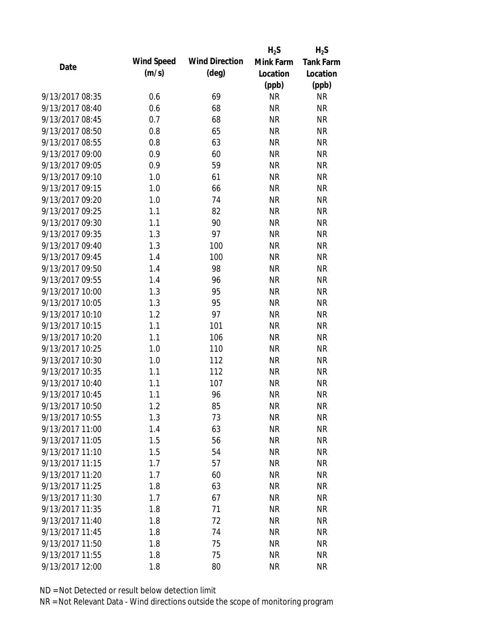|                 |            |                       | $H_2S$    | $H_2S$           |
|-----------------|------------|-----------------------|-----------|------------------|
| Date            | Wind Speed | <b>Wind Direction</b> | Mink Farm | <b>Tank Farm</b> |
|                 | (m/s)      | $(\text{deg})$        | Location  | Location         |
|                 |            |                       | (ppb)     | (ppb)            |
| 9/13/2017 08:35 | 0.6        | 69                    | <b>NR</b> | <b>NR</b>        |
| 9/13/2017 08:40 | 0.6        | 68                    | <b>NR</b> | <b>NR</b>        |
| 9/13/2017 08:45 | 0.7        | 68                    | <b>NR</b> | <b>NR</b>        |
| 9/13/2017 08:50 | 0.8        | 65                    | <b>NR</b> | <b>NR</b>        |
| 9/13/2017 08:55 | 0.8        | 63                    | <b>NR</b> | <b>NR</b>        |
| 9/13/2017 09:00 | 0.9        | 60                    | <b>NR</b> | <b>NR</b>        |
| 9/13/2017 09:05 | 0.9        | 59                    | <b>NR</b> | <b>NR</b>        |
| 9/13/2017 09:10 | 1.0        | 61                    | <b>NR</b> | <b>NR</b>        |
| 9/13/2017 09:15 | 1.0        | 66                    | <b>NR</b> | <b>NR</b>        |
| 9/13/2017 09:20 | 1.0        | 74                    | <b>NR</b> | <b>NR</b>        |
| 9/13/2017 09:25 | 1.1        | 82                    | <b>NR</b> | <b>NR</b>        |
| 9/13/2017 09:30 | 1.1        | 90                    | <b>NR</b> | <b>NR</b>        |
| 9/13/2017 09:35 | 1.3        | 97                    | <b>NR</b> | <b>NR</b>        |
| 9/13/2017 09:40 | 1.3        | 100                   | <b>NR</b> | <b>NR</b>        |
| 9/13/2017 09:45 | 1.4        | 100                   | <b>NR</b> | <b>NR</b>        |
| 9/13/2017 09:50 | 1.4        | 98                    | <b>NR</b> | <b>NR</b>        |
| 9/13/2017 09:55 | 1.4        | 96                    | <b>NR</b> | <b>NR</b>        |
| 9/13/2017 10:00 | 1.3        | 95                    | <b>NR</b> | <b>NR</b>        |
| 9/13/2017 10:05 | 1.3        | 95                    | <b>NR</b> | <b>NR</b>        |
| 9/13/2017 10:10 | 1.2        | 97                    | <b>NR</b> | <b>NR</b>        |
| 9/13/2017 10:15 | 1.1        | 101                   | <b>NR</b> | <b>NR</b>        |
| 9/13/2017 10:20 | 1.1        | 106                   | <b>NR</b> | <b>NR</b>        |
| 9/13/2017 10:25 | 1.0        | 110                   | <b>NR</b> | <b>NR</b>        |
| 9/13/2017 10:30 | 1.0        | 112                   | <b>NR</b> | <b>NR</b>        |
| 9/13/2017 10:35 | 1.1        | 112                   | <b>NR</b> | <b>NR</b>        |
| 9/13/2017 10:40 | 1.1        | 107                   | <b>NR</b> | <b>NR</b>        |
| 9/13/2017 10:45 | 1.1        | 96                    | <b>NR</b> | <b>NR</b>        |
| 9/13/2017 10:50 | 1.2        | 85                    | <b>NR</b> | <b>NR</b>        |
| 9/13/2017 10:55 | 1.3        | 73                    | <b>NR</b> | <b>NR</b>        |
| 9/13/2017 11:00 | 1.4        | 63                    | <b>NR</b> | <b>NR</b>        |
| 9/13/2017 11:05 | 1.5        | 56                    | <b>NR</b> | <b>NR</b>        |
| 9/13/2017 11:10 | 1.5        | 54                    | <b>NR</b> | <b>NR</b>        |
| 9/13/2017 11:15 | 1.7        | 57                    | <b>NR</b> | <b>NR</b>        |
| 9/13/2017 11:20 | 1.7        | 60                    | <b>NR</b> | <b>NR</b>        |
| 9/13/2017 11:25 | 1.8        | 63                    | <b>NR</b> | <b>NR</b>        |
| 9/13/2017 11:30 | 1.7        | 67                    | <b>NR</b> | <b>NR</b>        |
| 9/13/2017 11:35 | 1.8        | 71                    | <b>NR</b> | <b>NR</b>        |
| 9/13/2017 11:40 | 1.8        | 72                    | <b>NR</b> | <b>NR</b>        |
| 9/13/2017 11:45 | 1.8        | 74                    | <b>NR</b> | <b>NR</b>        |
| 9/13/2017 11:50 | 1.8        | 75                    | <b>NR</b> | <b>NR</b>        |
| 9/13/2017 11:55 | 1.8        | 75                    | <b>NR</b> | <b>NR</b>        |
| 9/13/2017 12:00 | 1.8        | 80                    | <b>NR</b> | <b>NR</b>        |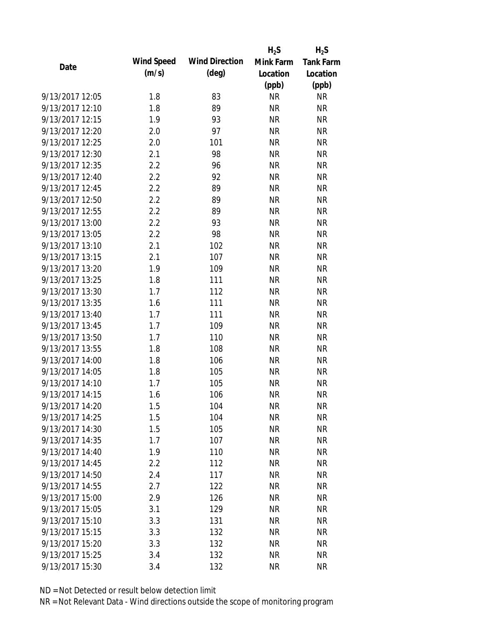|                 |            |                       | $H_2S$    | $H_2S$           |
|-----------------|------------|-----------------------|-----------|------------------|
| Date            | Wind Speed | <b>Wind Direction</b> | Mink Farm | <b>Tank Farm</b> |
|                 | (m/s)      | $(\text{deg})$        | Location  | Location         |
|                 |            |                       | (ppb)     | (ppb)            |
| 9/13/2017 12:05 | 1.8        | 83                    | <b>NR</b> | <b>NR</b>        |
| 9/13/2017 12:10 | 1.8        | 89                    | <b>NR</b> | <b>NR</b>        |
| 9/13/2017 12:15 | 1.9        | 93                    | <b>NR</b> | <b>NR</b>        |
| 9/13/2017 12:20 | 2.0        | 97                    | <b>NR</b> | <b>NR</b>        |
| 9/13/2017 12:25 | 2.0        | 101                   | <b>NR</b> | <b>NR</b>        |
| 9/13/2017 12:30 | 2.1        | 98                    | <b>NR</b> | <b>NR</b>        |
| 9/13/2017 12:35 | 2.2        | 96                    | <b>NR</b> | <b>NR</b>        |
| 9/13/2017 12:40 | 2.2        | 92                    | <b>NR</b> | <b>NR</b>        |
| 9/13/2017 12:45 | 2.2        | 89                    | <b>NR</b> | <b>NR</b>        |
| 9/13/2017 12:50 | 2.2        | 89                    | <b>NR</b> | <b>NR</b>        |
| 9/13/2017 12:55 | 2.2        | 89                    | <b>NR</b> | <b>NR</b>        |
| 9/13/2017 13:00 | 2.2        | 93                    | <b>NR</b> | <b>NR</b>        |
| 9/13/2017 13:05 | 2.2        | 98                    | <b>NR</b> | <b>NR</b>        |
| 9/13/2017 13:10 | 2.1        | 102                   | <b>NR</b> | <b>NR</b>        |
| 9/13/2017 13:15 | 2.1        | 107                   | <b>NR</b> | <b>NR</b>        |
| 9/13/2017 13:20 | 1.9        | 109                   | <b>NR</b> | <b>NR</b>        |
| 9/13/2017 13:25 | 1.8        | 111                   | <b>NR</b> | <b>NR</b>        |
| 9/13/2017 13:30 | 1.7        | 112                   | <b>NR</b> | <b>NR</b>        |
| 9/13/2017 13:35 | 1.6        | 111                   | <b>NR</b> | <b>NR</b>        |
| 9/13/2017 13:40 | 1.7        | 111                   | <b>NR</b> | <b>NR</b>        |
| 9/13/2017 13:45 | 1.7        | 109                   | <b>NR</b> | <b>NR</b>        |
| 9/13/2017 13:50 | 1.7        | 110                   | <b>NR</b> | <b>NR</b>        |
| 9/13/2017 13:55 | 1.8        | 108                   | <b>NR</b> | <b>NR</b>        |
| 9/13/2017 14:00 | 1.8        | 106                   | <b>NR</b> | <b>NR</b>        |
| 9/13/2017 14:05 | 1.8        | 105                   | <b>NR</b> | <b>NR</b>        |
| 9/13/2017 14:10 | 1.7        | 105                   | <b>NR</b> | <b>NR</b>        |
| 9/13/2017 14:15 | 1.6        | 106                   | <b>NR</b> | <b>NR</b>        |
| 9/13/2017 14:20 | 1.5        | 104                   | NR        | <b>NR</b>        |
| 9/13/2017 14:25 | 1.5        | 104                   | <b>NR</b> | <b>NR</b>        |
| 9/13/2017 14:30 | 1.5        | 105                   | <b>NR</b> | <b>NR</b>        |
| 9/13/2017 14:35 | 1.7        | 107                   | <b>NR</b> | <b>NR</b>        |
| 9/13/2017 14:40 | 1.9        | 110                   | <b>NR</b> | <b>NR</b>        |
| 9/13/2017 14:45 | 2.2        | 112                   | <b>NR</b> | <b>NR</b>        |
| 9/13/2017 14:50 | 2.4        | 117                   | <b>NR</b> | <b>NR</b>        |
| 9/13/2017 14:55 | 2.7        | 122                   | <b>NR</b> | <b>NR</b>        |
| 9/13/2017 15:00 | 2.9        | 126                   | <b>NR</b> | <b>NR</b>        |
| 9/13/2017 15:05 | 3.1        | 129                   | <b>NR</b> | <b>NR</b>        |
| 9/13/2017 15:10 | 3.3        | 131                   | <b>NR</b> | <b>NR</b>        |
| 9/13/2017 15:15 | 3.3        | 132                   | <b>NR</b> | <b>NR</b>        |
| 9/13/2017 15:20 | 3.3        | 132                   | <b>NR</b> | <b>NR</b>        |
| 9/13/2017 15:25 | 3.4        | 132                   | <b>NR</b> | <b>NR</b>        |
| 9/13/2017 15:30 | 3.4        | 132                   | <b>NR</b> | <b>NR</b>        |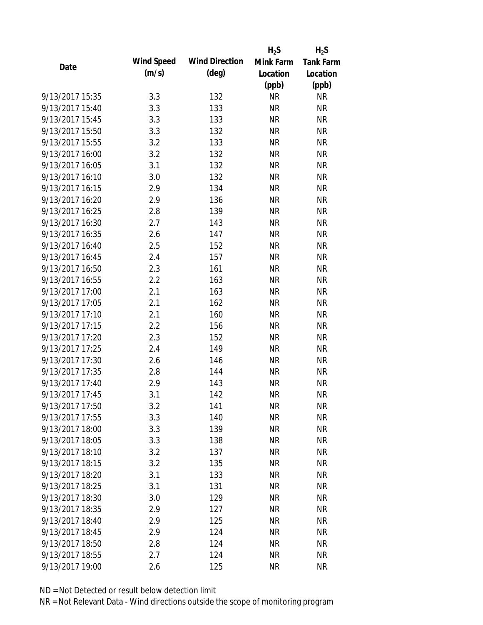|                 |            |                       | $H_2S$    | $H_2S$           |
|-----------------|------------|-----------------------|-----------|------------------|
| Date            | Wind Speed | <b>Wind Direction</b> | Mink Farm | <b>Tank Farm</b> |
|                 | (m/s)      | $(\text{deg})$        | Location  | Location         |
|                 |            |                       | (ppb)     | (ppb)            |
| 9/13/2017 15:35 | 3.3        | 132                   | <b>NR</b> | <b>NR</b>        |
| 9/13/2017 15:40 | 3.3        | 133                   | <b>NR</b> | <b>NR</b>        |
| 9/13/2017 15:45 | 3.3        | 133                   | <b>NR</b> | <b>NR</b>        |
| 9/13/2017 15:50 | 3.3        | 132                   | <b>NR</b> | <b>NR</b>        |
| 9/13/2017 15:55 | 3.2        | 133                   | <b>NR</b> | <b>NR</b>        |
| 9/13/2017 16:00 | 3.2        | 132                   | <b>NR</b> | <b>NR</b>        |
| 9/13/2017 16:05 | 3.1        | 132                   | <b>NR</b> | <b>NR</b>        |
| 9/13/2017 16:10 | 3.0        | 132                   | <b>NR</b> | <b>NR</b>        |
| 9/13/2017 16:15 | 2.9        | 134                   | <b>NR</b> | <b>NR</b>        |
| 9/13/2017 16:20 | 2.9        | 136                   | <b>NR</b> | <b>NR</b>        |
| 9/13/2017 16:25 | 2.8        | 139                   | <b>NR</b> | <b>NR</b>        |
| 9/13/2017 16:30 | 2.7        | 143                   | <b>NR</b> | <b>NR</b>        |
| 9/13/2017 16:35 | 2.6        | 147                   | <b>NR</b> | <b>NR</b>        |
| 9/13/2017 16:40 | 2.5        | 152                   | <b>NR</b> | <b>NR</b>        |
| 9/13/2017 16:45 | 2.4        | 157                   | <b>NR</b> | <b>NR</b>        |
| 9/13/2017 16:50 | 2.3        | 161                   | <b>NR</b> | <b>NR</b>        |
| 9/13/2017 16:55 | 2.2        | 163                   | <b>NR</b> | <b>NR</b>        |
| 9/13/2017 17:00 | 2.1        | 163                   | <b>NR</b> | <b>NR</b>        |
| 9/13/2017 17:05 | 2.1        | 162                   | <b>NR</b> | <b>NR</b>        |
| 9/13/2017 17:10 | 2.1        | 160                   | <b>NR</b> | <b>NR</b>        |
| 9/13/2017 17:15 | 2.2        | 156                   | <b>NR</b> | <b>NR</b>        |
| 9/13/2017 17:20 | 2.3        | 152                   | <b>NR</b> | <b>NR</b>        |
| 9/13/2017 17:25 | 2.4        | 149                   | <b>NR</b> | <b>NR</b>        |
| 9/13/2017 17:30 | 2.6        | 146                   | <b>NR</b> | <b>NR</b>        |
| 9/13/2017 17:35 | 2.8        | 144                   | <b>NR</b> | <b>NR</b>        |
| 9/13/2017 17:40 | 2.9        | 143                   | <b>NR</b> | <b>NR</b>        |
| 9/13/2017 17:45 | 3.1        | 142                   | <b>NR</b> | <b>NR</b>        |
| 9/13/2017 17:50 | 3.2        | 141                   | NR        | <b>NR</b>        |
| 9/13/2017 17:55 | 3.3        | 140                   | <b>NR</b> | <b>NR</b>        |
| 9/13/2017 18:00 | 3.3        | 139                   | <b>NR</b> | <b>NR</b>        |
| 9/13/2017 18:05 | 3.3        | 138                   | <b>NR</b> | <b>NR</b>        |
| 9/13/2017 18:10 | 3.2        | 137                   | <b>NR</b> | <b>NR</b>        |
| 9/13/2017 18:15 | 3.2        | 135                   | <b>NR</b> | <b>NR</b>        |
| 9/13/2017 18:20 | 3.1        | 133                   | <b>NR</b> | <b>NR</b>        |
| 9/13/2017 18:25 | 3.1        | 131                   | <b>NR</b> | <b>NR</b>        |
| 9/13/2017 18:30 | 3.0        | 129                   | <b>NR</b> | <b>NR</b>        |
| 9/13/2017 18:35 | 2.9        | 127                   | <b>NR</b> | <b>NR</b>        |
| 9/13/2017 18:40 | 2.9        | 125                   | <b>NR</b> | <b>NR</b>        |
| 9/13/2017 18:45 | 2.9        | 124                   | <b>NR</b> | <b>NR</b>        |
| 9/13/2017 18:50 | 2.8        | 124                   | <b>NR</b> | <b>NR</b>        |
| 9/13/2017 18:55 | 2.7        | 124                   | <b>NR</b> | <b>NR</b>        |
| 9/13/2017 19:00 |            |                       | <b>NR</b> | <b>NR</b>        |
|                 | 2.6        | 125                   |           |                  |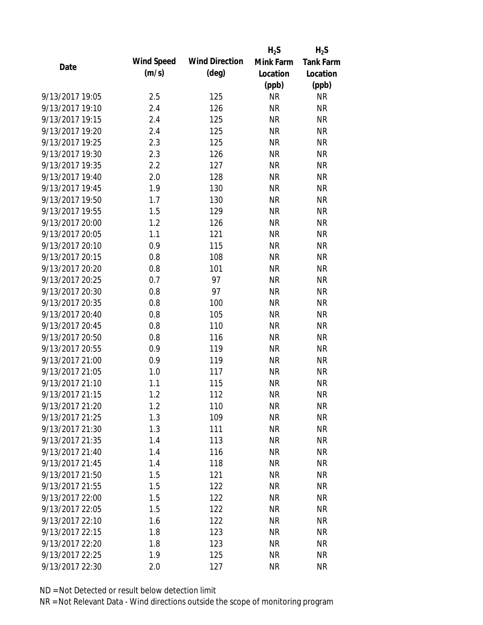|                 |            |                       | $H_2S$    | $H_2S$           |
|-----------------|------------|-----------------------|-----------|------------------|
| Date            | Wind Speed | <b>Wind Direction</b> | Mink Farm | <b>Tank Farm</b> |
|                 | (m/s)      | $(\text{deg})$        | Location  | Location         |
|                 |            |                       | (ppb)     | (ppb)            |
| 9/13/2017 19:05 | 2.5        | 125                   | <b>NR</b> | <b>NR</b>        |
| 9/13/2017 19:10 | 2.4        | 126                   | <b>NR</b> | <b>NR</b>        |
| 9/13/2017 19:15 | 2.4        | 125                   | <b>NR</b> | <b>NR</b>        |
| 9/13/2017 19:20 | 2.4        | 125                   | <b>NR</b> | <b>NR</b>        |
| 9/13/2017 19:25 | 2.3        | 125                   | <b>NR</b> | <b>NR</b>        |
| 9/13/2017 19:30 | 2.3        | 126                   | <b>NR</b> | <b>NR</b>        |
| 9/13/2017 19:35 | 2.2        | 127                   | <b>NR</b> | <b>NR</b>        |
| 9/13/2017 19:40 | 2.0        | 128                   | <b>NR</b> | <b>NR</b>        |
| 9/13/2017 19:45 | 1.9        | 130                   | <b>NR</b> | <b>NR</b>        |
| 9/13/2017 19:50 | 1.7        | 130                   | <b>NR</b> | <b>NR</b>        |
| 9/13/2017 19:55 | 1.5        | 129                   | <b>NR</b> | <b>NR</b>        |
| 9/13/2017 20:00 | 1.2        | 126                   | <b>NR</b> | <b>NR</b>        |
| 9/13/2017 20:05 | 1.1        | 121                   | <b>NR</b> | <b>NR</b>        |
| 9/13/2017 20:10 | 0.9        | 115                   | <b>NR</b> | <b>NR</b>        |
| 9/13/2017 20:15 | 0.8        | 108                   | <b>NR</b> | <b>NR</b>        |
| 9/13/2017 20:20 | 0.8        | 101                   | <b>NR</b> | <b>NR</b>        |
| 9/13/2017 20:25 | 0.7        | 97                    | <b>NR</b> | <b>NR</b>        |
| 9/13/2017 20:30 | 0.8        | 97                    | <b>NR</b> | <b>NR</b>        |
| 9/13/2017 20:35 | 0.8        | 100                   | <b>NR</b> | <b>NR</b>        |
| 9/13/2017 20:40 | 0.8        | 105                   | <b>NR</b> | <b>NR</b>        |
| 9/13/2017 20:45 | 0.8        | 110                   | <b>NR</b> | <b>NR</b>        |
| 9/13/2017 20:50 | 0.8        | 116                   | <b>NR</b> | <b>NR</b>        |
| 9/13/2017 20:55 | 0.9        | 119                   | <b>NR</b> | <b>NR</b>        |
| 9/13/2017 21:00 | 0.9        | 119                   | <b>NR</b> | <b>NR</b>        |
| 9/13/2017 21:05 | 1.0        | 117                   | <b>NR</b> | <b>NR</b>        |
| 9/13/2017 21:10 | 1.1        | 115                   | <b>NR</b> | <b>NR</b>        |
| 9/13/2017 21:15 | 1.2        | 112                   | <b>NR</b> | <b>NR</b>        |
| 9/13/2017 21:20 | 1.2        | 110                   | <b>NR</b> | <b>NR</b>        |
| 9/13/2017 21:25 | 1.3        | 109                   | <b>NR</b> | <b>NR</b>        |
| 9/13/2017 21:30 | 1.3        | 111                   | <b>NR</b> | <b>NR</b>        |
| 9/13/2017 21:35 | 1.4        | 113                   | <b>NR</b> | <b>NR</b>        |
| 9/13/2017 21:40 | 1.4        | 116                   | <b>NR</b> | <b>NR</b>        |
| 9/13/2017 21:45 | 1.4        | 118                   | <b>NR</b> | <b>NR</b>        |
| 9/13/2017 21:50 | 1.5        | 121                   | <b>NR</b> | <b>NR</b>        |
| 9/13/2017 21:55 | 1.5        | 122                   | <b>NR</b> | <b>NR</b>        |
| 9/13/2017 22:00 | 1.5        | 122                   | <b>NR</b> | <b>NR</b>        |
| 9/13/2017 22:05 | 1.5        | 122                   | <b>NR</b> | <b>NR</b>        |
| 9/13/2017 22:10 | 1.6        | 122                   | <b>NR</b> | <b>NR</b>        |
| 9/13/2017 22:15 | 1.8        | 123                   | <b>NR</b> | <b>NR</b>        |
| 9/13/2017 22:20 | 1.8        | 123                   | NR        | <b>NR</b>        |
| 9/13/2017 22:25 | 1.9        | 125                   | <b>NR</b> | <b>NR</b>        |
| 9/13/2017 22:30 | 2.0        | 127                   | <b>NR</b> | <b>NR</b>        |
|                 |            |                       |           |                  |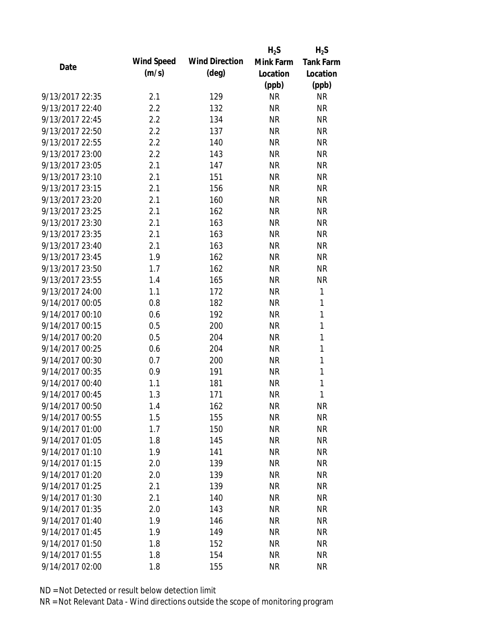|                 |            |                       | $H_2S$    | $H_2S$           |
|-----------------|------------|-----------------------|-----------|------------------|
| Date            | Wind Speed | <b>Wind Direction</b> | Mink Farm | <b>Tank Farm</b> |
|                 | (m/s)      | $(\text{deg})$        | Location  | Location         |
|                 |            |                       | (ppb)     | (ppb)            |
| 9/13/2017 22:35 | 2.1        | 129                   | <b>NR</b> | <b>NR</b>        |
| 9/13/2017 22:40 | 2.2        | 132                   | <b>NR</b> | <b>NR</b>        |
| 9/13/2017 22:45 | 2.2        | 134                   | <b>NR</b> | <b>NR</b>        |
| 9/13/2017 22:50 | 2.2        | 137                   | <b>NR</b> | <b>NR</b>        |
| 9/13/2017 22:55 | 2.2        | 140                   | <b>NR</b> | <b>NR</b>        |
| 9/13/2017 23:00 | 2.2        | 143                   | <b>NR</b> | <b>NR</b>        |
| 9/13/2017 23:05 | 2.1        | 147                   | <b>NR</b> | <b>NR</b>        |
| 9/13/2017 23:10 | 2.1        | 151                   | <b>NR</b> | <b>NR</b>        |
| 9/13/2017 23:15 | 2.1        | 156                   | <b>NR</b> | <b>NR</b>        |
| 9/13/2017 23:20 | 2.1        | 160                   | <b>NR</b> | <b>NR</b>        |
| 9/13/2017 23:25 | 2.1        | 162                   | <b>NR</b> | <b>NR</b>        |
| 9/13/2017 23:30 | 2.1        | 163                   | <b>NR</b> | <b>NR</b>        |
| 9/13/2017 23:35 | 2.1        | 163                   | <b>NR</b> | <b>NR</b>        |
| 9/13/2017 23:40 | 2.1        | 163                   | <b>NR</b> | <b>NR</b>        |
| 9/13/2017 23:45 | 1.9        | 162                   | <b>NR</b> | <b>NR</b>        |
| 9/13/2017 23:50 | 1.7        | 162                   | <b>NR</b> | <b>NR</b>        |
| 9/13/2017 23:55 | 1.4        | 165                   | <b>NR</b> | <b>NR</b>        |
| 9/13/2017 24:00 | 1.1        | 172                   | <b>NR</b> | 1                |
| 9/14/2017 00:05 | 0.8        | 182                   | <b>NR</b> | $\mathbf{1}$     |
| 9/14/2017 00:10 | 0.6        | 192                   | <b>NR</b> | 1                |
| 9/14/2017 00:15 | 0.5        | 200                   | <b>NR</b> | 1                |
| 9/14/2017 00:20 | 0.5        | 204                   | <b>NR</b> | 1                |
| 9/14/2017 00:25 | 0.6        | 204                   | <b>NR</b> | 1                |
| 9/14/2017 00:30 | 0.7        | 200                   | <b>NR</b> | 1                |
| 9/14/2017 00:35 | 0.9        | 191                   | <b>NR</b> | 1                |
| 9/14/2017 00:40 | 1.1        | 181                   | <b>NR</b> | 1                |
| 9/14/2017 00:45 | 1.3        | 171                   | <b>NR</b> | 1                |
| 9/14/2017 00:50 | 1.4        | 162                   | ΝR        | <b>NR</b>        |
| 9/14/2017 00:55 | 1.5        | 155                   | <b>NR</b> | <b>NR</b>        |
| 9/14/2017 01:00 | 1.7        | 150                   | <b>NR</b> | <b>NR</b>        |
| 9/14/2017 01:05 | 1.8        | 145                   | <b>NR</b> | <b>NR</b>        |
| 9/14/2017 01:10 | 1.9        | 141                   | <b>NR</b> | <b>NR</b>        |
| 9/14/2017 01:15 | 2.0        | 139                   | <b>NR</b> | <b>NR</b>        |
| 9/14/2017 01:20 | 2.0        | 139                   | <b>NR</b> | <b>NR</b>        |
| 9/14/2017 01:25 | 2.1        | 139                   | <b>NR</b> | <b>NR</b>        |
| 9/14/2017 01:30 | 2.1        | 140                   | <b>NR</b> | <b>NR</b>        |
| 9/14/2017 01:35 | 2.0        | 143                   | <b>NR</b> | <b>NR</b>        |
| 9/14/2017 01:40 | 1.9        | 146                   | <b>NR</b> | <b>NR</b>        |
| 9/14/2017 01:45 | 1.9        | 149                   | <b>NR</b> | <b>NR</b>        |
| 9/14/2017 01:50 | 1.8        | 152                   | <b>NR</b> | <b>NR</b>        |
| 9/14/2017 01:55 | 1.8        | 154                   | <b>NR</b> | <b>NR</b>        |
| 9/14/2017 02:00 | 1.8        | 155                   | <b>NR</b> | <b>NR</b>        |
|                 |            |                       |           |                  |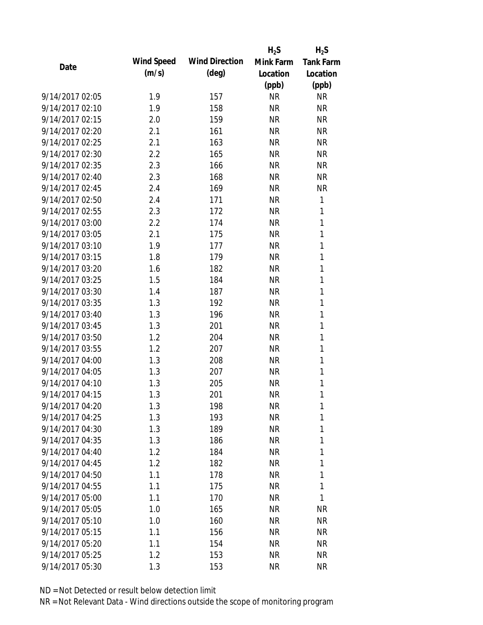|                 |            |                       | $H_2S$    | $H_2S$           |
|-----------------|------------|-----------------------|-----------|------------------|
| Date            | Wind Speed | <b>Wind Direction</b> | Mink Farm | <b>Tank Farm</b> |
|                 | (m/s)      | $(\text{deg})$        | Location  | Location         |
|                 |            |                       | (ppb)     | (ppb)            |
| 9/14/2017 02:05 | 1.9        | 157                   | <b>NR</b> | <b>NR</b>        |
| 9/14/2017 02:10 | 1.9        | 158                   | <b>NR</b> | <b>NR</b>        |
| 9/14/2017 02:15 | 2.0        | 159                   | <b>NR</b> | <b>NR</b>        |
| 9/14/2017 02:20 | 2.1        | 161                   | <b>NR</b> | <b>NR</b>        |
| 9/14/2017 02:25 | 2.1        | 163                   | <b>NR</b> | <b>NR</b>        |
| 9/14/2017 02:30 | 2.2        | 165                   | <b>NR</b> | <b>NR</b>        |
| 9/14/2017 02:35 | 2.3        | 166                   | <b>NR</b> | <b>NR</b>        |
| 9/14/2017 02:40 | 2.3        | 168                   | <b>NR</b> | <b>NR</b>        |
| 9/14/2017 02:45 | 2.4        | 169                   | <b>NR</b> | <b>NR</b>        |
| 9/14/2017 02:50 | 2.4        | 171                   | <b>NR</b> | 1                |
| 9/14/2017 02:55 | 2.3        | 172                   | <b>NR</b> | 1                |
| 9/14/2017 03:00 | 2.2        | 174                   | <b>NR</b> | 1                |
| 9/14/2017 03:05 | 2.1        | 175                   | <b>NR</b> | 1                |
| 9/14/2017 03:10 | 1.9        | 177                   | <b>NR</b> | 1                |
| 9/14/2017 03:15 | 1.8        | 179                   | <b>NR</b> | 1                |
| 9/14/2017 03:20 | 1.6        | 182                   | <b>NR</b> | 1                |
| 9/14/2017 03:25 | 1.5        | 184                   | <b>NR</b> | 1                |
| 9/14/2017 03:30 | 1.4        | 187                   | <b>NR</b> | 1                |
| 9/14/2017 03:35 | 1.3        | 192                   | <b>NR</b> | 1                |
| 9/14/2017 03:40 | 1.3        | 196                   | <b>NR</b> | 1                |
| 9/14/2017 03:45 | 1.3        | 201                   | <b>NR</b> | 1                |
| 9/14/2017 03:50 | 1.2        | 204                   | <b>NR</b> | 1                |
| 9/14/2017 03:55 | 1.2        | 207                   | <b>NR</b> | 1                |
| 9/14/2017 04:00 | 1.3        | 208                   | <b>NR</b> | 1                |
| 9/14/2017 04:05 | 1.3        | 207                   | <b>NR</b> | 1                |
| 9/14/2017 04:10 | 1.3        | 205                   | <b>NR</b> | 1                |
| 9/14/2017 04:15 | 1.3        | 201                   | <b>NR</b> | 1                |
| 9/14/2017 04:20 | 1.3        | 198                   | ΝR        | 1                |
| 9/14/2017 04:25 | 1.3        | 193                   | <b>NR</b> | 1                |
| 9/14/2017 04:30 | 1.3        | 189                   | <b>NR</b> | 1                |
| 9/14/2017 04:35 | 1.3        | 186                   | <b>NR</b> | 1                |
| 9/14/2017 04:40 | 1.2        | 184                   | <b>NR</b> | 1                |
| 9/14/2017 04:45 | 1.2        | 182                   | <b>NR</b> | 1                |
| 9/14/2017 04:50 | 1.1        | 178                   | <b>NR</b> | 1                |
| 9/14/2017 04:55 | 1.1        | 175                   | <b>NR</b> | 1                |
| 9/14/2017 05:00 | 1.1        | 170                   | <b>NR</b> | 1                |
| 9/14/2017 05:05 | 1.0        | 165                   | <b>NR</b> | <b>NR</b>        |
| 9/14/2017 05:10 | 1.0        | 160                   | <b>NR</b> | <b>NR</b>        |
| 9/14/2017 05:15 | 1.1        | 156                   | <b>NR</b> | <b>NR</b>        |
| 9/14/2017 05:20 | 1.1        | 154                   | NR        | <b>NR</b>        |
| 9/14/2017 05:25 | 1.2        | 153                   | <b>NR</b> | <b>NR</b>        |
| 9/14/2017 05:30 | 1.3        | 153                   | <b>NR</b> | <b>NR</b>        |
|                 |            |                       |           |                  |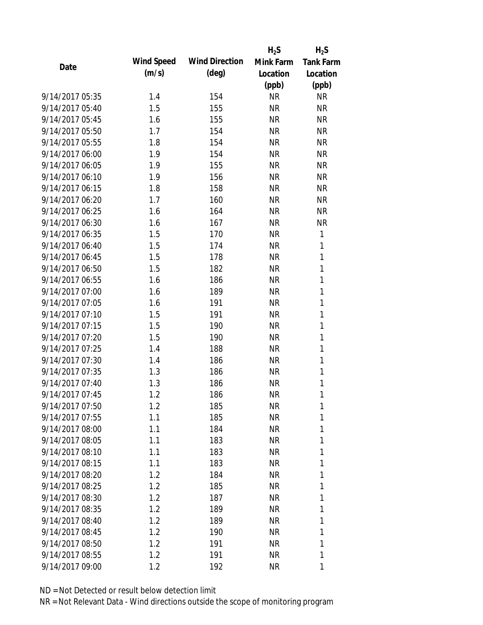|                 |            |                       | $H_2S$    | $H_2S$           |
|-----------------|------------|-----------------------|-----------|------------------|
| Date            | Wind Speed | <b>Wind Direction</b> | Mink Farm | <b>Tank Farm</b> |
|                 | (m/s)      | $(\text{deg})$        | Location  | Location         |
|                 |            |                       | (ppb)     | (ppb)            |
| 9/14/2017 05:35 | 1.4        | 154                   | <b>NR</b> | <b>NR</b>        |
| 9/14/2017 05:40 | 1.5        | 155                   | <b>NR</b> | <b>NR</b>        |
| 9/14/2017 05:45 | 1.6        | 155                   | <b>NR</b> | <b>NR</b>        |
| 9/14/2017 05:50 | 1.7        | 154                   | <b>NR</b> | <b>NR</b>        |
| 9/14/2017 05:55 | 1.8        | 154                   | <b>NR</b> | <b>NR</b>        |
| 9/14/2017 06:00 | 1.9        | 154                   | <b>NR</b> | <b>NR</b>        |
| 9/14/2017 06:05 | 1.9        | 155                   | <b>NR</b> | <b>NR</b>        |
| 9/14/2017 06:10 | 1.9        | 156                   | <b>NR</b> | <b>NR</b>        |
| 9/14/2017 06:15 | 1.8        | 158                   | <b>NR</b> | <b>NR</b>        |
| 9/14/2017 06:20 | 1.7        | 160                   | <b>NR</b> | <b>NR</b>        |
| 9/14/2017 06:25 | 1.6        | 164                   | <b>NR</b> | <b>NR</b>        |
| 9/14/2017 06:30 | 1.6        | 167                   | <b>NR</b> | <b>NR</b>        |
| 9/14/2017 06:35 | 1.5        | 170                   | <b>NR</b> | $\mathbf{1}$     |
| 9/14/2017 06:40 | 1.5        | 174                   | <b>NR</b> | 1                |
| 9/14/2017 06:45 | 1.5        | 178                   | <b>NR</b> | $\mathbf{1}$     |
| 9/14/2017 06:50 | 1.5        | 182                   | <b>NR</b> | 1                |
| 9/14/2017 06:55 | 1.6        | 186                   | <b>NR</b> | 1                |
| 9/14/2017 07:00 | 1.6        | 189                   | <b>NR</b> | 1                |
| 9/14/2017 07:05 | 1.6        | 191                   | <b>NR</b> | $\mathbf{1}$     |
| 9/14/2017 07:10 | 1.5        | 191                   | <b>NR</b> | $\mathbf{1}$     |
| 9/14/2017 07:15 | 1.5        | 190                   | <b>NR</b> | 1                |
| 9/14/2017 07:20 | 1.5        | 190                   | <b>NR</b> | $\mathbf{1}$     |
| 9/14/2017 07:25 | 1.4        | 188                   | <b>NR</b> | 1                |
| 9/14/2017 07:30 | 1.4        | 186                   | <b>NR</b> | 1                |
| 9/14/2017 07:35 | 1.3        | 186                   | <b>NR</b> | 1                |
| 9/14/2017 07:40 | 1.3        | 186                   | <b>NR</b> | 1                |
| 9/14/2017 07:45 | 1.2        | 186                   | <b>NR</b> | 1                |
| 9/14/2017 07:50 | 1.2        | 185                   | NR        | 1                |
| 9/14/2017 07:55 | 1.1        | 185                   | <b>NR</b> | 1                |
| 9/14/2017 08:00 | 1.1        | 184                   | <b>NR</b> | 1                |
| 9/14/2017 08:05 | 1.1        | 183                   | <b>NR</b> | 1                |
| 9/14/2017 08:10 | 1.1        | 183                   | <b>NR</b> | 1                |
| 9/14/2017 08:15 | 1.1        | 183                   | <b>NR</b> | 1                |
| 9/14/2017 08:20 | 1.2        | 184                   | <b>NR</b> | 1                |
| 9/14/2017 08:25 | 1.2        | 185                   | <b>NR</b> | 1                |
| 9/14/2017 08:30 | 1.2        | 187                   | <b>NR</b> | 1                |
| 9/14/2017 08:35 | 1.2        | 189                   | <b>NR</b> | 1                |
| 9/14/2017 08:40 | 1.2        | 189                   | <b>NR</b> | 1                |
| 9/14/2017 08:45 | 1.2        | 190                   | <b>NR</b> | 1                |
| 9/14/2017 08:50 | 1.2        | 191                   | <b>NR</b> | 1                |
| 9/14/2017 08:55 | 1.2        | 191                   | <b>NR</b> | 1                |
| 9/14/2017 09:00 | 1.2        | 192                   | <b>NR</b> | 1                |
|                 |            |                       |           |                  |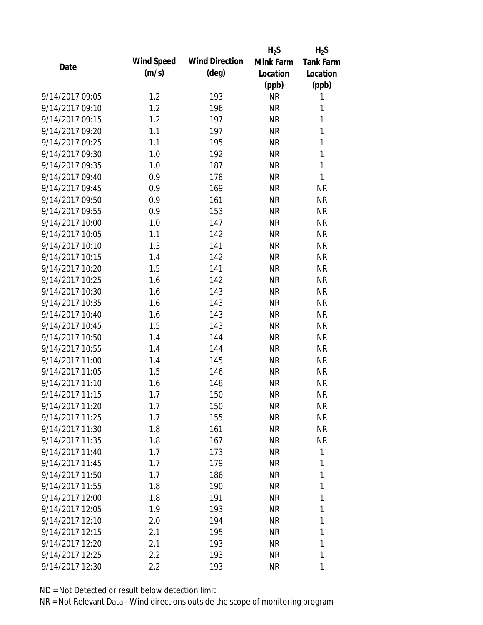|                 |                   |                       | $H_2S$    | $H_2S$           |
|-----------------|-------------------|-----------------------|-----------|------------------|
| Date            | <b>Wind Speed</b> | <b>Wind Direction</b> | Mink Farm | <b>Tank Farm</b> |
|                 | (m/s)             | $(\text{deg})$        | Location  | Location         |
|                 |                   |                       | (ppb)     | (ppb)            |
| 9/14/2017 09:05 | 1.2               | 193                   | <b>NR</b> | 1                |
| 9/14/2017 09:10 | 1.2               | 196                   | <b>NR</b> | 1                |
| 9/14/2017 09:15 | 1.2               | 197                   | <b>NR</b> | 1                |
| 9/14/2017 09:20 | 1.1               | 197                   | <b>NR</b> | 1                |
| 9/14/2017 09:25 | 1.1               | 195                   | <b>NR</b> | $\mathbf{1}$     |
| 9/14/2017 09:30 | 1.0               | 192                   | <b>NR</b> | 1                |
| 9/14/2017 09:35 | 1.0               | 187                   | <b>NR</b> | $\mathbf{1}$     |
| 9/14/2017 09:40 | 0.9               | 178                   | <b>NR</b> | $\mathbf{1}$     |
| 9/14/2017 09:45 | 0.9               | 169                   | <b>NR</b> | <b>NR</b>        |
| 9/14/2017 09:50 | 0.9               | 161                   | <b>NR</b> | <b>NR</b>        |
| 9/14/2017 09:55 | 0.9               | 153                   | <b>NR</b> | <b>NR</b>        |
| 9/14/2017 10:00 | 1.0               | 147                   | <b>NR</b> | <b>NR</b>        |
| 9/14/2017 10:05 | 1.1               | 142                   | <b>NR</b> | <b>NR</b>        |
| 9/14/2017 10:10 | 1.3               | 141                   | <b>NR</b> | <b>NR</b>        |
| 9/14/2017 10:15 | 1.4               | 142                   | <b>NR</b> | <b>NR</b>        |
| 9/14/2017 10:20 | 1.5               | 141                   | <b>NR</b> | <b>NR</b>        |
| 9/14/2017 10:25 | 1.6               | 142                   | <b>NR</b> | <b>NR</b>        |
| 9/14/2017 10:30 | 1.6               | 143                   | <b>NR</b> | <b>NR</b>        |
| 9/14/2017 10:35 | 1.6               | 143                   | <b>NR</b> | <b>NR</b>        |
| 9/14/2017 10:40 | 1.6               | 143                   | <b>NR</b> | <b>NR</b>        |
| 9/14/2017 10:45 | 1.5               | 143                   | <b>NR</b> | <b>NR</b>        |
| 9/14/2017 10:50 | 1.4               | 144                   | <b>NR</b> | <b>NR</b>        |
| 9/14/2017 10:55 | 1.4               | 144                   | <b>NR</b> | <b>NR</b>        |
| 9/14/2017 11:00 | 1.4               | 145                   | <b>NR</b> | <b>NR</b>        |
| 9/14/2017 11:05 | 1.5               | 146                   | <b>NR</b> | <b>NR</b>        |
| 9/14/2017 11:10 | 1.6               | 148                   | <b>NR</b> | <b>NR</b>        |
| 9/14/2017 11:15 | 1.7               | 150                   | <b>NR</b> | <b>NR</b>        |
| 9/14/2017 11:20 | 1.7               | 150                   | NR        | <b>NR</b>        |
| 9/14/2017 11:25 | 1.7               | 155                   | <b>NR</b> | <b>NR</b>        |
| 9/14/2017 11:30 | 1.8               | 161                   | NR        | <b>NR</b>        |
| 9/14/2017 11:35 | 1.8               | 167                   | <b>NR</b> | <b>NR</b>        |
| 9/14/2017 11:40 | 1.7               | 173                   | <b>NR</b> | 1                |
| 9/14/2017 11:45 | 1.7               | 179                   | <b>NR</b> | 1                |
| 9/14/2017 11:50 | 1.7               | 186                   | <b>NR</b> | 1                |
| 9/14/2017 11:55 | 1.8               | 190                   | <b>NR</b> | 1                |
| 9/14/2017 12:00 | 1.8               | 191                   | <b>NR</b> | 1                |
| 9/14/2017 12:05 | 1.9               | 193                   | <b>NR</b> | 1                |
| 9/14/2017 12:10 | 2.0               | 194                   | <b>NR</b> | 1                |
| 9/14/2017 12:15 | 2.1               | 195                   | <b>NR</b> | 1                |
| 9/14/2017 12:20 | 2.1               | 193                   | NR        | 1                |
| 9/14/2017 12:25 | 2.2               | 193                   | <b>NR</b> | 1                |
| 9/14/2017 12:30 | 2.2               | 193                   | <b>NR</b> | 1                |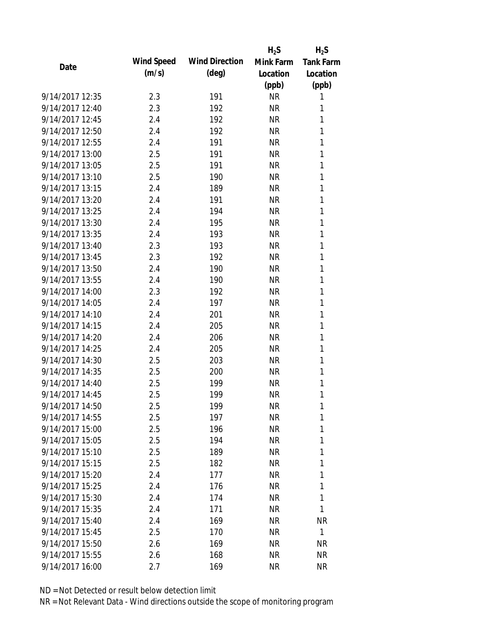|                 |            |                       | $H_2S$    | $H_2S$           |
|-----------------|------------|-----------------------|-----------|------------------|
| Date            | Wind Speed | <b>Wind Direction</b> | Mink Farm | <b>Tank Farm</b> |
|                 | (m/s)      | $(\text{deg})$        | Location  | Location         |
|                 |            |                       | (ppb)     | (ppb)            |
| 9/14/2017 12:35 | 2.3        | 191                   | <b>NR</b> | 1                |
| 9/14/2017 12:40 | 2.3        | 192                   | <b>NR</b> | 1                |
| 9/14/2017 12:45 | 2.4        | 192                   | <b>NR</b> | 1                |
| 9/14/2017 12:50 | 2.4        | 192                   | <b>NR</b> | 1                |
| 9/14/2017 12:55 | 2.4        | 191                   | <b>NR</b> | 1                |
| 9/14/2017 13:00 | 2.5        | 191                   | <b>NR</b> | 1                |
| 9/14/2017 13:05 | 2.5        | 191                   | <b>NR</b> | 1                |
| 9/14/2017 13:10 | 2.5        | 190                   | <b>NR</b> | 1                |
| 9/14/2017 13:15 | 2.4        | 189                   | <b>NR</b> | 1                |
| 9/14/2017 13:20 | 2.4        | 191                   | <b>NR</b> | 1                |
| 9/14/2017 13:25 | 2.4        | 194                   | <b>NR</b> | 1                |
| 9/14/2017 13:30 | 2.4        | 195                   | <b>NR</b> | 1                |
| 9/14/2017 13:35 | 2.4        | 193                   | <b>NR</b> | 1                |
| 9/14/2017 13:40 | 2.3        | 193                   | <b>NR</b> | 1                |
| 9/14/2017 13:45 | 2.3        | 192                   | <b>NR</b> | 1                |
| 9/14/2017 13:50 | 2.4        | 190                   | <b>NR</b> | 1                |
| 9/14/2017 13:55 | 2.4        | 190                   | <b>NR</b> | 1                |
| 9/14/2017 14:00 | 2.3        | 192                   | <b>NR</b> | 1                |
| 9/14/2017 14:05 | 2.4        | 197                   | <b>NR</b> | 1                |
| 9/14/2017 14:10 | 2.4        | 201                   | <b>NR</b> | 1                |
| 9/14/2017 14:15 | 2.4        | 205                   | <b>NR</b> | 1                |
| 9/14/2017 14:20 | 2.4        | 206                   | <b>NR</b> | 1                |
| 9/14/2017 14:25 | 2.4        | 205                   | <b>NR</b> | 1                |
| 9/14/2017 14:30 | 2.5        | 203                   | <b>NR</b> | 1                |
| 9/14/2017 14:35 | 2.5        | 200                   | <b>NR</b> | 1                |
| 9/14/2017 14:40 | 2.5        | 199                   | <b>NR</b> | 1                |
| 9/14/2017 14:45 | 2.5        | 199                   | <b>NR</b> | 1                |
| 9/14/2017 14:50 | 2.5        | 199                   | NR        | 1                |
| 9/14/2017 14:55 | 2.5        | 197                   | <b>NR</b> | 1                |
| 9/14/2017 15:00 | 2.5        | 196                   | <b>NR</b> | 1                |
| 9/14/2017 15:05 | 2.5        | 194                   | <b>NR</b> | 1                |
| 9/14/2017 15:10 | 2.5        | 189                   | <b>NR</b> | 1                |
| 9/14/2017 15:15 | 2.5        | 182                   | NR        | 1                |
| 9/14/2017 15:20 | 2.4        | 177                   | <b>NR</b> | 1                |
| 9/14/2017 15:25 | 2.4        | 176                   | <b>NR</b> | 1                |
| 9/14/2017 15:30 | 2.4        | 174                   | <b>NR</b> | 1                |
| 9/14/2017 15:35 | 2.4        | 171                   | <b>NR</b> | 1                |
| 9/14/2017 15:40 | 2.4        | 169                   | NR        | ΝR               |
| 9/14/2017 15:45 | 2.5        | 170                   | <b>NR</b> | $\mathbf{1}$     |
| 9/14/2017 15:50 | 2.6        | 169                   | NR        | <b>NR</b>        |
| 9/14/2017 15:55 | 2.6        | 168                   | <b>NR</b> | <b>NR</b>        |
| 9/14/2017 16:00 | 2.7        | 169                   | <b>NR</b> | <b>NR</b>        |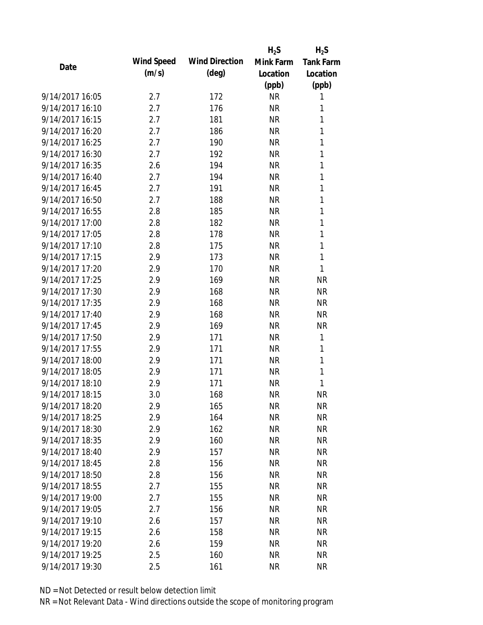|                 |            |                       | $H_2S$    | $H_2S$           |
|-----------------|------------|-----------------------|-----------|------------------|
| Date            | Wind Speed | <b>Wind Direction</b> | Mink Farm | <b>Tank Farm</b> |
|                 | (m/s)      | $(\text{deg})$        | Location  | Location         |
|                 |            |                       | (ppb)     | (ppb)            |
| 9/14/2017 16:05 | 2.7        | 172                   | <b>NR</b> | 1                |
| 9/14/2017 16:10 | 2.7        | 176                   | <b>NR</b> | 1                |
| 9/14/2017 16:15 | 2.7        | 181                   | <b>NR</b> | 1                |
| 9/14/2017 16:20 | 2.7        | 186                   | <b>NR</b> | 1                |
| 9/14/2017 16:25 | 2.7        | 190                   | <b>NR</b> | 1                |
| 9/14/2017 16:30 | 2.7        | 192                   | <b>NR</b> | 1                |
| 9/14/2017 16:35 | 2.6        | 194                   | <b>NR</b> | 1                |
| 9/14/2017 16:40 | 2.7        | 194                   | <b>NR</b> | 1                |
| 9/14/2017 16:45 | 2.7        | 191                   | <b>NR</b> | 1                |
| 9/14/2017 16:50 | 2.7        | 188                   | <b>NR</b> | 1                |
| 9/14/2017 16:55 | 2.8        | 185                   | <b>NR</b> | 1                |
| 9/14/2017 17:00 | 2.8        | 182                   | <b>NR</b> | 1                |
| 9/14/2017 17:05 | 2.8        | 178                   | <b>NR</b> | 1                |
| 9/14/2017 17:10 | 2.8        | 175                   | <b>NR</b> | 1                |
| 9/14/2017 17:15 | 2.9        | 173                   | <b>NR</b> | 1                |
| 9/14/2017 17:20 | 2.9        | 170                   | <b>NR</b> | 1                |
| 9/14/2017 17:25 | 2.9        | 169                   | <b>NR</b> | <b>NR</b>        |
| 9/14/2017 17:30 | 2.9        | 168                   | <b>NR</b> | <b>NR</b>        |
| 9/14/2017 17:35 | 2.9        | 168                   | <b>NR</b> | <b>NR</b>        |
| 9/14/2017 17:40 | 2.9        | 168                   | <b>NR</b> | <b>NR</b>        |
| 9/14/2017 17:45 | 2.9        | 169                   | <b>NR</b> | <b>NR</b>        |
| 9/14/2017 17:50 | 2.9        | 171                   | <b>NR</b> | 1                |
| 9/14/2017 17:55 | 2.9        | 171                   | <b>NR</b> | 1                |
| 9/14/2017 18:00 | 2.9        | 171                   | <b>NR</b> | 1                |
| 9/14/2017 18:05 | 2.9        | 171                   | <b>NR</b> | 1                |
| 9/14/2017 18:10 | 2.9        | 171                   | <b>NR</b> | 1                |
| 9/14/2017 18:15 | 3.0        | 168                   | <b>NR</b> | <b>NR</b>        |
| 9/14/2017 18:20 | 2.9        | 165                   | <b>NR</b> | <b>NR</b>        |
| 9/14/2017 18:25 | 2.9        | 164                   | <b>NR</b> | <b>NR</b>        |
| 9/14/2017 18:30 | 2.9        | 162                   | <b>NR</b> | <b>NR</b>        |
| 9/14/2017 18:35 | 2.9        | 160                   | <b>NR</b> | <b>NR</b>        |
| 9/14/2017 18:40 | 2.9        | 157                   | <b>NR</b> | <b>NR</b>        |
| 9/14/2017 18:45 | 2.8        | 156                   | <b>NR</b> | <b>NR</b>        |
| 9/14/2017 18:50 | 2.8        | 156                   | <b>NR</b> | <b>NR</b>        |
| 9/14/2017 18:55 | 2.7        | 155                   | <b>NR</b> | <b>NR</b>        |
| 9/14/2017 19:00 | 2.7        | 155                   | <b>NR</b> | <b>NR</b>        |
| 9/14/2017 19:05 | 2.7        | 156                   | <b>NR</b> | <b>NR</b>        |
| 9/14/2017 19:10 | 2.6        | 157                   | <b>NR</b> | <b>NR</b>        |
| 9/14/2017 19:15 | 2.6        | 158                   | <b>NR</b> | <b>NR</b>        |
| 9/14/2017 19:20 | 2.6        | 159                   | <b>NR</b> | <b>NR</b>        |
| 9/14/2017 19:25 | 2.5        | 160                   | <b>NR</b> | <b>NR</b>        |
| 9/14/2017 19:30 | 2.5        | 161                   | <b>NR</b> | <b>NR</b>        |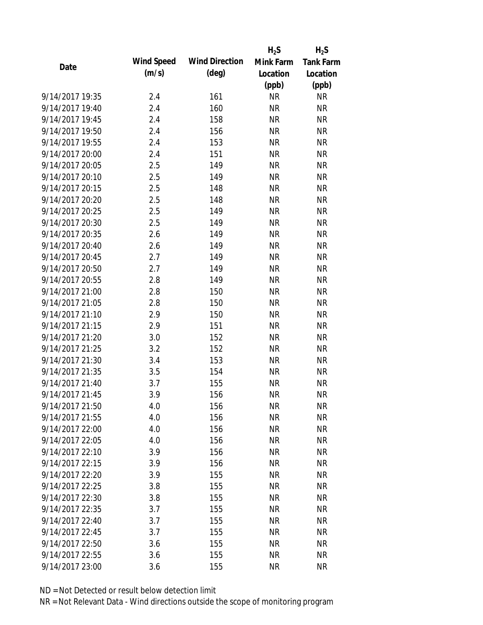|                 |            |                       | $H_2S$    | $H_2S$           |
|-----------------|------------|-----------------------|-----------|------------------|
| Date            | Wind Speed | <b>Wind Direction</b> | Mink Farm | <b>Tank Farm</b> |
|                 | (m/s)      | $(\text{deg})$        | Location  | Location         |
|                 |            |                       | (ppb)     | (ppb)            |
| 9/14/2017 19:35 | 2.4        | 161                   | <b>NR</b> | <b>NR</b>        |
| 9/14/2017 19:40 | 2.4        | 160                   | <b>NR</b> | <b>NR</b>        |
| 9/14/2017 19:45 | 2.4        | 158                   | <b>NR</b> | <b>NR</b>        |
| 9/14/2017 19:50 | 2.4        | 156                   | <b>NR</b> | <b>NR</b>        |
| 9/14/2017 19:55 | 2.4        | 153                   | <b>NR</b> | <b>NR</b>        |
| 9/14/2017 20:00 | 2.4        | 151                   | <b>NR</b> | <b>NR</b>        |
| 9/14/2017 20:05 | 2.5        | 149                   | <b>NR</b> | <b>NR</b>        |
| 9/14/2017 20:10 | 2.5        | 149                   | <b>NR</b> | <b>NR</b>        |
| 9/14/2017 20:15 | 2.5        | 148                   | <b>NR</b> | <b>NR</b>        |
| 9/14/2017 20:20 | 2.5        | 148                   | <b>NR</b> | <b>NR</b>        |
| 9/14/2017 20:25 | 2.5        | 149                   | <b>NR</b> | <b>NR</b>        |
| 9/14/2017 20:30 | 2.5        | 149                   | <b>NR</b> | <b>NR</b>        |
| 9/14/2017 20:35 | 2.6        | 149                   | <b>NR</b> | <b>NR</b>        |
| 9/14/2017 20:40 | 2.6        | 149                   | <b>NR</b> | <b>NR</b>        |
| 9/14/2017 20:45 | 2.7        | 149                   | <b>NR</b> | <b>NR</b>        |
| 9/14/2017 20:50 | 2.7        | 149                   | <b>NR</b> | <b>NR</b>        |
| 9/14/2017 20:55 | 2.8        | 149                   | <b>NR</b> | <b>NR</b>        |
| 9/14/2017 21:00 | 2.8        | 150                   | <b>NR</b> | <b>NR</b>        |
| 9/14/2017 21:05 | 2.8        | 150                   | <b>NR</b> | <b>NR</b>        |
| 9/14/2017 21:10 | 2.9        | 150                   | <b>NR</b> | <b>NR</b>        |
| 9/14/2017 21:15 | 2.9        | 151                   | <b>NR</b> | <b>NR</b>        |
| 9/14/2017 21:20 | 3.0        | 152                   | <b>NR</b> | <b>NR</b>        |
| 9/14/2017 21:25 | 3.2        | 152                   | <b>NR</b> | <b>NR</b>        |
| 9/14/2017 21:30 | 3.4        | 153                   | <b>NR</b> | <b>NR</b>        |
| 9/14/2017 21:35 | 3.5        | 154                   | <b>NR</b> | <b>NR</b>        |
| 9/14/2017 21:40 | 3.7        | 155                   | <b>NR</b> | <b>NR</b>        |
| 9/14/2017 21:45 | 3.9        | 156                   | <b>NR</b> | <b>NR</b>        |
| 9/14/2017 21:50 | 4.0        | 156                   | NR        | <b>NR</b>        |
| 9/14/2017 21:55 | 4.0        | 156                   | <b>NR</b> | <b>NR</b>        |
| 9/14/2017 22:00 | 4.0        | 156                   | <b>NR</b> | <b>NR</b>        |
| 9/14/2017 22:05 | 4.0        | 156                   | <b>NR</b> | <b>NR</b>        |
| 9/14/2017 22:10 | 3.9        | 156                   | <b>NR</b> | <b>NR</b>        |
| 9/14/2017 22:15 | 3.9        | 156                   | <b>NR</b> | <b>NR</b>        |
| 9/14/2017 22:20 | 3.9        | 155                   | <b>NR</b> | <b>NR</b>        |
| 9/14/2017 22:25 | 3.8        | 155                   | <b>NR</b> | <b>NR</b>        |
| 9/14/2017 22:30 | 3.8        | 155                   | <b>NR</b> | <b>NR</b>        |
| 9/14/2017 22:35 | 3.7        | 155                   | <b>NR</b> | <b>NR</b>        |
| 9/14/2017 22:40 | 3.7        | 155                   | <b>NR</b> | <b>NR</b>        |
| 9/14/2017 22:45 | 3.7        | 155                   | <b>NR</b> | <b>NR</b>        |
| 9/14/2017 22:50 | 3.6        | 155                   | <b>NR</b> | <b>NR</b>        |
| 9/14/2017 22:55 | 3.6        | 155                   | <b>NR</b> | <b>NR</b>        |
| 9/14/2017 23:00 | 3.6        | 155                   | <b>NR</b> | <b>NR</b>        |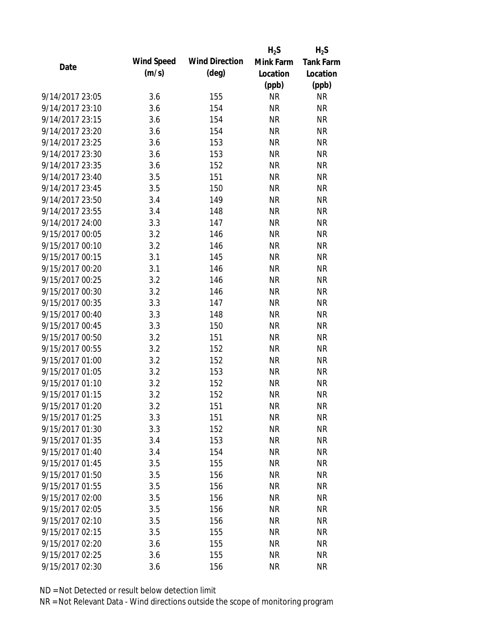|                 |            |                       | $H_2S$    | $H_2S$           |
|-----------------|------------|-----------------------|-----------|------------------|
| Date            | Wind Speed | <b>Wind Direction</b> | Mink Farm | <b>Tank Farm</b> |
|                 | (m/s)      | $(\text{deg})$        | Location  | Location         |
|                 |            |                       | (ppb)     | (ppb)            |
| 9/14/2017 23:05 | 3.6        | 155                   | <b>NR</b> | <b>NR</b>        |
| 9/14/2017 23:10 | 3.6        | 154                   | <b>NR</b> | <b>NR</b>        |
| 9/14/2017 23:15 | 3.6        | 154                   | <b>NR</b> | <b>NR</b>        |
| 9/14/2017 23:20 | 3.6        | 154                   | <b>NR</b> | <b>NR</b>        |
| 9/14/2017 23:25 | 3.6        | 153                   | <b>NR</b> | <b>NR</b>        |
| 9/14/2017 23:30 | 3.6        | 153                   | <b>NR</b> | <b>NR</b>        |
| 9/14/2017 23:35 | 3.6        | 152                   | <b>NR</b> | <b>NR</b>        |
| 9/14/2017 23:40 | 3.5        | 151                   | <b>NR</b> | <b>NR</b>        |
| 9/14/2017 23:45 | 3.5        | 150                   | <b>NR</b> | <b>NR</b>        |
| 9/14/2017 23:50 | 3.4        | 149                   | <b>NR</b> | <b>NR</b>        |
| 9/14/2017 23:55 | 3.4        | 148                   | <b>NR</b> | <b>NR</b>        |
| 9/14/2017 24:00 | 3.3        | 147                   | <b>NR</b> | <b>NR</b>        |
| 9/15/2017 00:05 | 3.2        | 146                   | <b>NR</b> | <b>NR</b>        |
| 9/15/2017 00:10 | 3.2        | 146                   | <b>NR</b> | <b>NR</b>        |
| 9/15/2017 00:15 | 3.1        | 145                   | <b>NR</b> | <b>NR</b>        |
| 9/15/2017 00:20 | 3.1        | 146                   | <b>NR</b> | <b>NR</b>        |
| 9/15/2017 00:25 | 3.2        | 146                   | <b>NR</b> | <b>NR</b>        |
| 9/15/2017 00:30 | 3.2        | 146                   | <b>NR</b> | <b>NR</b>        |
| 9/15/2017 00:35 | 3.3        | 147                   | <b>NR</b> | <b>NR</b>        |
| 9/15/2017 00:40 | 3.3        | 148                   | <b>NR</b> | <b>NR</b>        |
| 9/15/2017 00:45 | 3.3        | 150                   | <b>NR</b> | <b>NR</b>        |
| 9/15/2017 00:50 | 3.2        | 151                   | <b>NR</b> | <b>NR</b>        |
| 9/15/2017 00:55 | 3.2        | 152                   | <b>NR</b> | <b>NR</b>        |
| 9/15/2017 01:00 | 3.2        | 152                   | <b>NR</b> | <b>NR</b>        |
| 9/15/2017 01:05 | 3.2        | 153                   | <b>NR</b> | <b>NR</b>        |
| 9/15/2017 01:10 | 3.2        | 152                   | <b>NR</b> | <b>NR</b>        |
| 9/15/2017 01:15 | 3.2        | 152                   | <b>NR</b> | <b>NR</b>        |
| 9/15/2017 01:20 | 3.2        | 151                   | ΝR        | <b>NR</b>        |
| 9/15/2017 01:25 | 3.3        | 151                   | <b>NR</b> | <b>NR</b>        |
| 9/15/2017 01:30 | 3.3        | 152                   | <b>NR</b> | <b>NR</b>        |
| 9/15/2017 01:35 | 3.4        | 153                   | <b>NR</b> | <b>NR</b>        |
| 9/15/2017 01:40 | 3.4        | 154                   | <b>NR</b> | <b>NR</b>        |
| 9/15/2017 01:45 | 3.5        | 155                   | <b>NR</b> | <b>NR</b>        |
| 9/15/2017 01:50 | 3.5        | 156                   | <b>NR</b> | <b>NR</b>        |
| 9/15/2017 01:55 | 3.5        | 156                   | <b>NR</b> | <b>NR</b>        |
| 9/15/2017 02:00 | 3.5        | 156                   | <b>NR</b> | <b>NR</b>        |
| 9/15/2017 02:05 | 3.5        | 156                   | <b>NR</b> | <b>NR</b>        |
| 9/15/2017 02:10 | 3.5        | 156                   | <b>NR</b> | <b>NR</b>        |
| 9/15/2017 02:15 | 3.5        | 155                   | <b>NR</b> | <b>NR</b>        |
| 9/15/2017 02:20 | 3.6        | 155                   | ΝR        | <b>NR</b>        |
| 9/15/2017 02:25 | 3.6        | 155                   | <b>NR</b> | <b>NR</b>        |
| 9/15/2017 02:30 | 3.6        | 156                   | <b>NR</b> | <b>NR</b>        |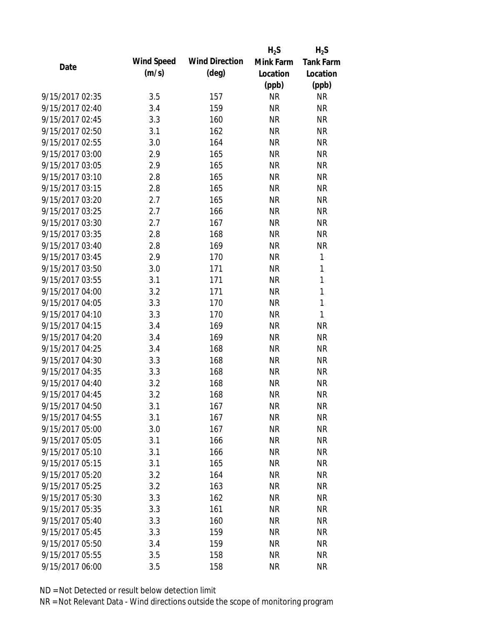|                 |            |                       | $H_2S$    | $H_2S$           |
|-----------------|------------|-----------------------|-----------|------------------|
| Date            | Wind Speed | <b>Wind Direction</b> | Mink Farm | <b>Tank Farm</b> |
|                 | (m/s)      | $(\text{deg})$        | Location  | Location         |
|                 |            |                       | (ppb)     | (ppb)            |
| 9/15/2017 02:35 | 3.5        | 157                   | <b>NR</b> | <b>NR</b>        |
| 9/15/2017 02:40 | 3.4        | 159                   | <b>NR</b> | <b>NR</b>        |
| 9/15/2017 02:45 | 3.3        | 160                   | <b>NR</b> | <b>NR</b>        |
| 9/15/2017 02:50 | 3.1        | 162                   | <b>NR</b> | <b>NR</b>        |
| 9/15/2017 02:55 | 3.0        | 164                   | <b>NR</b> | <b>NR</b>        |
| 9/15/2017 03:00 | 2.9        | 165                   | <b>NR</b> | <b>NR</b>        |
| 9/15/2017 03:05 | 2.9        | 165                   | <b>NR</b> | <b>NR</b>        |
| 9/15/2017 03:10 | 2.8        | 165                   | <b>NR</b> | <b>NR</b>        |
| 9/15/2017 03:15 | 2.8        | 165                   | <b>NR</b> | <b>NR</b>        |
| 9/15/2017 03:20 | 2.7        | 165                   | <b>NR</b> | <b>NR</b>        |
| 9/15/2017 03:25 | 2.7        | 166                   | <b>NR</b> | <b>NR</b>        |
| 9/15/2017 03:30 | 2.7        | 167                   | <b>NR</b> | <b>NR</b>        |
| 9/15/2017 03:35 | 2.8        | 168                   | <b>NR</b> | <b>NR</b>        |
| 9/15/2017 03:40 | 2.8        | 169                   | <b>NR</b> | <b>NR</b>        |
| 9/15/2017 03:45 | 2.9        | 170                   | <b>NR</b> | 1                |
| 9/15/2017 03:50 | 3.0        | 171                   | <b>NR</b> | 1                |
| 9/15/2017 03:55 | 3.1        | 171                   | <b>NR</b> | 1                |
| 9/15/2017 04:00 | 3.2        | 171                   | <b>NR</b> | $\mathbf{1}$     |
| 9/15/2017 04:05 | 3.3        | 170                   | <b>NR</b> | $\mathbf{1}$     |
| 9/15/2017 04:10 | 3.3        | 170                   | <b>NR</b> | 1                |
| 9/15/2017 04:15 | 3.4        | 169                   | <b>NR</b> | <b>NR</b>        |
| 9/15/2017 04:20 | 3.4        | 169                   | <b>NR</b> | <b>NR</b>        |
| 9/15/2017 04:25 | 3.4        | 168                   | <b>NR</b> | <b>NR</b>        |
| 9/15/2017 04:30 | 3.3        | 168                   | <b>NR</b> | <b>NR</b>        |
| 9/15/2017 04:35 | 3.3        | 168                   | <b>NR</b> | <b>NR</b>        |
| 9/15/2017 04:40 | 3.2        | 168                   | <b>NR</b> | <b>NR</b>        |
| 9/15/2017 04:45 | 3.2        | 168                   | <b>NR</b> | <b>NR</b>        |
| 9/15/2017 04:50 | 3.1        | 167                   | ΝR        | <b>NR</b>        |
| 9/15/2017 04:55 | 3.1        | 167                   | <b>NR</b> | <b>NR</b>        |
| 9/15/2017 05:00 | 3.0        | 167                   | <b>NR</b> | <b>NR</b>        |
| 9/15/2017 05:05 | 3.1        | 166                   | <b>NR</b> | <b>NR</b>        |
| 9/15/2017 05:10 | 3.1        | 166                   | <b>NR</b> | <b>NR</b>        |
| 9/15/2017 05:15 | 3.1        | 165                   | <b>NR</b> | <b>NR</b>        |
| 9/15/2017 05:20 | 3.2        | 164                   | <b>NR</b> | <b>NR</b>        |
| 9/15/2017 05:25 | 3.2        | 163                   | <b>NR</b> | <b>NR</b>        |
| 9/15/2017 05:30 | 3.3        | 162                   | <b>NR</b> | <b>NR</b>        |
| 9/15/2017 05:35 | 3.3        | 161                   | <b>NR</b> | <b>NR</b>        |
| 9/15/2017 05:40 | 3.3        | 160                   | <b>NR</b> | <b>NR</b>        |
| 9/15/2017 05:45 | 3.3        | 159                   | <b>NR</b> | <b>NR</b>        |
| 9/15/2017 05:50 | 3.4        | 159                   | <b>NR</b> | <b>NR</b>        |
| 9/15/2017 05:55 | 3.5        | 158                   | <b>NR</b> | <b>NR</b>        |
| 9/15/2017 06:00 | 3.5        | 158                   | <b>NR</b> | <b>NR</b>        |
|                 |            |                       |           |                  |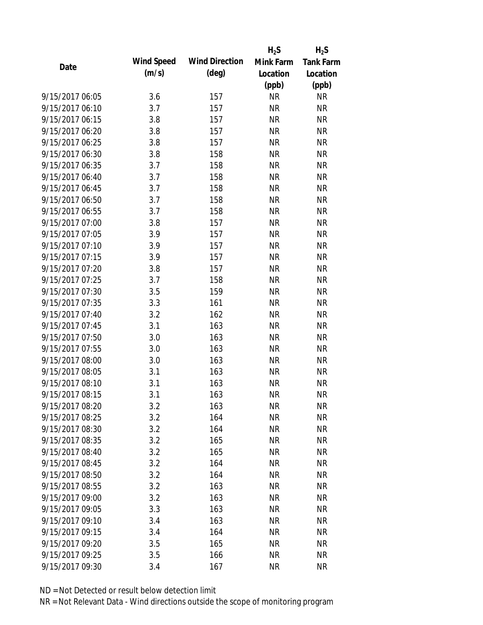|                 |            |                       | $H_2S$    | $H_2S$           |
|-----------------|------------|-----------------------|-----------|------------------|
| Date            | Wind Speed | <b>Wind Direction</b> | Mink Farm | <b>Tank Farm</b> |
|                 | (m/s)      | $(\text{deg})$        | Location  | Location         |
|                 |            |                       | (ppb)     | (ppb)            |
| 9/15/2017 06:05 | 3.6        | 157                   | <b>NR</b> | <b>NR</b>        |
| 9/15/2017 06:10 | 3.7        | 157                   | <b>NR</b> | <b>NR</b>        |
| 9/15/2017 06:15 | 3.8        | 157                   | <b>NR</b> | <b>NR</b>        |
| 9/15/2017 06:20 | 3.8        | 157                   | <b>NR</b> | <b>NR</b>        |
| 9/15/2017 06:25 | 3.8        | 157                   | <b>NR</b> | <b>NR</b>        |
| 9/15/2017 06:30 | 3.8        | 158                   | <b>NR</b> | <b>NR</b>        |
| 9/15/2017 06:35 | 3.7        | 158                   | <b>NR</b> | <b>NR</b>        |
| 9/15/2017 06:40 | 3.7        | 158                   | <b>NR</b> | <b>NR</b>        |
| 9/15/2017 06:45 | 3.7        | 158                   | <b>NR</b> | <b>NR</b>        |
| 9/15/2017 06:50 | 3.7        | 158                   | <b>NR</b> | <b>NR</b>        |
| 9/15/2017 06:55 | 3.7        | 158                   | <b>NR</b> | <b>NR</b>        |
| 9/15/2017 07:00 | 3.8        | 157                   | <b>NR</b> | <b>NR</b>        |
| 9/15/2017 07:05 | 3.9        | 157                   | <b>NR</b> | <b>NR</b>        |
| 9/15/2017 07:10 | 3.9        | 157                   | <b>NR</b> | <b>NR</b>        |
| 9/15/2017 07:15 | 3.9        | 157                   | <b>NR</b> | <b>NR</b>        |
| 9/15/2017 07:20 | 3.8        | 157                   | <b>NR</b> | <b>NR</b>        |
| 9/15/2017 07:25 | 3.7        | 158                   | <b>NR</b> | <b>NR</b>        |
| 9/15/2017 07:30 | 3.5        | 159                   | <b>NR</b> | <b>NR</b>        |
| 9/15/2017 07:35 | 3.3        | 161                   | <b>NR</b> | <b>NR</b>        |
| 9/15/2017 07:40 | 3.2        | 162                   | <b>NR</b> | <b>NR</b>        |
| 9/15/2017 07:45 | 3.1        | 163                   | <b>NR</b> | <b>NR</b>        |
| 9/15/2017 07:50 | 3.0        | 163                   | <b>NR</b> | <b>NR</b>        |
| 9/15/2017 07:55 | 3.0        | 163                   | <b>NR</b> | <b>NR</b>        |
| 9/15/2017 08:00 | 3.0        | 163                   | <b>NR</b> | <b>NR</b>        |
| 9/15/2017 08:05 | 3.1        | 163                   | <b>NR</b> | <b>NR</b>        |
| 9/15/2017 08:10 | 3.1        | 163                   | <b>NR</b> | <b>NR</b>        |
| 9/15/2017 08:15 | 3.1        | 163                   | <b>NR</b> | <b>NR</b>        |
| 9/15/2017 08:20 | 3.2        | 163                   | ΝR        | <b>NR</b>        |
| 9/15/2017 08:25 | 3.2        | 164                   | <b>NR</b> | <b>NR</b>        |
| 9/15/2017 08:30 | 3.2        | 164                   | <b>NR</b> | <b>NR</b>        |
| 9/15/2017 08:35 | 3.2        | 165                   | <b>NR</b> | <b>NR</b>        |
| 9/15/2017 08:40 | 3.2        | 165                   | <b>NR</b> | <b>NR</b>        |
| 9/15/2017 08:45 | 3.2        | 164                   | <b>NR</b> | <b>NR</b>        |
| 9/15/2017 08:50 | 3.2        | 164                   | <b>NR</b> | <b>NR</b>        |
| 9/15/2017 08:55 | 3.2        | 163                   | <b>NR</b> | <b>NR</b>        |
| 9/15/2017 09:00 | 3.2        | 163                   | <b>NR</b> | <b>NR</b>        |
| 9/15/2017 09:05 | 3.3        | 163                   | <b>NR</b> | <b>NR</b>        |
| 9/15/2017 09:10 | 3.4        | 163                   | <b>NR</b> | <b>NR</b>        |
| 9/15/2017 09:15 | 3.4        | 164                   | <b>NR</b> | <b>NR</b>        |
| 9/15/2017 09:20 | 3.5        | 165                   | <b>NR</b> | <b>NR</b>        |
| 9/15/2017 09:25 | 3.5        | 166                   | <b>NR</b> | <b>NR</b>        |
| 9/15/2017 09:30 | 3.4        | 167                   | <b>NR</b> | <b>NR</b>        |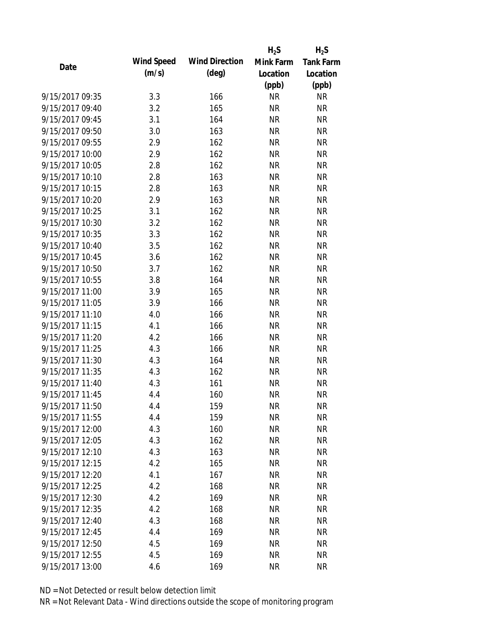|                 |                   |                       | $H_2S$    | $H_2S$           |
|-----------------|-------------------|-----------------------|-----------|------------------|
| Date            | <b>Wind Speed</b> | <b>Wind Direction</b> | Mink Farm | <b>Tank Farm</b> |
|                 | (m/s)             | $(\text{deg})$        | Location  | Location         |
|                 |                   |                       | (ppb)     | (ppb)            |
| 9/15/2017 09:35 | 3.3               | 166                   | <b>NR</b> | <b>NR</b>        |
| 9/15/2017 09:40 | 3.2               | 165                   | <b>NR</b> | <b>NR</b>        |
| 9/15/2017 09:45 | 3.1               | 164                   | <b>NR</b> | <b>NR</b>        |
| 9/15/2017 09:50 | 3.0               | 163                   | <b>NR</b> | <b>NR</b>        |
| 9/15/2017 09:55 | 2.9               | 162                   | <b>NR</b> | <b>NR</b>        |
| 9/15/2017 10:00 | 2.9               | 162                   | <b>NR</b> | <b>NR</b>        |
| 9/15/2017 10:05 | 2.8               | 162                   | <b>NR</b> | <b>NR</b>        |
| 9/15/2017 10:10 | 2.8               | 163                   | <b>NR</b> | <b>NR</b>        |
| 9/15/2017 10:15 | 2.8               | 163                   | <b>NR</b> | <b>NR</b>        |
| 9/15/2017 10:20 | 2.9               | 163                   | <b>NR</b> | <b>NR</b>        |
| 9/15/2017 10:25 | 3.1               | 162                   | <b>NR</b> | <b>NR</b>        |
| 9/15/2017 10:30 | 3.2               | 162                   | <b>NR</b> | <b>NR</b>        |
| 9/15/2017 10:35 | 3.3               | 162                   | <b>NR</b> | <b>NR</b>        |
| 9/15/2017 10:40 | 3.5               | 162                   | <b>NR</b> | <b>NR</b>        |
| 9/15/2017 10:45 | 3.6               | 162                   | <b>NR</b> | <b>NR</b>        |
| 9/15/2017 10:50 | 3.7               | 162                   | <b>NR</b> | <b>NR</b>        |
| 9/15/2017 10:55 | 3.8               | 164                   | <b>NR</b> | <b>NR</b>        |
| 9/15/2017 11:00 | 3.9               | 165                   | <b>NR</b> | <b>NR</b>        |
| 9/15/2017 11:05 | 3.9               | 166                   | <b>NR</b> | <b>NR</b>        |
| 9/15/2017 11:10 | 4.0               | 166                   | <b>NR</b> | <b>NR</b>        |
| 9/15/2017 11:15 | 4.1               | 166                   | <b>NR</b> | <b>NR</b>        |
| 9/15/2017 11:20 | 4.2               | 166                   | <b>NR</b> | <b>NR</b>        |
| 9/15/2017 11:25 | 4.3               | 166                   | <b>NR</b> | <b>NR</b>        |
| 9/15/2017 11:30 | 4.3               | 164                   | <b>NR</b> | <b>NR</b>        |
| 9/15/2017 11:35 | 4.3               | 162                   | <b>NR</b> | <b>NR</b>        |
| 9/15/2017 11:40 | 4.3               | 161                   | <b>NR</b> | <b>NR</b>        |
| 9/15/2017 11:45 | 4.4               | 160                   | <b>NR</b> | <b>NR</b>        |
| 9/15/2017 11:50 | 4.4               | 159                   | ΝR        | <b>NR</b>        |
| 9/15/2017 11:55 | 4.4               | 159                   | <b>NR</b> | <b>NR</b>        |
| 9/15/2017 12:00 | 4.3               | 160                   | <b>NR</b> | <b>NR</b>        |
| 9/15/2017 12:05 | 4.3               | 162                   | <b>NR</b> | <b>NR</b>        |
| 9/15/2017 12:10 | 4.3               | 163                   | <b>NR</b> | <b>NR</b>        |
| 9/15/2017 12:15 | 4.2               | 165                   | <b>NR</b> | <b>NR</b>        |
| 9/15/2017 12:20 | 4.1               | 167                   | <b>NR</b> | <b>NR</b>        |
| 9/15/2017 12:25 | 4.2               | 168                   | <b>NR</b> | <b>NR</b>        |
| 9/15/2017 12:30 | 4.2               | 169                   | <b>NR</b> | <b>NR</b>        |
| 9/15/2017 12:35 | 4.2               | 168                   | <b>NR</b> | <b>NR</b>        |
| 9/15/2017 12:40 | 4.3               | 168                   | <b>NR</b> | <b>NR</b>        |
| 9/15/2017 12:45 | 4.4               | 169                   | <b>NR</b> | <b>NR</b>        |
| 9/15/2017 12:50 | 4.5               | 169                   | <b>NR</b> | <b>NR</b>        |
| 9/15/2017 12:55 | 4.5               | 169                   | <b>NR</b> | <b>NR</b>        |
| 9/15/2017 13:00 | 4.6               | 169                   | <b>NR</b> | <b>NR</b>        |
|                 |                   |                       |           |                  |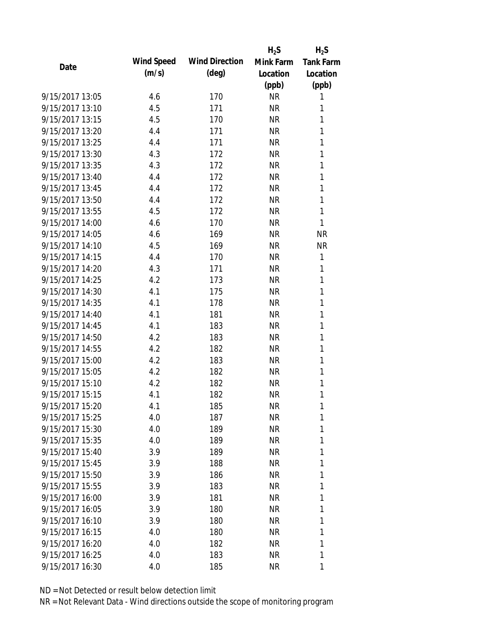|                 |            |                       | $H_2S$    | $H_2S$           |
|-----------------|------------|-----------------------|-----------|------------------|
| Date            | Wind Speed | <b>Wind Direction</b> | Mink Farm | <b>Tank Farm</b> |
|                 | (m/s)      | $(\text{deg})$        | Location  | Location         |
|                 |            |                       | (ppb)     | (ppb)            |
| 9/15/2017 13:05 | 4.6        | 170                   | <b>NR</b> | 1                |
| 9/15/2017 13:10 | 4.5        | 171                   | <b>NR</b> | 1                |
| 9/15/2017 13:15 | 4.5        | 170                   | <b>NR</b> | 1                |
| 9/15/2017 13:20 | 4.4        | 171                   | <b>NR</b> | 1                |
| 9/15/2017 13:25 | 4.4        | 171                   | <b>NR</b> | 1                |
| 9/15/2017 13:30 | 4.3        | 172                   | <b>NR</b> | 1                |
| 9/15/2017 13:35 | 4.3        | 172                   | <b>NR</b> | 1                |
| 9/15/2017 13:40 | 4.4        | 172                   | <b>NR</b> | 1                |
| 9/15/2017 13:45 | 4.4        | 172                   | <b>NR</b> | 1                |
| 9/15/2017 13:50 | 4.4        | 172                   | <b>NR</b> | 1                |
| 9/15/2017 13:55 | 4.5        | 172                   | <b>NR</b> | 1                |
| 9/15/2017 14:00 | 4.6        | 170                   | <b>NR</b> | 1                |
| 9/15/2017 14:05 | 4.6        | 169                   | <b>NR</b> | <b>NR</b>        |
| 9/15/2017 14:10 | 4.5        | 169                   | <b>NR</b> | <b>NR</b>        |
| 9/15/2017 14:15 | 4.4        | 170                   | <b>NR</b> | 1                |
| 9/15/2017 14:20 | 4.3        | 171                   | <b>NR</b> | 1                |
| 9/15/2017 14:25 | 4.2        | 173                   | <b>NR</b> | 1                |
| 9/15/2017 14:30 | 4.1        | 175                   | <b>NR</b> | 1                |
| 9/15/2017 14:35 | 4.1        | 178                   | <b>NR</b> | 1                |
| 9/15/2017 14:40 | 4.1        | 181                   | <b>NR</b> | 1                |
| 9/15/2017 14:45 | 4.1        | 183                   | <b>NR</b> | 1                |
| 9/15/2017 14:50 | 4.2        | 183                   | <b>NR</b> | 1                |
| 9/15/2017 14:55 | 4.2        | 182                   | <b>NR</b> | 1                |
| 9/15/2017 15:00 | 4.2        | 183                   | <b>NR</b> | 1                |
| 9/15/2017 15:05 | 4.2        | 182                   | <b>NR</b> | 1                |
| 9/15/2017 15:10 | 4.2        | 182                   | <b>NR</b> | 1                |
| 9/15/2017 15:15 | 4.1        | 182                   | <b>NR</b> | 1                |
| 9/15/2017 15:20 | 4.1        | 185                   | <b>NR</b> | 1                |
| 9/15/2017 15:25 | 4.0        | 187                   | <b>NR</b> | 1                |
| 9/15/2017 15:30 | 4.0        | 189                   | <b>NR</b> | 1                |
| 9/15/2017 15:35 | 4.0        | 189                   | <b>NR</b> | 1                |
| 9/15/2017 15:40 | 3.9        | 189                   | <b>NR</b> | 1                |
| 9/15/2017 15:45 | 3.9        | 188                   | <b>NR</b> | 1                |
| 9/15/2017 15:50 | 3.9        | 186                   | <b>NR</b> | 1                |
| 9/15/2017 15:55 | 3.9        | 183                   | <b>NR</b> | 1                |
| 9/15/2017 16:00 | 3.9        | 181                   | <b>NR</b> | $\mathbf{1}$     |
| 9/15/2017 16:05 | 3.9        | 180                   | <b>NR</b> | 1                |
| 9/15/2017 16:10 | 3.9        | 180                   | <b>NR</b> | 1                |
| 9/15/2017 16:15 | 4.0        | 180                   | <b>NR</b> | 1                |
| 9/15/2017 16:20 | 4.0        | 182                   | NR        | 1                |
| 9/15/2017 16:25 | 4.0        | 183                   | <b>NR</b> | 1                |
| 9/15/2017 16:30 | 4.0        | 185                   | <b>NR</b> | 1                |
|                 |            |                       |           |                  |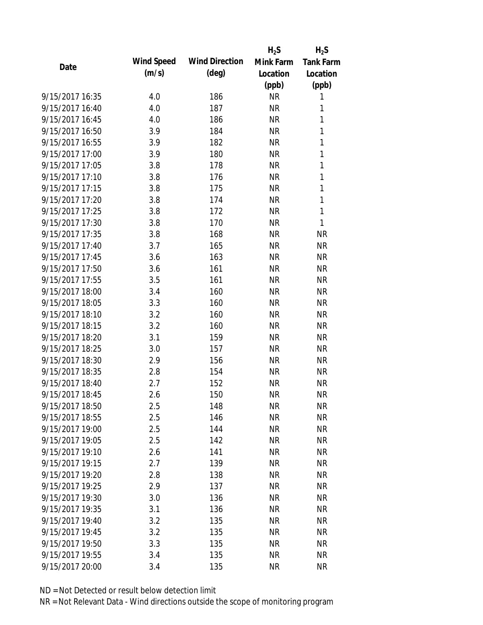|                 |            |                       | $H_2S$    | $H_2S$           |
|-----------------|------------|-----------------------|-----------|------------------|
| Date            | Wind Speed | <b>Wind Direction</b> | Mink Farm | <b>Tank Farm</b> |
|                 | (m/s)      | $(\text{deg})$        | Location  | Location         |
|                 |            |                       | (ppb)     | (ppb)            |
| 9/15/2017 16:35 | 4.0        | 186                   | <b>NR</b> | 1                |
| 9/15/2017 16:40 | 4.0        | 187                   | <b>NR</b> | 1                |
| 9/15/2017 16:45 | 4.0        | 186                   | <b>NR</b> | 1                |
| 9/15/2017 16:50 | 3.9        | 184                   | <b>NR</b> | 1                |
| 9/15/2017 16:55 | 3.9        | 182                   | <b>NR</b> | 1                |
| 9/15/2017 17:00 | 3.9        | 180                   | <b>NR</b> | 1                |
| 9/15/2017 17:05 | 3.8        | 178                   | <b>NR</b> | $\mathbf{1}$     |
| 9/15/2017 17:10 | 3.8        | 176                   | <b>NR</b> | 1                |
| 9/15/2017 17:15 | 3.8        | 175                   | <b>NR</b> | 1                |
| 9/15/2017 17:20 | 3.8        | 174                   | <b>NR</b> | 1                |
| 9/15/2017 17:25 | 3.8        | 172                   | <b>NR</b> | $\mathbf{1}$     |
| 9/15/2017 17:30 | 3.8        | 170                   | <b>NR</b> | 1                |
| 9/15/2017 17:35 | 3.8        | 168                   | <b>NR</b> | <b>NR</b>        |
| 9/15/2017 17:40 | 3.7        | 165                   | <b>NR</b> | <b>NR</b>        |
| 9/15/2017 17:45 | 3.6        | 163                   | <b>NR</b> | <b>NR</b>        |
| 9/15/2017 17:50 | 3.6        | 161                   | <b>NR</b> | <b>NR</b>        |
| 9/15/2017 17:55 | 3.5        | 161                   | <b>NR</b> | <b>NR</b>        |
| 9/15/2017 18:00 | 3.4        | 160                   | <b>NR</b> | <b>NR</b>        |
| 9/15/2017 18:05 | 3.3        | 160                   | <b>NR</b> | <b>NR</b>        |
| 9/15/2017 18:10 | 3.2        | 160                   | <b>NR</b> | <b>NR</b>        |
| 9/15/2017 18:15 | 3.2        | 160                   | <b>NR</b> | <b>NR</b>        |
| 9/15/2017 18:20 | 3.1        | 159                   | <b>NR</b> | <b>NR</b>        |
| 9/15/2017 18:25 | 3.0        | 157                   | <b>NR</b> | <b>NR</b>        |
| 9/15/2017 18:30 | 2.9        | 156                   | <b>NR</b> | <b>NR</b>        |
| 9/15/2017 18:35 | 2.8        | 154                   | <b>NR</b> | <b>NR</b>        |
| 9/15/2017 18:40 | 2.7        | 152                   | <b>NR</b> | <b>NR</b>        |
| 9/15/2017 18:45 | 2.6        | 150                   | <b>NR</b> | <b>NR</b>        |
| 9/15/2017 18:50 | 2.5        | 148                   | <b>NR</b> | <b>NR</b>        |
| 9/15/2017 18:55 | 2.5        | 146                   | <b>NR</b> | <b>NR</b>        |
| 9/15/2017 19:00 | 2.5        | 144                   | <b>NR</b> | <b>NR</b>        |
| 9/15/2017 19:05 | 2.5        | 142                   | <b>NR</b> | <b>NR</b>        |
| 9/15/2017 19:10 | 2.6        | 141                   | <b>NR</b> | <b>NR</b>        |
| 9/15/2017 19:15 | 2.7        | 139                   | <b>NR</b> | <b>NR</b>        |
| 9/15/2017 19:20 | 2.8        | 138                   | <b>NR</b> | <b>NR</b>        |
| 9/15/2017 19:25 | 2.9        | 137                   | <b>NR</b> | <b>NR</b>        |
| 9/15/2017 19:30 | 3.0        | 136                   | <b>NR</b> | <b>NR</b>        |
| 9/15/2017 19:35 | 3.1        | 136                   | <b>NR</b> | <b>NR</b>        |
| 9/15/2017 19:40 | 3.2        | 135                   | <b>NR</b> | <b>NR</b>        |
| 9/15/2017 19:45 | 3.2        | 135                   | <b>NR</b> | <b>NR</b>        |
| 9/15/2017 19:50 | 3.3        | 135                   | <b>NR</b> | <b>NR</b>        |
| 9/15/2017 19:55 | 3.4        | 135                   | <b>NR</b> | <b>NR</b>        |
| 9/15/2017 20:00 | 3.4        | 135                   | <b>NR</b> | <b>NR</b>        |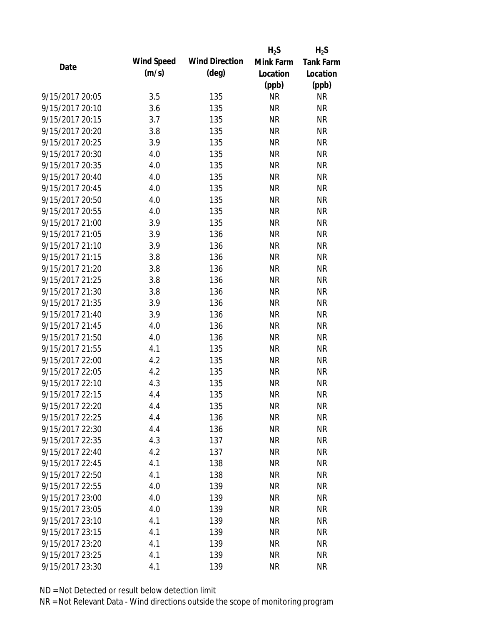|                 |            |                       | $H_2S$    | $H_2S$           |
|-----------------|------------|-----------------------|-----------|------------------|
| Date            | Wind Speed | <b>Wind Direction</b> | Mink Farm | <b>Tank Farm</b> |
|                 | (m/s)      | $(\text{deg})$        | Location  | Location         |
|                 |            |                       | (ppb)     | (ppb)            |
| 9/15/2017 20:05 | 3.5        | 135                   | <b>NR</b> | <b>NR</b>        |
| 9/15/2017 20:10 | 3.6        | 135                   | <b>NR</b> | <b>NR</b>        |
| 9/15/2017 20:15 | 3.7        | 135                   | <b>NR</b> | <b>NR</b>        |
| 9/15/2017 20:20 | 3.8        | 135                   | <b>NR</b> | <b>NR</b>        |
| 9/15/2017 20:25 | 3.9        | 135                   | <b>NR</b> | <b>NR</b>        |
| 9/15/2017 20:30 | 4.0        | 135                   | <b>NR</b> | <b>NR</b>        |
| 9/15/2017 20:35 | 4.0        | 135                   | <b>NR</b> | <b>NR</b>        |
| 9/15/2017 20:40 | 4.0        | 135                   | <b>NR</b> | <b>NR</b>        |
| 9/15/2017 20:45 | 4.0        | 135                   | <b>NR</b> | <b>NR</b>        |
| 9/15/2017 20:50 | 4.0        | 135                   | <b>NR</b> | <b>NR</b>        |
| 9/15/2017 20:55 | 4.0        | 135                   | <b>NR</b> | <b>NR</b>        |
| 9/15/2017 21:00 | 3.9        | 135                   | <b>NR</b> | <b>NR</b>        |
| 9/15/2017 21:05 | 3.9        | 136                   | <b>NR</b> | <b>NR</b>        |
| 9/15/2017 21:10 | 3.9        | 136                   | <b>NR</b> | <b>NR</b>        |
| 9/15/2017 21:15 | 3.8        | 136                   | <b>NR</b> | <b>NR</b>        |
| 9/15/2017 21:20 | 3.8        | 136                   | <b>NR</b> | <b>NR</b>        |
| 9/15/2017 21:25 | 3.8        | 136                   | <b>NR</b> | <b>NR</b>        |
| 9/15/2017 21:30 | 3.8        | 136                   | <b>NR</b> | <b>NR</b>        |
| 9/15/2017 21:35 | 3.9        | 136                   | <b>NR</b> | <b>NR</b>        |
| 9/15/2017 21:40 | 3.9        | 136                   | <b>NR</b> | <b>NR</b>        |
| 9/15/2017 21:45 | 4.0        | 136                   | <b>NR</b> | <b>NR</b>        |
| 9/15/2017 21:50 | 4.0        | 136                   | <b>NR</b> | <b>NR</b>        |
| 9/15/2017 21:55 | 4.1        | 135                   | <b>NR</b> | <b>NR</b>        |
| 9/15/2017 22:00 | 4.2        | 135                   | <b>NR</b> | <b>NR</b>        |
| 9/15/2017 22:05 | 4.2        | 135                   | <b>NR</b> | <b>NR</b>        |
| 9/15/2017 22:10 | 4.3        | 135                   | <b>NR</b> | <b>NR</b>        |
| 9/15/2017 22:15 | 4.4        | 135                   | <b>NR</b> | <b>NR</b>        |
| 9/15/2017 22:20 | 4.4        | 135                   | <b>NR</b> | <b>NR</b>        |
| 9/15/2017 22:25 | 4.4        | 136                   | <b>NR</b> | <b>NR</b>        |
| 9/15/2017 22:30 | 4.4        | 136                   | NR        | <b>NR</b>        |
| 9/15/2017 22:35 | 4.3        | 137                   | <b>NR</b> | <b>NR</b>        |
| 9/15/2017 22:40 | 4.2        | 137                   | <b>NR</b> | <b>NR</b>        |
| 9/15/2017 22:45 | 4.1        | 138                   | <b>NR</b> | <b>NR</b>        |
| 9/15/2017 22:50 | 4.1        | 138                   | <b>NR</b> | <b>NR</b>        |
| 9/15/2017 22:55 | 4.0        | 139                   | <b>NR</b> | <b>NR</b>        |
| 9/15/2017 23:00 | 4.0        | 139                   | <b>NR</b> | <b>NR</b>        |
| 9/15/2017 23:05 | 4.0        | 139                   | <b>NR</b> | <b>NR</b>        |
| 9/15/2017 23:10 | 4.1        | 139                   | <b>NR</b> | <b>NR</b>        |
| 9/15/2017 23:15 | 4.1        | 139                   | <b>NR</b> | <b>NR</b>        |
| 9/15/2017 23:20 | 4.1        | 139                   | <b>NR</b> | <b>NR</b>        |
| 9/15/2017 23:25 | 4.1        | 139                   | <b>NR</b> | <b>NR</b>        |
| 9/15/2017 23:30 | 4.1        | 139                   | <b>NR</b> | <b>NR</b>        |
|                 |            |                       |           |                  |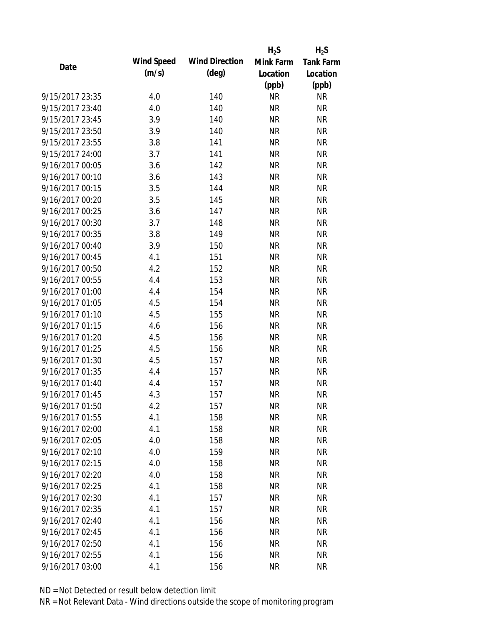|                 |            |                       | $H_2S$    | $H_2S$           |
|-----------------|------------|-----------------------|-----------|------------------|
| Date            | Wind Speed | <b>Wind Direction</b> | Mink Farm | <b>Tank Farm</b> |
|                 | (m/s)      | $(\text{deg})$        | Location  | Location         |
|                 |            |                       | (ppb)     | (ppb)            |
| 9/15/2017 23:35 | 4.0        | 140                   | <b>NR</b> | <b>NR</b>        |
| 9/15/2017 23:40 | 4.0        | 140                   | <b>NR</b> | <b>NR</b>        |
| 9/15/2017 23:45 | 3.9        | 140                   | <b>NR</b> | <b>NR</b>        |
| 9/15/2017 23:50 | 3.9        | 140                   | <b>NR</b> | <b>NR</b>        |
| 9/15/2017 23:55 | 3.8        | 141                   | <b>NR</b> | <b>NR</b>        |
| 9/15/2017 24:00 | 3.7        | 141                   | <b>NR</b> | <b>NR</b>        |
| 9/16/2017 00:05 | 3.6        | 142                   | <b>NR</b> | <b>NR</b>        |
| 9/16/2017 00:10 | 3.6        | 143                   | <b>NR</b> | <b>NR</b>        |
| 9/16/2017 00:15 | 3.5        | 144                   | <b>NR</b> | <b>NR</b>        |
| 9/16/2017 00:20 | 3.5        | 145                   | <b>NR</b> | <b>NR</b>        |
| 9/16/2017 00:25 | 3.6        | 147                   | <b>NR</b> | <b>NR</b>        |
| 9/16/2017 00:30 | 3.7        | 148                   | <b>NR</b> | <b>NR</b>        |
| 9/16/2017 00:35 | 3.8        | 149                   | <b>NR</b> | <b>NR</b>        |
| 9/16/2017 00:40 | 3.9        | 150                   | <b>NR</b> | <b>NR</b>        |
| 9/16/2017 00:45 | 4.1        | 151                   | <b>NR</b> | <b>NR</b>        |
| 9/16/2017 00:50 | 4.2        | 152                   | <b>NR</b> | <b>NR</b>        |
| 9/16/2017 00:55 | 4.4        | 153                   | <b>NR</b> | <b>NR</b>        |
| 9/16/2017 01:00 | 4.4        | 154                   | <b>NR</b> | <b>NR</b>        |
| 9/16/2017 01:05 | 4.5        | 154                   | <b>NR</b> | <b>NR</b>        |
| 9/16/2017 01:10 | 4.5        | 155                   | <b>NR</b> | <b>NR</b>        |
| 9/16/2017 01:15 | 4.6        | 156                   | <b>NR</b> | <b>NR</b>        |
| 9/16/2017 01:20 | 4.5        | 156                   | <b>NR</b> | <b>NR</b>        |
| 9/16/2017 01:25 | 4.5        | 156                   | <b>NR</b> | <b>NR</b>        |
| 9/16/2017 01:30 | 4.5        | 157                   | <b>NR</b> | <b>NR</b>        |
| 9/16/2017 01:35 | 4.4        | 157                   | <b>NR</b> | <b>NR</b>        |
| 9/16/2017 01:40 | 4.4        | 157                   | <b>NR</b> | <b>NR</b>        |
| 9/16/2017 01:45 | 4.3        | 157                   | <b>NR</b> | <b>NR</b>        |
| 9/16/2017 01:50 | 4.2        | 157                   | ΝR        | <b>NR</b>        |
| 9/16/2017 01:55 | 4.1        | 158                   | <b>NR</b> | <b>NR</b>        |
| 9/16/2017 02:00 | 4.1        | 158                   | <b>NR</b> | <b>NR</b>        |
| 9/16/2017 02:05 | 4.0        | 158                   | <b>NR</b> | <b>NR</b>        |
| 9/16/2017 02:10 | 4.0        | 159                   | <b>NR</b> | <b>NR</b>        |
| 9/16/2017 02:15 | 4.0        | 158                   | <b>NR</b> | <b>NR</b>        |
| 9/16/2017 02:20 | 4.0        | 158                   | <b>NR</b> | <b>NR</b>        |
| 9/16/2017 02:25 | 4.1        | 158                   | <b>NR</b> | <b>NR</b>        |
| 9/16/2017 02:30 | 4.1        | 157                   | <b>NR</b> | <b>NR</b>        |
| 9/16/2017 02:35 | 4.1        | 157                   | <b>NR</b> | <b>NR</b>        |
| 9/16/2017 02:40 | 4.1        | 156                   | <b>NR</b> | <b>NR</b>        |
| 9/16/2017 02:45 | 4.1        | 156                   | <b>NR</b> | <b>NR</b>        |
| 9/16/2017 02:50 | 4.1        | 156                   | ΝR        | <b>NR</b>        |
| 9/16/2017 02:55 | 4.1        | 156                   | <b>NR</b> | <b>NR</b>        |
| 9/16/2017 03:00 | 4.1        | 156                   | <b>NR</b> | <b>NR</b>        |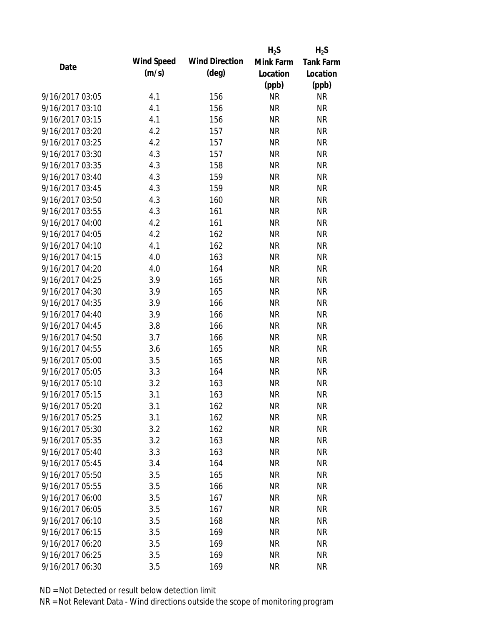|                 |            |                       | $H_2S$    | $H_2S$           |
|-----------------|------------|-----------------------|-----------|------------------|
| Date            | Wind Speed | <b>Wind Direction</b> | Mink Farm | <b>Tank Farm</b> |
|                 | (m/s)      | $(\text{deg})$        | Location  | Location         |
|                 |            |                       | (ppb)     | (ppb)            |
| 9/16/2017 03:05 | 4.1        | 156                   | <b>NR</b> | <b>NR</b>        |
| 9/16/2017 03:10 | 4.1        | 156                   | <b>NR</b> | <b>NR</b>        |
| 9/16/2017 03:15 | 4.1        | 156                   | <b>NR</b> | <b>NR</b>        |
| 9/16/2017 03:20 | 4.2        | 157                   | <b>NR</b> | <b>NR</b>        |
| 9/16/2017 03:25 | 4.2        | 157                   | <b>NR</b> | <b>NR</b>        |
| 9/16/2017 03:30 | 4.3        | 157                   | <b>NR</b> | <b>NR</b>        |
| 9/16/2017 03:35 | 4.3        | 158                   | <b>NR</b> | <b>NR</b>        |
| 9/16/2017 03:40 | 4.3        | 159                   | <b>NR</b> | <b>NR</b>        |
| 9/16/2017 03:45 | 4.3        | 159                   | <b>NR</b> | <b>NR</b>        |
| 9/16/2017 03:50 | 4.3        | 160                   | <b>NR</b> | <b>NR</b>        |
| 9/16/2017 03:55 | 4.3        | 161                   | <b>NR</b> | <b>NR</b>        |
| 9/16/2017 04:00 | 4.2        | 161                   | <b>NR</b> | <b>NR</b>        |
| 9/16/2017 04:05 | 4.2        | 162                   | <b>NR</b> | <b>NR</b>        |
| 9/16/2017 04:10 | 4.1        | 162                   | <b>NR</b> | <b>NR</b>        |
| 9/16/2017 04:15 | 4.0        | 163                   | <b>NR</b> | <b>NR</b>        |
| 9/16/2017 04:20 | 4.0        | 164                   | <b>NR</b> | <b>NR</b>        |
| 9/16/2017 04:25 | 3.9        | 165                   | <b>NR</b> | <b>NR</b>        |
| 9/16/2017 04:30 | 3.9        | 165                   | <b>NR</b> | <b>NR</b>        |
| 9/16/2017 04:35 | 3.9        | 166                   | <b>NR</b> | <b>NR</b>        |
| 9/16/2017 04:40 | 3.9        | 166                   | <b>NR</b> | <b>NR</b>        |
| 9/16/2017 04:45 | 3.8        | 166                   | <b>NR</b> | <b>NR</b>        |
| 9/16/2017 04:50 | 3.7        | 166                   | <b>NR</b> | <b>NR</b>        |
| 9/16/2017 04:55 | 3.6        | 165                   | <b>NR</b> | <b>NR</b>        |
| 9/16/2017 05:00 | 3.5        | 165                   | <b>NR</b> | <b>NR</b>        |
| 9/16/2017 05:05 | 3.3        | 164                   | <b>NR</b> | <b>NR</b>        |
| 9/16/2017 05:10 | 3.2        | 163                   | <b>NR</b> | <b>NR</b>        |
| 9/16/2017 05:15 | 3.1        | 163                   | <b>NR</b> | <b>NR</b>        |
| 9/16/2017 05:20 | 3.1        | 162                   | ΝR        | <b>NR</b>        |
| 9/16/2017 05:25 | 3.1        | 162                   | <b>NR</b> | <b>NR</b>        |
| 9/16/2017 05:30 | 3.2        | 162                   | <b>NR</b> | <b>NR</b>        |
| 9/16/2017 05:35 | 3.2        | 163                   | <b>NR</b> | <b>NR</b>        |
| 9/16/2017 05:40 | 3.3        | 163                   | <b>NR</b> | <b>NR</b>        |
| 9/16/2017 05:45 | 3.4        | 164                   | <b>NR</b> | <b>NR</b>        |
| 9/16/2017 05:50 | 3.5        | 165                   | <b>NR</b> | <b>NR</b>        |
| 9/16/2017 05:55 | 3.5        | 166                   | <b>NR</b> | <b>NR</b>        |
| 9/16/2017 06:00 | 3.5        | 167                   | <b>NR</b> | <b>NR</b>        |
| 9/16/2017 06:05 | 3.5        | 167                   | <b>NR</b> | <b>NR</b>        |
| 9/16/2017 06:10 | 3.5        | 168                   | <b>NR</b> | <b>NR</b>        |
| 9/16/2017 06:15 | 3.5        | 169                   | <b>NR</b> | <b>NR</b>        |
| 9/16/2017 06:20 | 3.5        | 169                   | ΝR        | <b>NR</b>        |
| 9/16/2017 06:25 | 3.5        | 169                   | <b>NR</b> | <b>NR</b>        |
| 9/16/2017 06:30 | 3.5        | 169                   | <b>NR</b> | <b>NR</b>        |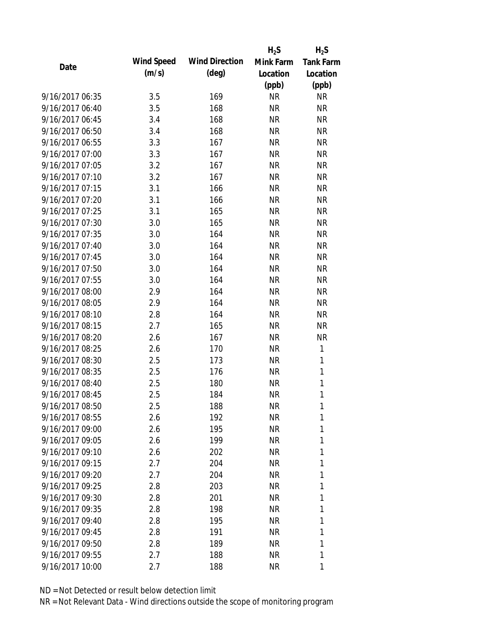|                 |                   |                       | $H_2S$    | $H_2S$           |
|-----------------|-------------------|-----------------------|-----------|------------------|
| Date            | <b>Wind Speed</b> | <b>Wind Direction</b> | Mink Farm | <b>Tank Farm</b> |
|                 | (m/s)             | $(\text{deg})$        | Location  | Location         |
|                 |                   |                       | (ppb)     | (ppb)            |
| 9/16/2017 06:35 | 3.5               | 169                   | <b>NR</b> | <b>NR</b>        |
| 9/16/2017 06:40 | 3.5               | 168                   | <b>NR</b> | <b>NR</b>        |
| 9/16/2017 06:45 | 3.4               | 168                   | <b>NR</b> | <b>NR</b>        |
| 9/16/2017 06:50 | 3.4               | 168                   | <b>NR</b> | <b>NR</b>        |
| 9/16/2017 06:55 | 3.3               | 167                   | <b>NR</b> | <b>NR</b>        |
| 9/16/2017 07:00 | 3.3               | 167                   | <b>NR</b> | <b>NR</b>        |
| 9/16/2017 07:05 | 3.2               | 167                   | <b>NR</b> | <b>NR</b>        |
| 9/16/2017 07:10 | 3.2               | 167                   | <b>NR</b> | <b>NR</b>        |
| 9/16/2017 07:15 | 3.1               | 166                   | <b>NR</b> | <b>NR</b>        |
| 9/16/2017 07:20 | 3.1               | 166                   | <b>NR</b> | <b>NR</b>        |
| 9/16/2017 07:25 | 3.1               | 165                   | <b>NR</b> | <b>NR</b>        |
| 9/16/2017 07:30 | 3.0               | 165                   | <b>NR</b> | <b>NR</b>        |
| 9/16/2017 07:35 | 3.0               | 164                   | <b>NR</b> | <b>NR</b>        |
| 9/16/2017 07:40 | 3.0               | 164                   | <b>NR</b> | <b>NR</b>        |
| 9/16/2017 07:45 | 3.0               | 164                   | <b>NR</b> | <b>NR</b>        |
| 9/16/2017 07:50 | 3.0               | 164                   | <b>NR</b> | <b>NR</b>        |
| 9/16/2017 07:55 | 3.0               | 164                   | <b>NR</b> | <b>NR</b>        |
| 9/16/2017 08:00 | 2.9               | 164                   | <b>NR</b> | <b>NR</b>        |
| 9/16/2017 08:05 | 2.9               | 164                   | <b>NR</b> | <b>NR</b>        |
| 9/16/2017 08:10 | 2.8               | 164                   | <b>NR</b> | <b>NR</b>        |
| 9/16/2017 08:15 | 2.7               | 165                   | <b>NR</b> | <b>NR</b>        |
| 9/16/2017 08:20 | 2.6               | 167                   | <b>NR</b> | <b>NR</b>        |
| 9/16/2017 08:25 | 2.6               | 170                   | <b>NR</b> | $\mathbf{1}$     |
| 9/16/2017 08:30 | 2.5               | 173                   | <b>NR</b> | 1                |
| 9/16/2017 08:35 | 2.5               | 176                   | <b>NR</b> | 1                |
| 9/16/2017 08:40 | 2.5               | 180                   | <b>NR</b> | $\mathbf{1}$     |
| 9/16/2017 08:45 | 2.5               | 184                   | <b>NR</b> | $\mathbf{1}$     |
| 9/16/2017 08:50 | 2.5               | 188                   | <b>NR</b> | 1                |
| 9/16/2017 08:55 | 2.6               | 192                   | <b>NR</b> | 1                |
| 9/16/2017 09:00 | 2.6               | 195                   | <b>NR</b> | 1                |
| 9/16/2017 09:05 | 2.6               | 199                   | <b>NR</b> | 1                |
| 9/16/2017 09:10 | 2.6               | 202                   | <b>NR</b> | 1                |
| 9/16/2017 09:15 | 2.7               | 204                   | <b>NR</b> | 1                |
| 9/16/2017 09:20 | 2.7               | 204                   | <b>NR</b> | 1                |
| 9/16/2017 09:25 | 2.8               | 203                   | <b>NR</b> | 1                |
| 9/16/2017 09:30 | 2.8               | 201                   | <b>NR</b> | 1                |
| 9/16/2017 09:35 | 2.8               | 198                   | <b>NR</b> | 1                |
| 9/16/2017 09:40 | 2.8               | 195                   | <b>NR</b> | 1                |
| 9/16/2017 09:45 | 2.8               | 191                   | <b>NR</b> | 1                |
| 9/16/2017 09:50 | 2.8               | 189                   | NR        | 1                |
| 9/16/2017 09:55 | 2.7               | 188                   | <b>NR</b> | 1                |
| 9/16/2017 10:00 | 2.7               | 188                   | <b>NR</b> | 1                |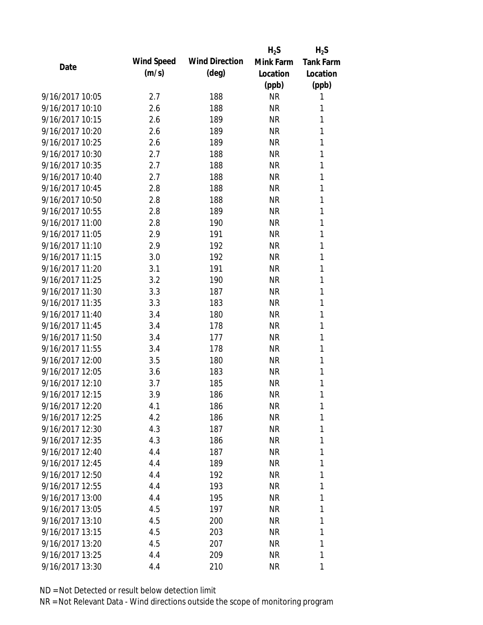|                 |            |                       | $H_2S$    | $H_2S$           |
|-----------------|------------|-----------------------|-----------|------------------|
| Date            | Wind Speed | <b>Wind Direction</b> | Mink Farm | <b>Tank Farm</b> |
|                 | (m/s)      | $(\text{deg})$        | Location  | Location         |
|                 |            |                       | (ppb)     | (ppb)            |
| 9/16/2017 10:05 | 2.7        | 188                   | <b>NR</b> | 1                |
| 9/16/2017 10:10 | 2.6        | 188                   | <b>NR</b> | 1                |
| 9/16/2017 10:15 | 2.6        | 189                   | <b>NR</b> | 1                |
| 9/16/2017 10:20 | 2.6        | 189                   | <b>NR</b> | 1                |
| 9/16/2017 10:25 | 2.6        | 189                   | <b>NR</b> | 1                |
| 9/16/2017 10:30 | 2.7        | 188                   | <b>NR</b> | 1                |
| 9/16/2017 10:35 | 2.7        | 188                   | <b>NR</b> | 1                |
| 9/16/2017 10:40 | 2.7        | 188                   | <b>NR</b> | $\mathbf{1}$     |
| 9/16/2017 10:45 | 2.8        | 188                   | <b>NR</b> | 1                |
| 9/16/2017 10:50 | 2.8        | 188                   | <b>NR</b> | 1                |
| 9/16/2017 10:55 | 2.8        | 189                   | <b>NR</b> | 1                |
| 9/16/2017 11:00 | 2.8        | 190                   | <b>NR</b> | 1                |
| 9/16/2017 11:05 | 2.9        | 191                   | <b>NR</b> | 1                |
| 9/16/2017 11:10 | 2.9        | 192                   | <b>NR</b> | 1                |
| 9/16/2017 11:15 | 3.0        | 192                   | <b>NR</b> | 1                |
| 9/16/2017 11:20 | 3.1        | 191                   | <b>NR</b> | 1                |
| 9/16/2017 11:25 | 3.2        | 190                   | <b>NR</b> | 1                |
| 9/16/2017 11:30 | 3.3        | 187                   | <b>NR</b> | 1                |
| 9/16/2017 11:35 | 3.3        | 183                   | <b>NR</b> | 1                |
| 9/16/2017 11:40 | 3.4        | 180                   | <b>NR</b> | 1                |
| 9/16/2017 11:45 | 3.4        | 178                   | <b>NR</b> | $\mathbf{1}$     |
| 9/16/2017 11:50 | 3.4        | 177                   | <b>NR</b> | 1                |
| 9/16/2017 11:55 | 3.4        | 178                   | <b>NR</b> | 1                |
| 9/16/2017 12:00 | 3.5        | 180                   | <b>NR</b> | 1                |
| 9/16/2017 12:05 | 3.6        | 183                   | <b>NR</b> | 1                |
| 9/16/2017 12:10 | 3.7        | 185                   | <b>NR</b> | $\mathbf{1}$     |
| 9/16/2017 12:15 | 3.9        | 186                   | <b>NR</b> | 1                |
| 9/16/2017 12:20 | 4.1        | 186                   | <b>NR</b> | 1                |
| 9/16/2017 12:25 | 4.2        | 186                   | <b>NR</b> | 1                |
| 9/16/2017 12:30 | 4.3        | 187                   | <b>NR</b> | 1                |
| 9/16/2017 12:35 | 4.3        | 186                   | <b>NR</b> | 1                |
| 9/16/2017 12:40 | 4.4        | 187                   | <b>NR</b> | 1                |
| 9/16/2017 12:45 | 4.4        | 189                   | NR        | 1                |
| 9/16/2017 12:50 | 4.4        | 192                   | <b>NR</b> | 1                |
| 9/16/2017 12:55 | 4.4        | 193                   | <b>NR</b> | 1                |
| 9/16/2017 13:00 | 4.4        | 195                   | <b>NR</b> | 1                |
| 9/16/2017 13:05 | 4.5        | 197                   | <b>NR</b> | 1                |
| 9/16/2017 13:10 | 4.5        | 200                   | <b>NR</b> | 1                |
| 9/16/2017 13:15 | 4.5        | 203                   | <b>NR</b> | 1                |
| 9/16/2017 13:20 | 4.5        | 207                   | NR        | 1                |
| 9/16/2017 13:25 | 4.4        | 209                   | <b>NR</b> | 1                |
| 9/16/2017 13:30 | 4.4        | 210                   | <b>NR</b> | 1                |
|                 |            |                       |           |                  |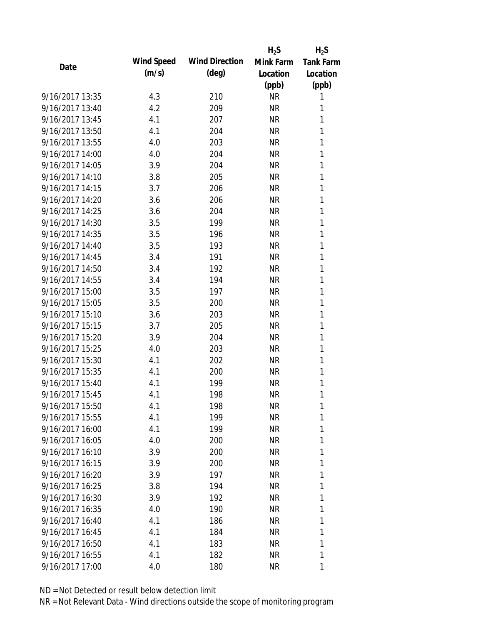|                 |            |                       | $H_2S$    | $H_2S$           |
|-----------------|------------|-----------------------|-----------|------------------|
| Date            | Wind Speed | <b>Wind Direction</b> | Mink Farm | <b>Tank Farm</b> |
|                 | (m/s)      | $(\text{deg})$        | Location  | Location         |
|                 |            |                       | (ppb)     | (ppb)            |
| 9/16/2017 13:35 | 4.3        | 210                   | <b>NR</b> | 1                |
| 9/16/2017 13:40 | 4.2        | 209                   | <b>NR</b> | 1                |
| 9/16/2017 13:45 | 4.1        | 207                   | <b>NR</b> | 1                |
| 9/16/2017 13:50 | 4.1        | 204                   | <b>NR</b> | 1                |
| 9/16/2017 13:55 | 4.0        | 203                   | <b>NR</b> | 1                |
| 9/16/2017 14:00 | 4.0        | 204                   | <b>NR</b> | 1                |
| 9/16/2017 14:05 | 3.9        | 204                   | <b>NR</b> | 1                |
| 9/16/2017 14:10 | 3.8        | 205                   | <b>NR</b> | 1                |
| 9/16/2017 14:15 | 3.7        | 206                   | NR        | 1                |
| 9/16/2017 14:20 | 3.6        | 206                   | <b>NR</b> | 1                |
| 9/16/2017 14:25 | 3.6        | 204                   | <b>NR</b> | 1                |
| 9/16/2017 14:30 | 3.5        | 199                   | <b>NR</b> | 1                |
| 9/16/2017 14:35 | 3.5        | 196                   | <b>NR</b> | 1                |
| 9/16/2017 14:40 | 3.5        | 193                   | <b>NR</b> | 1                |
| 9/16/2017 14:45 | 3.4        | 191                   | <b>NR</b> | 1                |
| 9/16/2017 14:50 | 3.4        | 192                   | <b>NR</b> | 1                |
| 9/16/2017 14:55 | 3.4        | 194                   | <b>NR</b> | 1                |
| 9/16/2017 15:00 | 3.5        | 197                   | <b>NR</b> | 1                |
| 9/16/2017 15:05 | 3.5        | 200                   | <b>NR</b> | 1                |
| 9/16/2017 15:10 | 3.6        | 203                   | <b>NR</b> | 1                |
| 9/16/2017 15:15 | 3.7        | 205                   | <b>NR</b> | 1                |
| 9/16/2017 15:20 | 3.9        | 204                   | <b>NR</b> | 1                |
| 9/16/2017 15:25 | 4.0        | 203                   | <b>NR</b> | 1                |
| 9/16/2017 15:30 | 4.1        | 202                   | <b>NR</b> | 1                |
| 9/16/2017 15:35 | 4.1        | 200                   | <b>NR</b> | 1                |
| 9/16/2017 15:40 | 4.1        | 199                   | <b>NR</b> | 1                |
| 9/16/2017 15:45 | 4.1        | 198                   | <b>NR</b> | 1                |
| 9/16/2017 15:50 | 4.1        | 198                   | NR        | 1                |
| 9/16/2017 15:55 | 4.1        | 199                   | <b>NR</b> | 1                |
| 9/16/2017 16:00 | 4.1        | 199                   | NR        | 1                |
| 9/16/2017 16:05 | 4.0        | 200                   | <b>NR</b> | 1                |
| 9/16/2017 16:10 | 3.9        | 200                   | <b>NR</b> | 1                |
| 9/16/2017 16:15 | 3.9        | 200                   | NR        | 1                |
| 9/16/2017 16:20 | 3.9        | 197                   | <b>NR</b> | 1                |
| 9/16/2017 16:25 | 3.8        | 194                   | NR        | 1                |
| 9/16/2017 16:30 | 3.9        | 192                   | <b>NR</b> | 1                |
| 9/16/2017 16:35 | 4.0        | 190                   | <b>NR</b> | 1                |
| 9/16/2017 16:40 | 4.1        | 186                   | NR        | 1                |
| 9/16/2017 16:45 | 4.1        | 184                   | <b>NR</b> | 1                |
| 9/16/2017 16:50 | 4.1        | 183                   | NR        | 1                |
| 9/16/2017 16:55 | 4.1        | 182                   | <b>NR</b> | 1                |
| 9/16/2017 17:00 | 4.0        | 180                   | <b>NR</b> | 1                |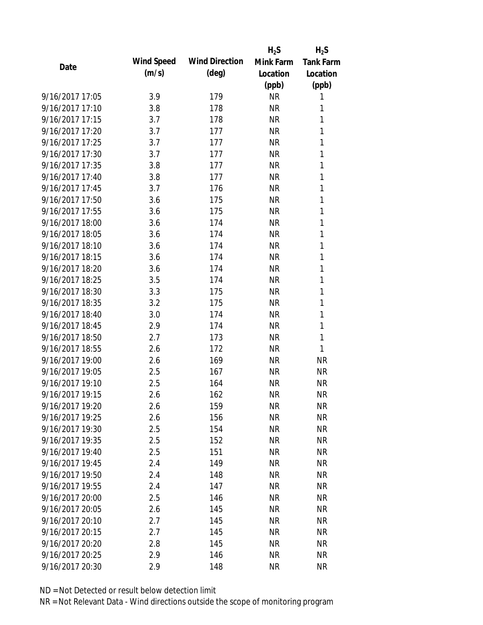|                 |            |                       | $H_2S$    | $H_2S$           |
|-----------------|------------|-----------------------|-----------|------------------|
| Date            | Wind Speed | <b>Wind Direction</b> | Mink Farm | <b>Tank Farm</b> |
|                 | (m/s)      | $(\text{deg})$        | Location  | Location         |
|                 |            |                       | (ppb)     | (ppb)            |
| 9/16/2017 17:05 | 3.9        | 179                   | <b>NR</b> | 1                |
| 9/16/2017 17:10 | 3.8        | 178                   | <b>NR</b> | 1                |
| 9/16/2017 17:15 | 3.7        | 178                   | <b>NR</b> | 1                |
| 9/16/2017 17:20 | 3.7        | 177                   | <b>NR</b> | 1                |
| 9/16/2017 17:25 | 3.7        | 177                   | <b>NR</b> | 1                |
| 9/16/2017 17:30 | 3.7        | 177                   | <b>NR</b> | 1                |
| 9/16/2017 17:35 | 3.8        | 177                   | <b>NR</b> | 1                |
| 9/16/2017 17:40 | 3.8        | 177                   | <b>NR</b> | 1                |
| 9/16/2017 17:45 | 3.7        | 176                   | <b>NR</b> | 1                |
| 9/16/2017 17:50 | 3.6        | 175                   | <b>NR</b> | 1                |
| 9/16/2017 17:55 | 3.6        | 175                   | <b>NR</b> | 1                |
| 9/16/2017 18:00 | 3.6        | 174                   | <b>NR</b> | 1                |
| 9/16/2017 18:05 | 3.6        | 174                   | <b>NR</b> | 1                |
| 9/16/2017 18:10 | 3.6        | 174                   | <b>NR</b> | 1                |
| 9/16/2017 18:15 | 3.6        | 174                   | <b>NR</b> | 1                |
| 9/16/2017 18:20 | 3.6        | 174                   | <b>NR</b> | 1                |
| 9/16/2017 18:25 | 3.5        | 174                   | <b>NR</b> | 1                |
| 9/16/2017 18:30 | 3.3        | 175                   | <b>NR</b> | 1                |
| 9/16/2017 18:35 | 3.2        | 175                   | <b>NR</b> | 1                |
| 9/16/2017 18:40 | 3.0        | 174                   | <b>NR</b> | 1                |
| 9/16/2017 18:45 | 2.9        | 174                   | <b>NR</b> | 1                |
| 9/16/2017 18:50 | 2.7        | 173                   | <b>NR</b> | 1                |
| 9/16/2017 18:55 | 2.6        | 172                   | <b>NR</b> | 1                |
| 9/16/2017 19:00 | 2.6        | 169                   | <b>NR</b> | <b>NR</b>        |
| 9/16/2017 19:05 | 2.5        | 167                   | <b>NR</b> | <b>NR</b>        |
| 9/16/2017 19:10 | 2.5        | 164                   | <b>NR</b> | <b>NR</b>        |
| 9/16/2017 19:15 | 2.6        | 162                   | <b>NR</b> | <b>NR</b>        |
| 9/16/2017 19:20 | 2.6        | 159                   | NR        | <b>NR</b>        |
| 9/16/2017 19:25 | 2.6        | 156                   | <b>NR</b> | <b>NR</b>        |
| 9/16/2017 19:30 | 2.5        | 154                   | <b>NR</b> | <b>NR</b>        |
| 9/16/2017 19:35 | 2.5        | 152                   | <b>NR</b> | <b>NR</b>        |
| 9/16/2017 19:40 | 2.5        | 151                   | <b>NR</b> | <b>NR</b>        |
| 9/16/2017 19:45 | 2.4        | 149                   | <b>NR</b> | <b>NR</b>        |
| 9/16/2017 19:50 | 2.4        | 148                   | <b>NR</b> | <b>NR</b>        |
| 9/16/2017 19:55 | 2.4        | 147                   | <b>NR</b> | <b>NR</b>        |
| 9/16/2017 20:00 | 2.5        | 146                   | <b>NR</b> | <b>NR</b>        |
| 9/16/2017 20:05 | 2.6        | 145                   | <b>NR</b> | <b>NR</b>        |
| 9/16/2017 20:10 | 2.7        | 145                   | NR        | <b>NR</b>        |
| 9/16/2017 20:15 | 2.7        | 145                   | <b>NR</b> | <b>NR</b>        |
| 9/16/2017 20:20 | 2.8        | 145                   | ΝR        | <b>NR</b>        |
| 9/16/2017 20:25 | 2.9        | 146                   | <b>NR</b> | <b>NR</b>        |
| 9/16/2017 20:30 | 2.9        | 148                   | <b>NR</b> | <b>NR</b>        |
|                 |            |                       |           |                  |